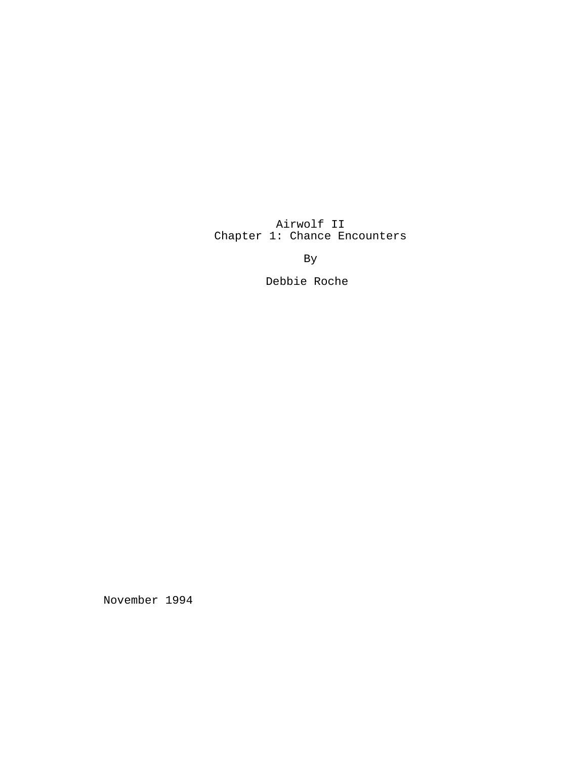Airwolf II Chapter 1: Chance Encounters

By

Debbie Roche

November 1994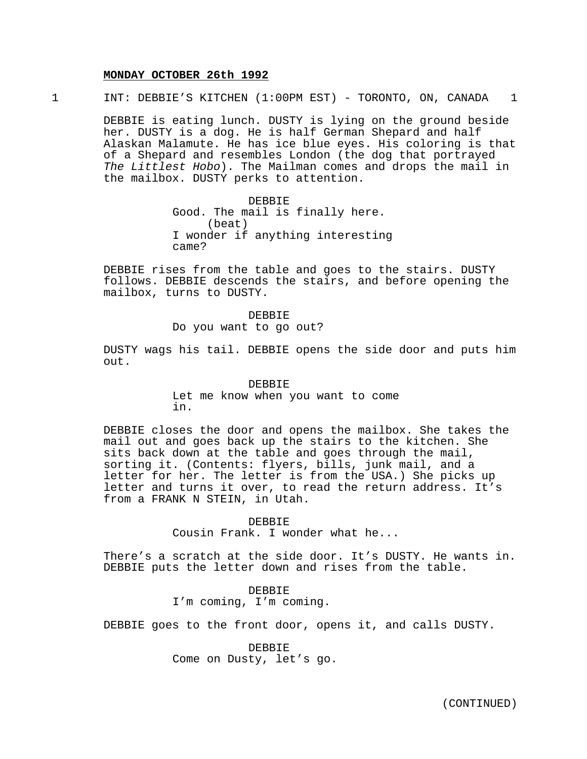#### **MONDAY OCTOBER 26th 1992**

1 INT: DEBBIE'S KITCHEN (1:00PM EST) - TORONTO, ON, CANADA 1

DEBBIE is eating lunch. DUSTY is lying on the ground beside her. DUSTY is a dog. He is half German Shepard and half Alaskan Malamute. He has ice blue eyes. His coloring is that of a Shepard and resembles London (the dog that portrayed The Littlest Hobo). The Mailman comes and drops the mail in the mailbox. DUSTY perks to attention.

> DEBBIE Good. The mail is finally here. (beat) I wonder if anything interesting came?

DEBBIE rises from the table and goes to the stairs. DUSTY follows. DEBBIE descends the stairs, and before opening the mailbox, turns to DUSTY.

> DEBBIE Do you want to go out?

DUSTY wags his tail. DEBBIE opens the side door and puts him out.

## DEBBIE Let me know when you want to come in.

DEBBIE closes the door and opens the mailbox. She takes the mail out and goes back up the stairs to the kitchen. She sits back down at the table and goes through the mail, sorting it. (Contents: flyers, bills, junk mail, and a letter for her. The letter is from the USA.) She picks up letter and turns it over, to read the return address. It's from a FRANK N STEIN, in Utah.

> DEBBIE Cousin Frank. I wonder what he...

There's a scratch at the side door. It's DUSTY. He wants in. DEBBIE puts the letter down and rises from the table.

> DEBBIE I'm coming, I'm coming.

DEBBIE goes to the front door, opens it, and calls DUSTY.

DEBBIE Come on Dusty, let's go.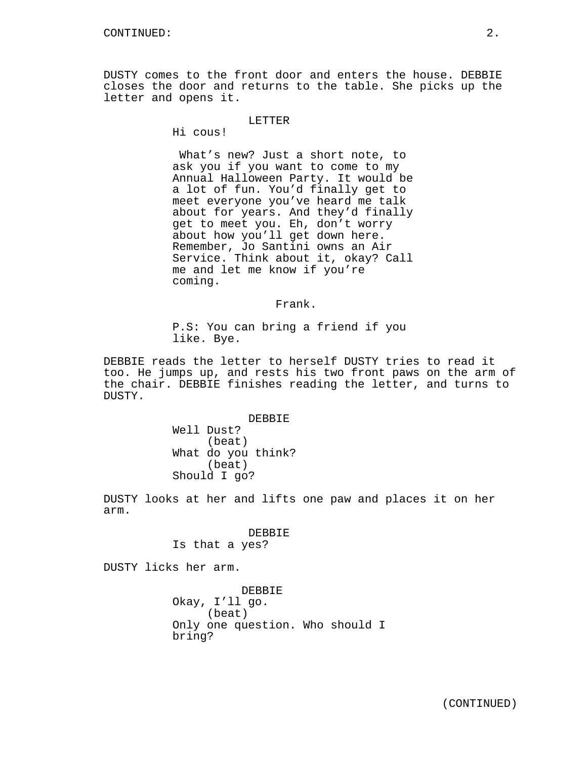DUSTY comes to the front door and enters the house. DEBBIE closes the door and returns to the table. She picks up the letter and opens it.

## LETTER

Hi cous!

What's new? Just a short note, to ask you if you want to come to my Annual Halloween Party. It would be a lot of fun. You'd finally get to meet everyone you've heard me talk about for years. And they'd finally get to meet you. Eh, don't worry about how you'll get down here. Remember, Jo Santini owns an Air Service. Think about it, okay? Call me and let me know if you're coming.

Frank.

P.S: You can bring a friend if you like. Bye.

DEBBIE reads the letter to herself DUSTY tries to read it too. He jumps up, and rests his two front paws on the arm of the chair. DEBBIE finishes reading the letter, and turns to DUSTY.

> DEBBIE Well Dust? (beat) What do you think? (beat) Should I go?

DUSTY looks at her and lifts one paw and places it on her arm.

## DEBBIE Is that a yes?

DUSTY licks her arm.

DEBBIE Okay, I'll go. (beat) Only one question. Who should I bring?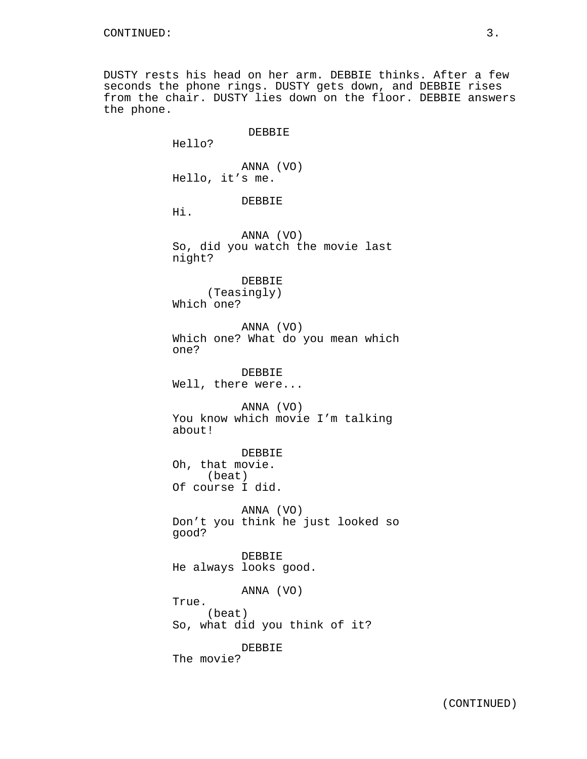DUSTY rests his head on her arm. DEBBIE thinks. After a few seconds the phone rings. DUSTY gets down, and DEBBIE rises from the chair. DUSTY lies down on the floor. DEBBIE answers the phone.

> DEBBIE Hello? ANNA (VO) Hello, it's me. DEBBIE Hi. ANNA (VO) So, did you watch the movie last night? DEBBIE (Teasingly) Which one? ANNA (VO) Which one? What do you mean which one? DEBBIE Well, there were... ANNA (VO) You know which movie I'm talking about! DEBBIE Oh, that movie. (beat) Of course I did. ANNA (VO) Don't you think he just looked so good? DEBBIE He always looks good. ANNA (VO) True. (beat) So, what did you think of it? DEBBIE The movie?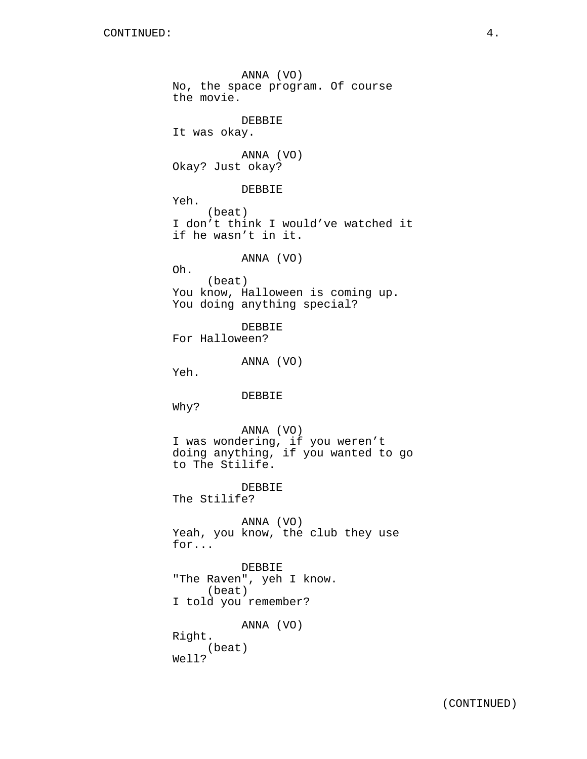ANNA (VO) No, the space program. Of course the movie. DEBBIE It was okay. ANNA (VO) Okay? Just okay? DEBBIE Yeh. (beat) I don't think I would've watched it if he wasn't in it. ANNA (VO) Oh. (beat) You know, Halloween is coming up. You doing anything special? DEBBIE For Halloween? ANNA (VO) Yeh. DEBBIE Why? ANNA (VO) I was wondering, if you weren't doing anything, if you wanted to go to The Stilife. DEBBIE The Stilife? ANNA (VO) Yeah, you know, the club they use for... DEBBIE "The Raven", yeh I know. (beat) I told you remember? ANNA (VO) Right. (beat) Well?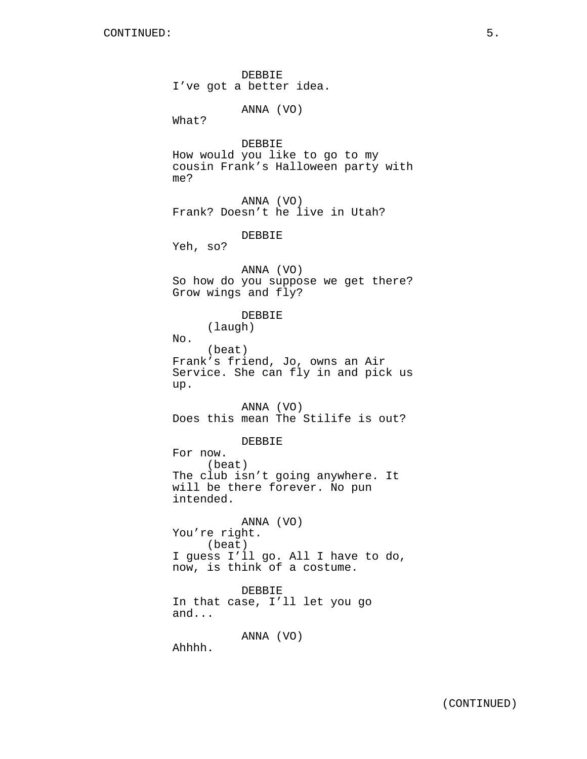DEBBIE I've got a better idea. ANNA (VO) What? DEBBIE How would you like to go to my cousin Frank's Halloween party with me? ANNA (VO) Frank? Doesn't he live in Utah? DEBBIE Yeh, so? ANNA (VO) So how do you suppose we get there? Grow wings and fly? DEBBIE (laugh) No. (beat) Frank's friend, Jo, owns an Air Service. She can fly in and pick us up. ANNA (VO) Does this mean The Stilife is out? DEBBIE For now. (beat) The club isn't going anywhere. It will be there forever. No pun intended. ANNA (VO) You're right. (beat) I guess I'll go. All I have to do, now, is think of a costume. DEBBIE In that case, I'll let you go and... ANNA (VO) Ahhhh.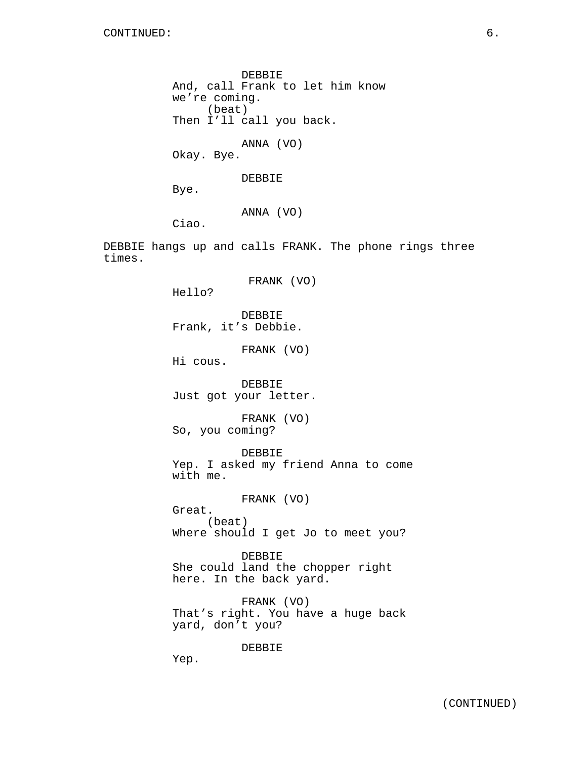times.

DEBBIE And, call Frank to let him know we're coming. (beat) Then I'll call you back. ANNA (VO) Okay. Bye. DEBBIE Bye. ANNA (VO) Ciao. DEBBIE hangs up and calls FRANK. The phone rings three FRANK (VO) Hello? DEBBIE Frank, it's Debbie. FRANK (VO) Hi cous. DEBBIE Just got your letter. FRANK (VO) So, you coming? DEBBIE Yep. I asked my friend Anna to come with me. FRANK (VO) Great. (beat) Where should I get Jo to meet you? DEBBIE She could land the chopper right here. In the back yard.

> FRANK (VO) That's right. You have a huge back yard, don't you?

> > DEBBIE

Yep.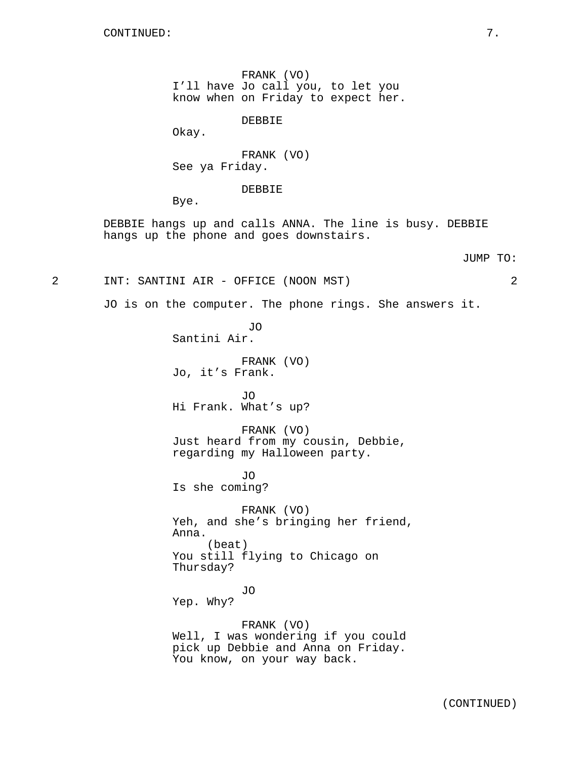FRANK (VO) I'll have Jo call you, to let you know when on Friday to expect her.

DEBBIE

Okay.

FRANK (VO) See ya Friday.

DEBBIE

Bye.

DEBBIE hangs up and calls ANNA. The line is busy. DEBBIE hangs up the phone and goes downstairs.

#### JUMP TO:

2 INT: SANTINI AIR - OFFICE (NOON MST) 2

JO is on the computer. The phone rings. She answers it.

JO Santini Air.

FRANK (VO) Jo, it's Frank.

JO Hi Frank. What's up?

FRANK (VO) Just heard from my cousin, Debbie, regarding my Halloween party.

JO Is she coming?

FRANK (VO) Yeh, and she's bringing her friend, Anna. (beat) You still flying to Chicago on Thursday?

JO Yep. Why?

FRANK (VO) Well, I was wondering if you could pick up Debbie and Anna on Friday. You know, on your way back.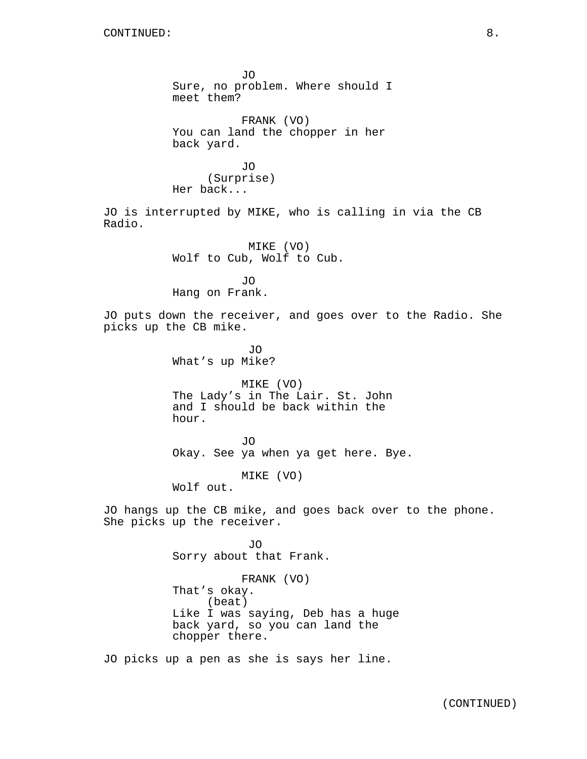JO Sure, no problem. Where should I meet them? FRANK (VO) You can land the chopper in her back yard. JO (Surprise) Her back... JO is interrupted by MIKE, who is calling in via the CB Radio. MIKE (VO) Wolf to Cub, Wolf to Cub. JO Hang on Frank. JO puts down the receiver, and goes over to the Radio. She picks up the CB mike. JO What's up Mike? MIKE (VO) The Lady's in The Lair. St. John and I should be back within the hour. JO Okay. See ya when ya get here. Bye. MIKE (VO) Wolf out. JO hangs up the CB mike, and goes back over to the phone. She picks up the receiver. JO Sorry about that Frank. FRANK (VO) That's okay. (beat) Like I was saying, Deb has a huge back yard, so you can land the chopper there.

JO picks up a pen as she is says her line.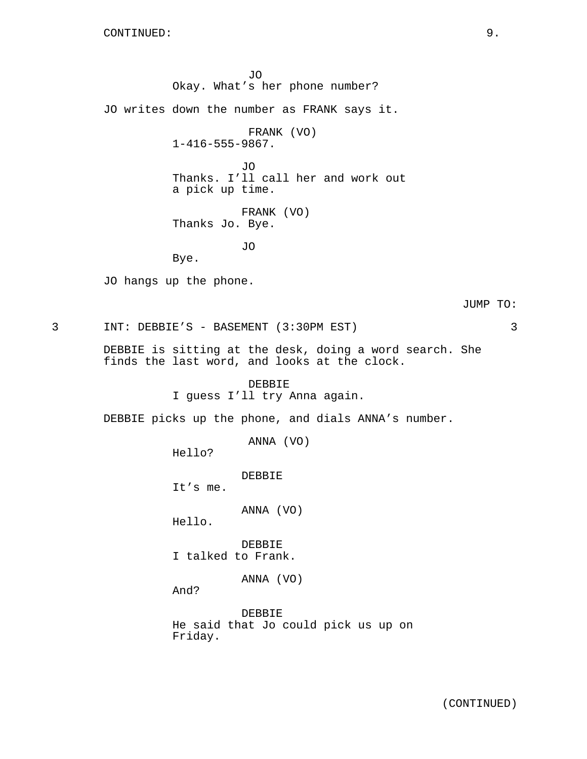JO Okay. What's her phone number? JO writes down the number as FRANK says it. FRANK (VO) 1-416-555-9867. JO Thanks. I'll call her and work out a pick up time. FRANK (VO) Thanks Jo. Bye. JO Bye. JO hangs up the phone. JUMP TO: 3 INT: DEBBIE'S - BASEMENT (3:30PM EST) 3 DEBBIE is sitting at the desk, doing a word search. She finds the last word, and looks at the clock. DEBBIE I guess I'll try Anna again. DEBBIE picks up the phone, and dials ANNA's number. ANNA (VO) Hello? DEBBIE It's me. ANNA (VO) Hello. **DEBBIE** I talked to Frank. ANNA (VO) And? DEBBIE He said that Jo could pick us up on Friday.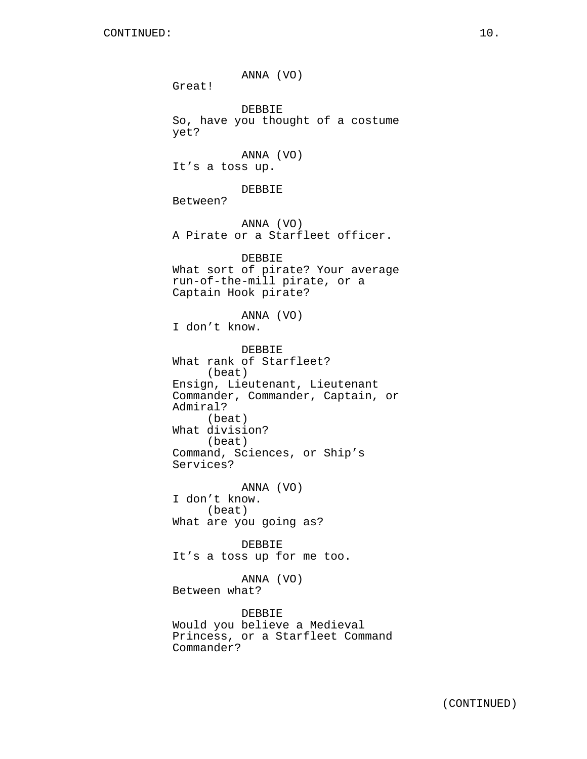ANNA (VO) Great! DEBBIE So, have you thought of a costume yet? ANNA (VO) It's a toss up. DEBBIE Between? ANNA (VO) A Pirate or a Starfleet officer. DEBBIE What sort of pirate? Your average run-of-the-mill pirate, or a Captain Hook pirate? ANNA (VO) I don't know. DEBBIE What rank of Starfleet? (beat) Ensign, Lieutenant, Lieutenant Commander, Commander, Captain, or Admiral? (beat) What division? (beat) Command, Sciences, or Ship's Services? ANNA (VO) I don't know. (beat) What are you going as? DEBBIE It's a toss up for me too. ANNA (VO) Between what? DEBBIE Would you believe a Medieval Princess, or a Starfleet Command

Commander?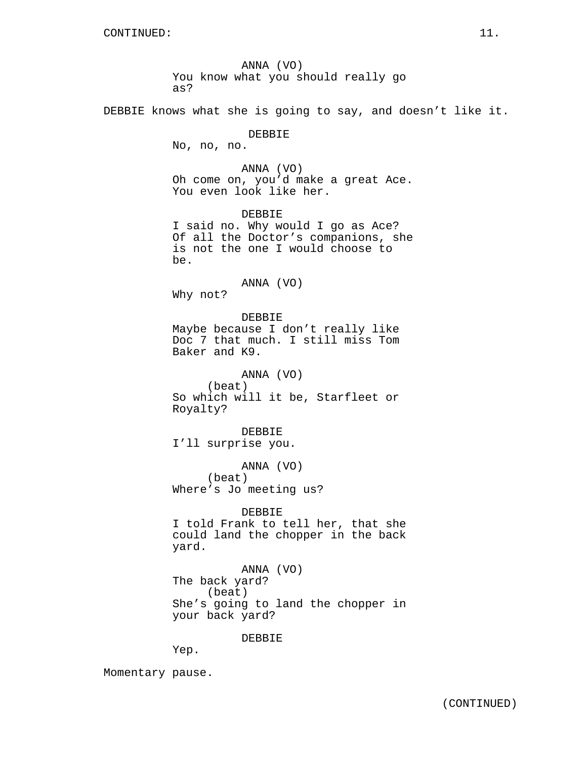ANNA (VO) You know what you should really go as?

DEBBIE knows what she is going to say, and doesn't like it.

DEBBIE

No, no, no.

ANNA (VO) Oh come on, you'd make a great Ace. You even look like her.

DEBBIE I said no. Why would I go as Ace? Of all the Doctor's companions, she is not the one I would choose to be.

ANNA (VO)

Why not?

DEBBIE Maybe because I don't really like Doc 7 that much. I still miss Tom Baker and K9.

ANNA (VO) (beat) So which will it be, Starfleet or Royalty?

DEBBIE I'll surprise you.

ANNA (VO) (beat) Where's Jo meeting us?

DEBBIE

I told Frank to tell her, that she could land the chopper in the back yard.

ANNA (VO) The back yard? (beat) She's going to land the chopper in your back yard?

DEBBIE

Yep.

Momentary pause.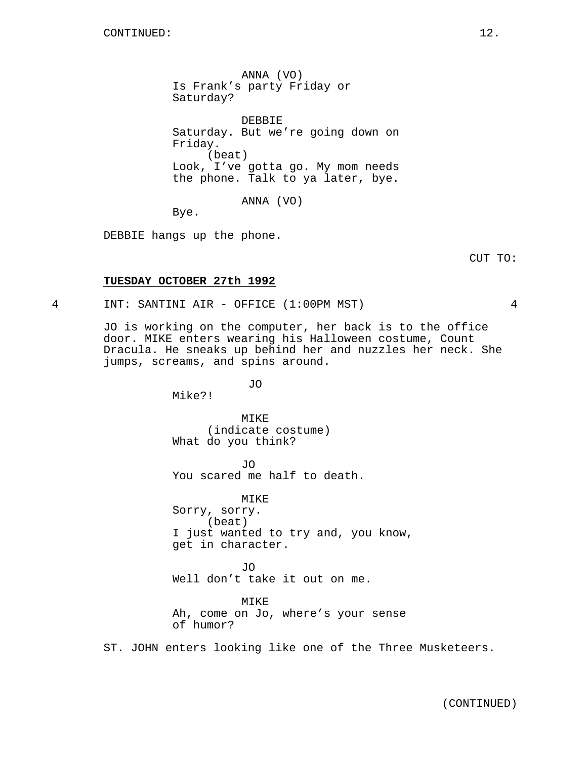ANNA (VO) Is Frank's party Friday or Saturday?

DEBBIE Saturday. But we're going down on Friday. (beat) Look, I've gotta go. My mom needs the phone. Talk to ya later, bye.

ANNA (VO)

Bye.

DEBBIE hangs up the phone.

CUT TO:

## **TUESDAY OCTOBER 27th 1992**

4 INT: SANTINI AIR - OFFICE (1:00PM MST) 4

JO is working on the computer, her back is to the office door. MIKE enters wearing his Halloween costume, Count Dracula. He sneaks up behind her and nuzzles her neck. She jumps, screams, and spins around.

JO

Mike?!

MTK<sub>E</sub> (indicate costume) What do you think?

JO You scared me half to death.

MIKE Sorry, sorry. (beat) I just wanted to try and, you know, get in character.

JO Well don't take it out on me.

MIKE Ah, come on Jo, where's your sense of humor?

ST. JOHN enters looking like one of the Three Musketeers.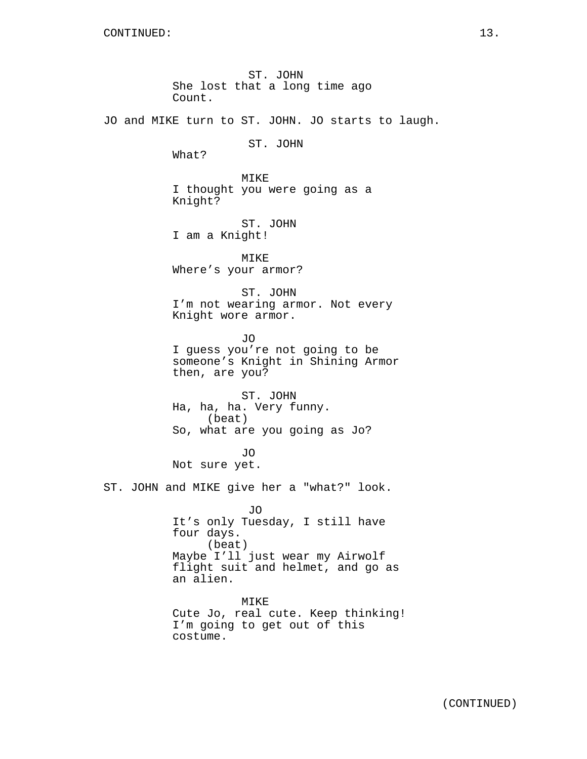ST. JOHN She lost that a long time ago Count. JO and MIKE turn to ST. JOHN. JO starts to laugh. ST. JOHN What? MIKE I thought you were going as a Knight? ST. JOHN I am a Knight! MIKE Where's your armor? ST. JOHN I'm not wearing armor. Not every Knight wore armor. JO I guess you're not going to be someone's Knight in Shining Armor then, are you? ST. JOHN Ha, ha, ha. Very funny. (beat) So, what are you going as Jo? JO Not sure yet. ST. JOHN and MIKE give her a "what?" look. JO It's only Tuesday, I still have four days. (beat) Maybe I'll just wear my Airwolf flight suit and helmet, and go as an alien. MIKE Cute Jo, real cute. Keep thinking! I'm going to get out of this costume.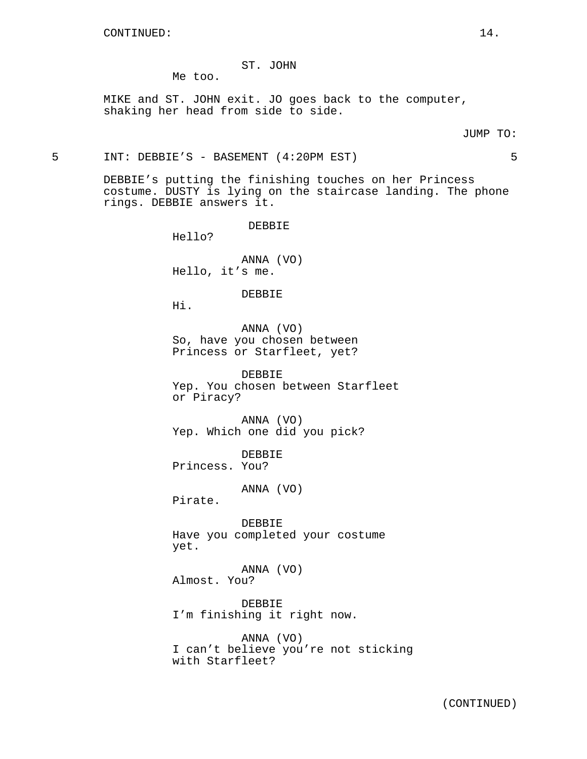## ST. JOHN

Me too.

MIKE and ST. JOHN exit. JO goes back to the computer, shaking her head from side to side.

#### JUMP TO:

5 INT: DEBBIE'S - BASEMENT (4:20PM EST) 5

DEBBIE's putting the finishing touches on her Princess costume. DUSTY is lying on the staircase landing. The phone rings. DEBBIE answers it.

DEBBIE

Hello?

ANNA (VO) Hello, it's me.

#### DEBBIE

Hi.

ANNA (VO) So, have you chosen between Princess or Starfleet, yet?

DEBBIE Yep. You chosen between Starfleet or Piracy?

ANNA (VO) Yep. Which one did you pick?

DEBBIE Princess. You?

ANNA (VO)

Pirate.

DEBBIE Have you completed your costume yet.

ANNA (VO) Almost. You?

DEBBIE I'm finishing it right now.

ANNA (VO) I can't believe you're not sticking with Starfleet?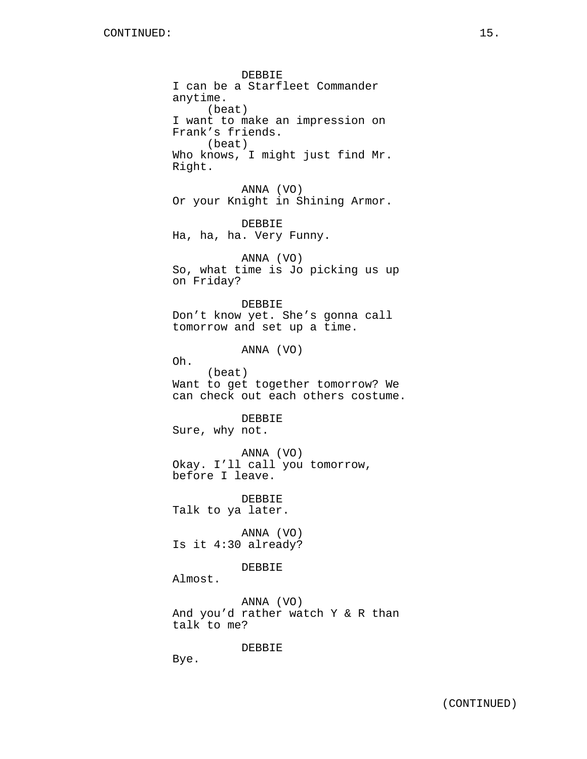DEBBIE I can be a Starfleet Commander anytime. (beat) I want to make an impression on Frank's friends. (beat) Who knows, I might just find Mr. Right. ANNA (VO) Or your Knight in Shining Armor. DEBBIE Ha, ha, ha. Very Funny. ANNA (VO) So, what time is Jo picking us up on Friday? DEBBIE Don't know yet. She's gonna call tomorrow and set up a time. ANNA (VO) Oh. (beat) Want to get together tomorrow? We can check out each others costume. DEBBIE Sure, why not. ANNA (VO) Okay. I'll call you tomorrow, before I leave. DEBBIE Talk to ya later. ANNA (VO) Is it 4:30 already? DEBBIE Almost. ANNA (VO) And you'd rather watch Y & R than talk to me?

DEBBIE

Bye.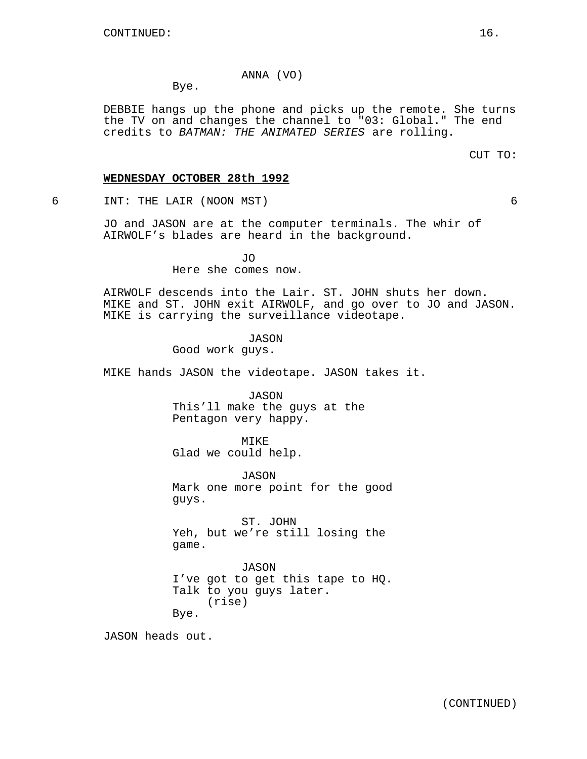## ANNA (VO)

Bye.

DEBBIE hangs up the phone and picks up the remote. She turns the TV on and changes the channel to "03: Global." The end credits to BATMAN: THE ANIMATED SERIES are rolling.

CUT TO:

### **WEDNESDAY OCTOBER 28th 1992**

6 INT: THE LAIR (NOON MST) 6

JO and JASON are at the computer terminals. The whir of AIRWOLF's blades are heard in the background.

JO

Here she comes now.

AIRWOLF descends into the Lair. ST. JOHN shuts her down. MIKE and ST. JOHN exit AIRWOLF, and go over to JO and JASON. MIKE is carrying the surveillance videotape.

JASON

Good work guys.

MIKE hands JASON the videotape. JASON takes it.

JASON This'll make the guys at the Pentagon very happy.

MIKE Glad we could help.

JASON Mark one more point for the good guys.

ST. JOHN Yeh, but we're still losing the game.

JASON I've got to get this tape to HQ. Talk to you guys later. (rise) Bye.

JASON heads out.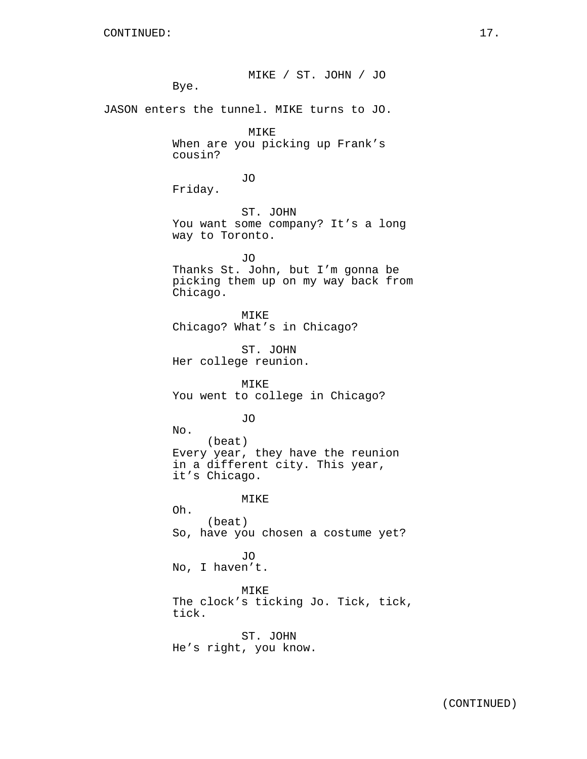MIKE / ST. JOHN / JO Bye. JASON enters the tunnel. MIKE turns to JO. MIKE When are you picking up Frank's cousin? JO Friday. ST. JOHN You want some company? It's a long way to Toronto. JO Thanks St. John, but I'm gonna be picking them up on my way back from Chicago. MIKE Chicago? What's in Chicago? ST. JOHN Her college reunion. MIKE You went to college in Chicago? JO No. (beat) Every year, they have the reunion in a different city. This year, it's Chicago. MIKE Oh. (beat) So, have you chosen a costume yet? JO No, I haven't. MIKE The clock's ticking Jo. Tick, tick, tick. ST. JOHN He's right, you know.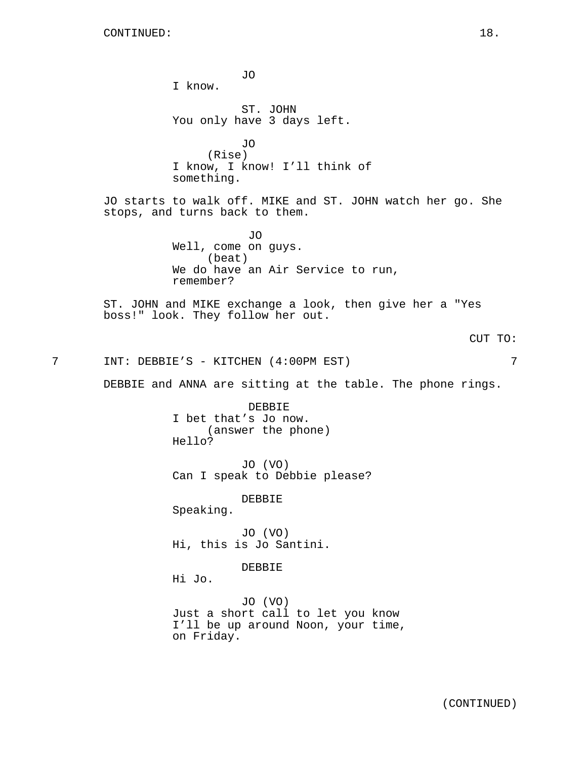JO I know. ST. JOHN You only have 3 days left. JO (Rise) I know, I know! I'll think of something. JO starts to walk off. MIKE and ST. JOHN watch her go. She stops, and turns back to them. JO Well, come on guys. (beat) We do have an Air Service to run, remember? ST. JOHN and MIKE exchange a look, then give her a "Yes boss!" look. They follow her out. CUT TO: 7 INT: DEBBIE'S - KITCHEN (4:00PM EST) 7 DEBBIE and ANNA are sitting at the table. The phone rings. DEBBIE I bet that's Jo now. (answer the phone) Hello? JO (VO) Can I speak to Debbie please? DEBBIE Speaking. JO (VO) Hi, this is Jo Santini. DEBBIE Hi Jo. JO (VO) Just a short call to let you know I'll be up around Noon, your time, on Friday.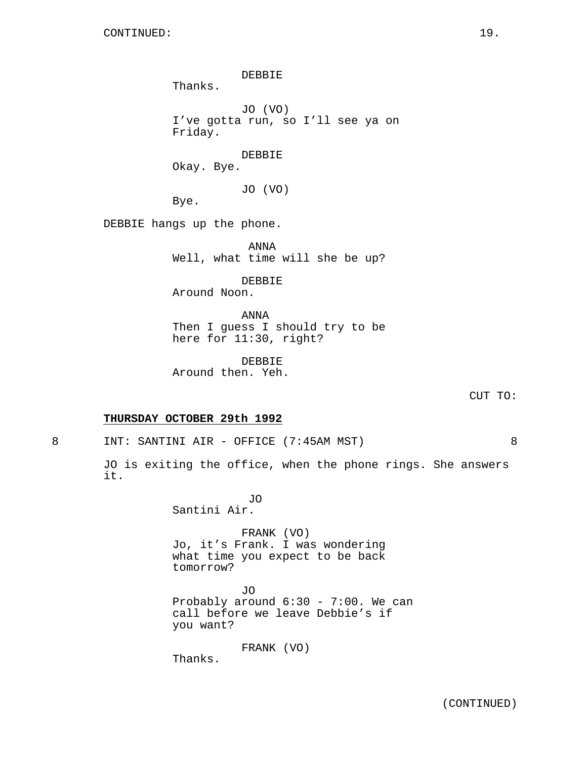DEBBIE Thanks. JO (VO) I've gotta run, so I'll see ya on Friday. DEBBIE Okay. Bye. JO (VO) Bye. DEBBIE hangs up the phone. ANNA Well, what time will she be up? DEBBIE

Around Noon.

ANNA Then I guess I should try to be here for 11:30, right?

DEBBIE Around then. Yeh.

CUT TO:

### **THURSDAY OCTOBER 29th 1992**

8 INT: SANTINI AIR - OFFICE (7:45AM MST) 8

JO is exiting the office, when the phone rings. She answers it.

> JO Santini Air.

FRANK (VO) Jo, it's Frank. I was wondering what time you expect to be back tomorrow?

JO Probably around 6:30 - 7:00. We can call before we leave Debbie's if you want?

FRANK (VO)

Thanks.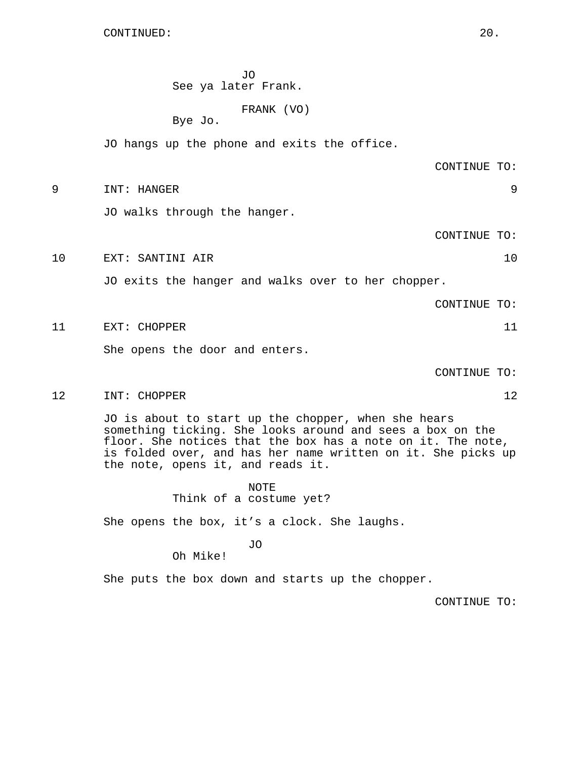CONTINUED: 20.

JO See ya later Frank.

FRANK (VO)

Bye Jo.

JO hangs up the phone and exits the office.

CONTINUE TO:

9 INT: HANGER 9

JO walks through the hanger.

CONTINUE TO:

10 EXT: SANTINI AIR 10

JO exits the hanger and walks over to her chopper.

CONTINUE TO:

11 EXT: CHOPPER 11

She opens the door and enters.

CONTINUE TO:

12 INT: CHOPPER 12

JO is about to start up the chopper, when she hears something ticking. She looks around and sees a box on the floor. She notices that the box has a note on it. The note, is folded over, and has her name written on it. She picks up the note, opens it, and reads it.

> NOTE Think of a costume yet?

She opens the box, it's a clock. She laughs.

JO

Oh Mike!

She puts the box down and starts up the chopper.

CONTINUE TO: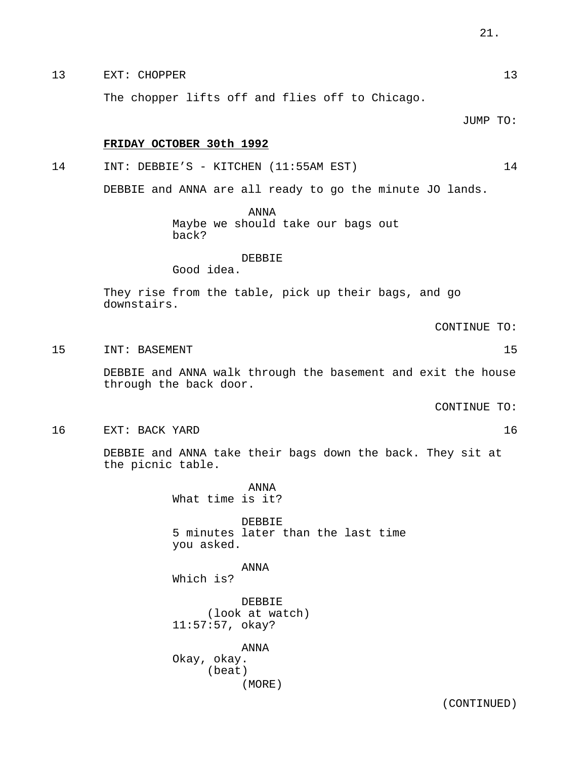# 13 EXT: CHOPPER 13

The chopper lifts off and flies off to Chicago.

JUMP TO:

## **FRIDAY OCTOBER 30th 1992**

14 INT: DEBBIE'S - KITCHEN (11:55AM EST) 14

DEBBIE and ANNA are all ready to go the minute JO lands.

ANNA Maybe we should take our bags out back?

## DEBBIE

Good idea.

They rise from the table, pick up their bags, and go downstairs.

CONTINUE TO:

15 INT: BASEMENT 15 2012

DEBBIE and ANNA walk through the basement and exit the house through the back door.

CONTINUE TO:

16 EXT: BACK YARD 16

DEBBIE and ANNA take their bags down the back. They sit at the picnic table.

> ANNA What time is it?

DEBBIE 5 minutes later than the last time you asked.

ANNA Which is?

DEBBIE (look at watch) 11:57:57, okay?

ANNA Okay, okay. (beat) (MORE)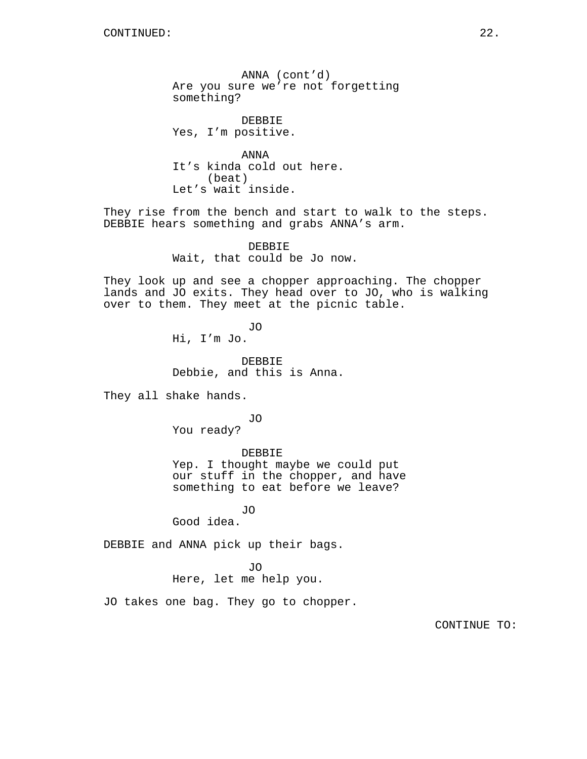ANNA (cont'd) Are you sure we're not forgetting something?

DEBBIE Yes, I'm positive.

ANNA It's kinda cold out here. (beat) Let's wait inside.

They rise from the bench and start to walk to the steps. DEBBIE hears something and grabs ANNA's arm.

> DEBBIE Wait, that could be Jo now.

They look up and see a chopper approaching. The chopper lands and JO exits. They head over to JO, who is walking over to them. They meet at the picnic table.

> JO Hi, I'm Jo.

DEBBIE Debbie, and this is Anna.

They all shake hands.

JO You ready?

DEBBIE

Yep. I thought maybe we could put our stuff in the chopper, and have something to eat before we leave?

JO Good idea.

DEBBIE and ANNA pick up their bags.

JO

Here, let me help you.

JO takes one bag. They go to chopper.

CONTINUE TO: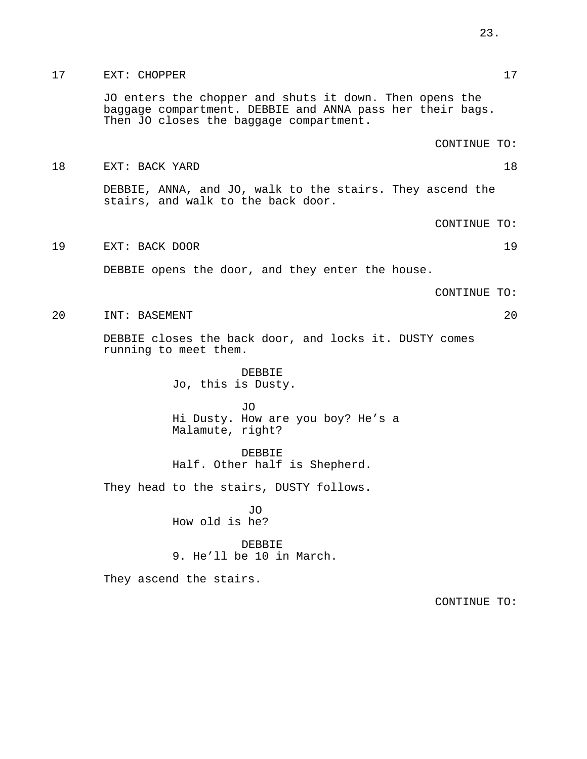JO enters the chopper and shuts it down. Then opens the baggage compartment. DEBBIE and ANNA pass her their bags. Then JO closes the baggage compartment.

CONTINUE TO:

18 EXT: BACK YARD 18

DEBBIE, ANNA, and JO, walk to the stairs. They ascend the stairs, and walk to the back door.

CONTINUE TO:

19 EXT: BACK DOOR 19

DEBBIE opens the door, and they enter the house.

CONTINUE TO:

20 INT: BASEMENT 20

DEBBIE closes the back door, and locks it. DUSTY comes running to meet them.

> DEBBIE Jo, this is Dusty.

JO Hi Dusty. How are you boy? He's a Malamute, right?

DEBBIE Half. Other half is Shepherd.

They head to the stairs, DUSTY follows.

JO How old is he?

DEBBIE 9. He'll be 10 in March.

They ascend the stairs.

CONTINUE TO: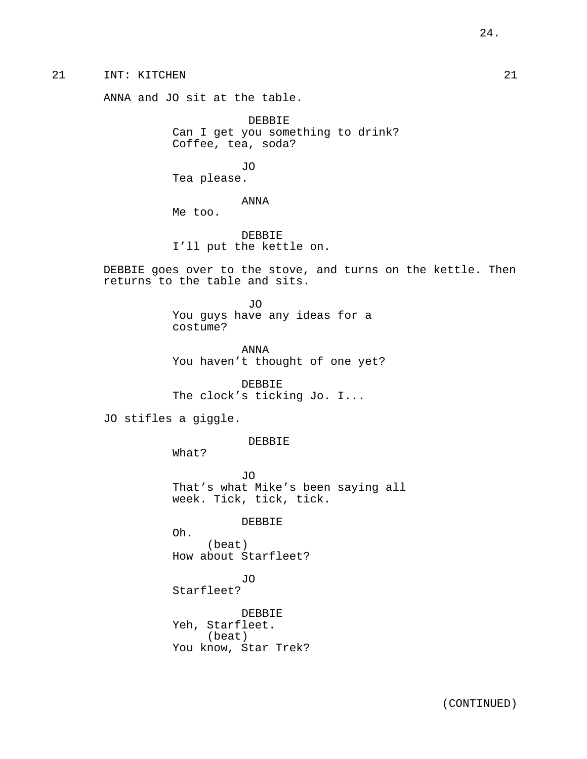21 INT: KITCHEN 21

ANNA and JO sit at the table.

DEBBIE Can I get you something to drink? Coffee, tea, soda?

JO Tea please.

ANNA

Me too.

DEBBIE I'll put the kettle on.

DEBBIE goes over to the stove, and turns on the kettle. Then returns to the table and sits.

> JO You guys have any ideas for a costume?

ANNA You haven't thought of one yet?

DEBBIE The clock's ticking Jo. I...

JO stifles a giggle.

DEBBIE

What?

JO That's what Mike's been saying all week. Tick, tick, tick.

DEBBIE

Oh. (beat) How about Starfleet?

JO Starfleet?

DEBBIE Yeh, Starfleet. (beat) You know, Star Trek?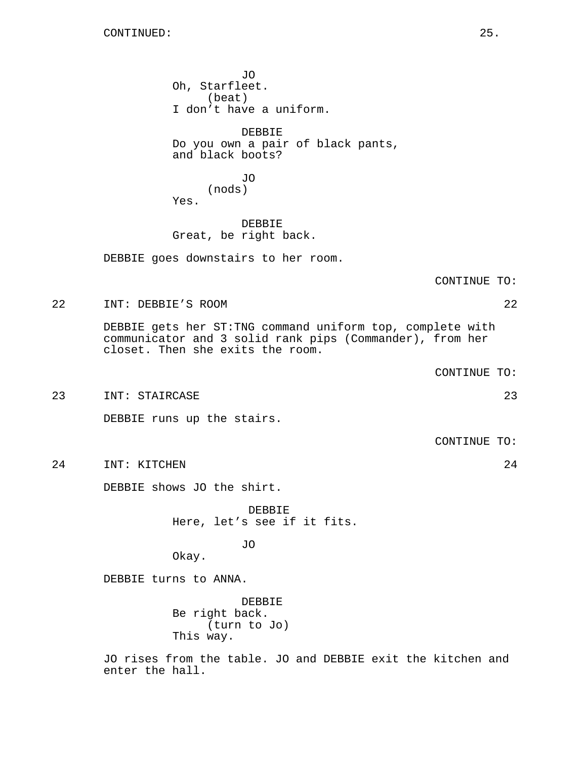JO Oh, Starfleet. (beat) I don't have a uniform. DEBBIE Do you own a pair of black pants, and black boots? JO (nods) Yes. DEBBIE Great, be right back. DEBBIE goes downstairs to her room. CONTINUE TO: 22 INT: DEBBIE'S ROOM 22 DEBBIE gets her ST:TNG command uniform top, complete with communicator and 3 solid rank pips (Commander), from her closet. Then she exits the room. CONTINUE TO: 23 INT: STAIRCASE 23 DEBBIE runs up the stairs. CONTINUE TO: 24 INT: KITCHEN 24 DEBBIE shows JO the shirt. DEBBIE Here, let's see if it fits. JO Okay. DEBBIE turns to ANNA. DEBBIE Be right back. (turn to Jo) This way. JO rises from the table. JO and DEBBIE exit the kitchen and

enter the hall.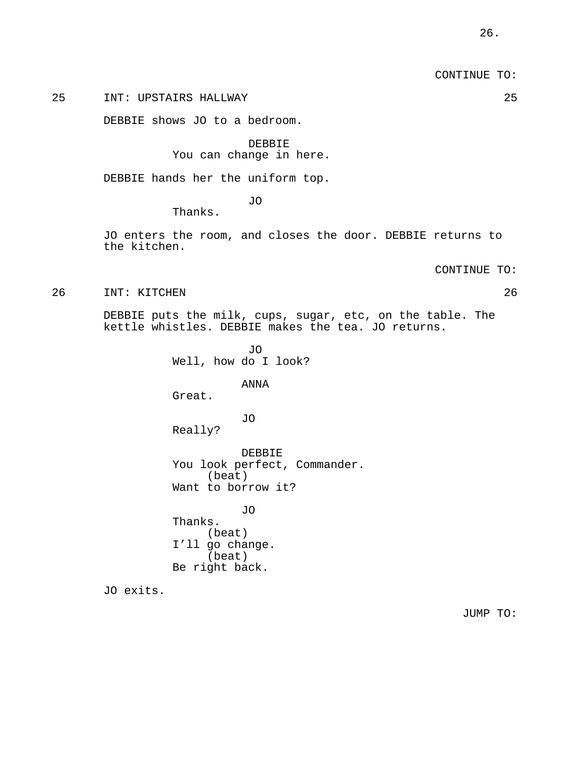CONTINUE TO:

## 25 INT: UPSTAIRS HALLWAY 25

DEBBIE shows JO to a bedroom.

DEBBIE You can change in here.

DEBBIE hands her the uniform top.

JO

Thanks.

JO enters the room, and closes the door. DEBBIE returns to the kitchen.

CONTINUE TO:

26 INT: KITCHEN 26

DEBBIE puts the milk, cups, sugar, etc, on the table. The kettle whistles. DEBBIE makes the tea. JO returns.

> Well, how do I look? ANNA Great. JO Really? DEBBIE You look perfect, Commander. (beat) Want to borrow it?

JO

JO Thanks. (beat) I'll go change. (beat) Be right back.

JO exits.

JUMP TO: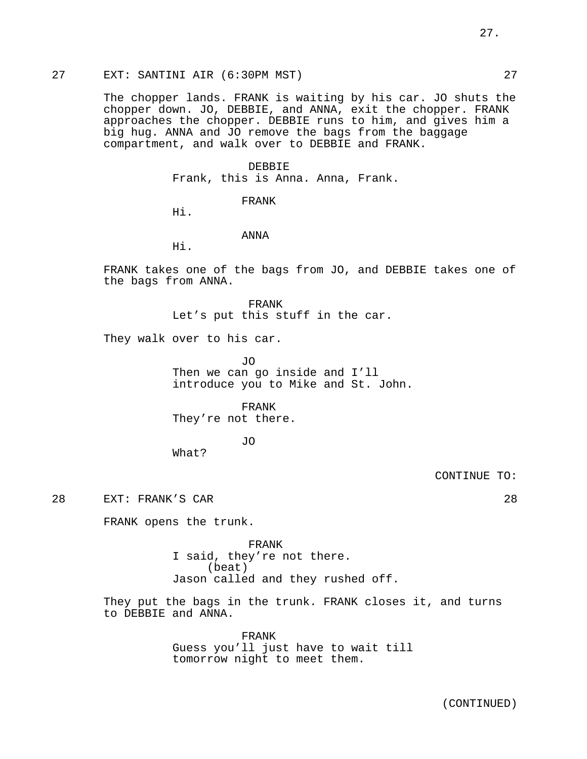The chopper lands. FRANK is waiting by his car. JO shuts the chopper down. JO, DEBBIE, and ANNA, exit the chopper. FRANK approaches the chopper. DEBBIE runs to him, and gives him a big hug. ANNA and JO remove the bags from the baggage compartment, and walk over to DEBBIE and FRANK.

#### DEBBIE

Frank, this is Anna. Anna, Frank.

FRANK

Hi.

ANNA

Hi.

FRANK takes one of the bags from JO, and DEBBIE takes one of the bags from ANNA.

> FRANK Let's put this stuff in the car.

They walk over to his car.

JO Then we can go inside and I'll introduce you to Mike and St. John.

FRANK

They're not there.

JO

What?

CONTINUE TO:

28 EXT: FRANK'S CAR 28

FRANK opens the trunk.

FRANK I said, they're not there. (beat) Jason called and they rushed off.

They put the bags in the trunk. FRANK closes it, and turns to DEBBIE and ANNA.

> FRANK Guess you'll just have to wait till tomorrow night to meet them.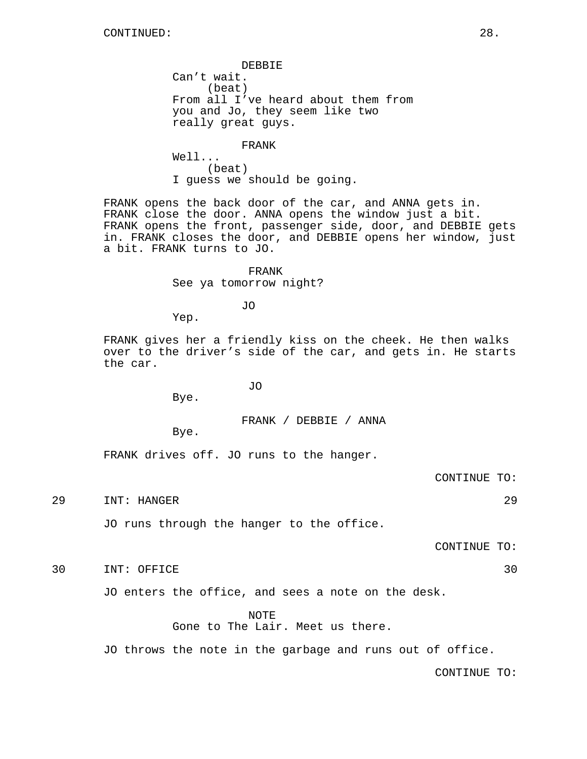DEBBIE Can't wait. (beat) From all I've heard about them from you and Jo, they seem like two really great guys.

FRANK

Well... (beat) I guess we should be going.

FRANK opens the back door of the car, and ANNA gets in. FRANK close the door. ANNA opens the window just a bit. FRANK opens the front, passenger side, door, and DEBBIE gets in. FRANK closes the door, and DEBBIE opens her window, just a bit. FRANK turns to JO.

> FRANK See ya tomorrow night?

> > JO

Yep.

FRANK gives her a friendly kiss on the cheek. He then walks over to the driver's side of the car, and gets in. He starts the car.

JO

Bye.

FRANK / DEBBIE / ANNA

Bye.

FRANK drives off. JO runs to the hanger.

CONTINUE TO:

29 INT: HANGER 29

JO runs through the hanger to the office.

CONTINUE TO:

30 INT: OFFICE 30

JO enters the office, and sees a note on the desk.

NOTE

Gone to The Lair. Meet us there.

JO throws the note in the garbage and runs out of office.

CONTINUE TO: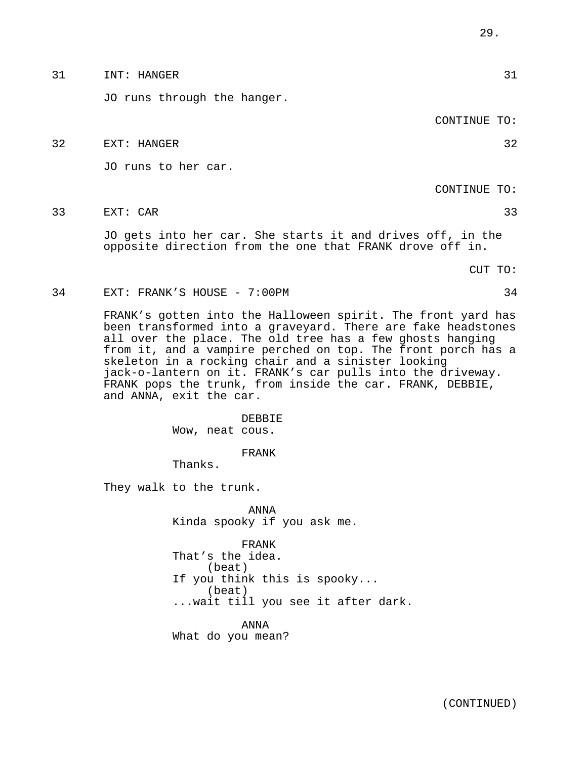|    | CONTINUE TO:                                                                                                                                                                                                                                                                                                                                                                                                                                                          |
|----|-----------------------------------------------------------------------------------------------------------------------------------------------------------------------------------------------------------------------------------------------------------------------------------------------------------------------------------------------------------------------------------------------------------------------------------------------------------------------|
| 32 | 32<br>EXT: HANGER                                                                                                                                                                                                                                                                                                                                                                                                                                                     |
|    | JO runs to her car.                                                                                                                                                                                                                                                                                                                                                                                                                                                   |
|    | CONTINUE TO:                                                                                                                                                                                                                                                                                                                                                                                                                                                          |
| 33 | 33<br>EXT: CAR                                                                                                                                                                                                                                                                                                                                                                                                                                                        |
|    | JO gets into her car. She starts it and drives off, in the<br>opposite direction from the one that FRANK drove off in.                                                                                                                                                                                                                                                                                                                                                |
|    | CUT TO:                                                                                                                                                                                                                                                                                                                                                                                                                                                               |
| 34 | EXT: FRANK'S HOUSE - 7:00PM<br>34                                                                                                                                                                                                                                                                                                                                                                                                                                     |
|    | FRANK's gotten into the Halloween spirit. The front yard has<br>been transformed into a graveyard. There are fake headstones<br>all over the place. The old tree has a few ghosts hanging<br>from it, and a vampire perched on top. The front porch has a<br>skeleton in a rocking chair and a sinister looking<br>jack-o-lantern on it. FRANK's car pulls into the driveway.<br>FRANK pops the trunk, from inside the car. FRANK, DEBBIE,<br>and ANNA, exit the car. |
|    | DEBBIE<br>Wow, neat cous.                                                                                                                                                                                                                                                                                                                                                                                                                                             |
|    | FRANK<br>Thanks.                                                                                                                                                                                                                                                                                                                                                                                                                                                      |
|    | They walk to the trunk.                                                                                                                                                                                                                                                                                                                                                                                                                                               |
|    | ANNA<br>Kinda spooky if you ask me.                                                                                                                                                                                                                                                                                                                                                                                                                                   |
|    | FRANK<br>That's the idea.<br>(beat)<br>If you think this is spooky<br>(beat)<br>wait till you see it after dark.<br>ANNA<br>What do you mean?                                                                                                                                                                                                                                                                                                                         |
|    |                                                                                                                                                                                                                                                                                                                                                                                                                                                                       |

JO runs through the hanger.

(CONTINUED)

31 INT: HANGER 31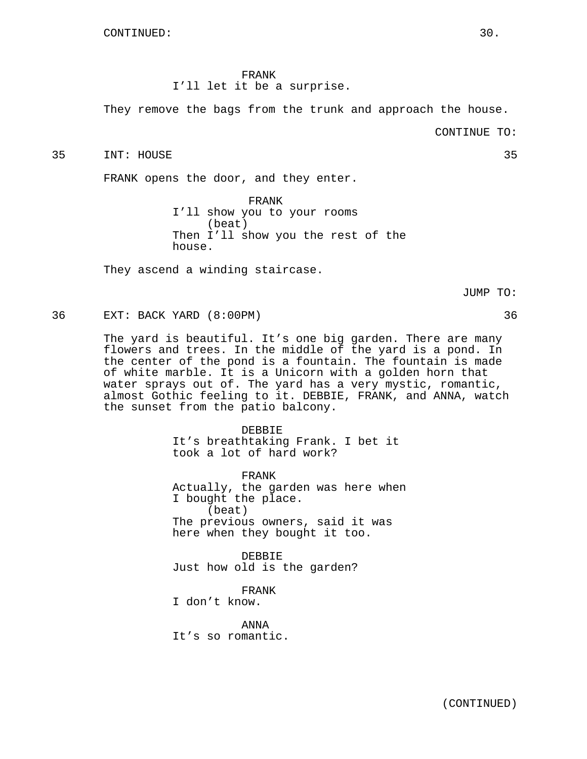#### FRANK

I'll let it be a surprise.

They remove the bags from the trunk and approach the house.

CONTINUE TO:

35 INT: HOUSE 35

FRANK opens the door, and they enter.

FRANK I'll show you to your rooms (beat) Then I'll show you the rest of the house.

They ascend a winding staircase.

JUMP TO:

36 EXT: BACK YARD (8:00PM) 36

The yard is beautiful. It's one big garden. There are many flowers and trees. In the middle of the yard is a pond. In the center of the pond is a fountain. The fountain is made of white marble. It is a Unicorn with a golden horn that water sprays out of. The yard has a very mystic, romantic, almost Gothic feeling to it. DEBBIE, FRANK, and ANNA, watch the sunset from the patio balcony.

> DEBBIE It's breathtaking Frank. I bet it took a lot of hard work?

FRANK Actually, the garden was here when I bought the place. (beat) The previous owners, said it was here when they bought it too.

DEBBIE Just how old is the garden?

FRANK

I don't know.

ANNA It's so romantic.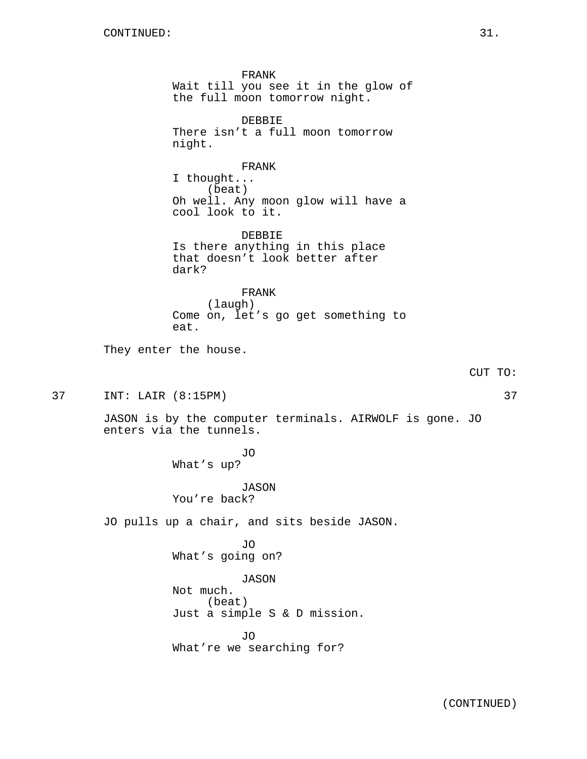FRANK Wait till you see it in the glow of the full moon tomorrow night. DEBBIE There isn't a full moon tomorrow night. FRANK I thought... (beat) Oh well. Any moon glow will have a cool look to it. DEBBIE Is there anything in this place that doesn't look better after dark? FRANK (laugh) Come on, let's go get something to eat. They enter the house. CUT TO: 37 INT: LAIR (8:15PM) 37 JASON is by the computer terminals. AIRWOLF is gone. JO enters via the tunnels. JO What's up? JASON You're back? JO pulls up a chair, and sits beside JASON. JO What's going on? JASON Not much. (beat) Just a simple S & D mission. JO What're we searching for?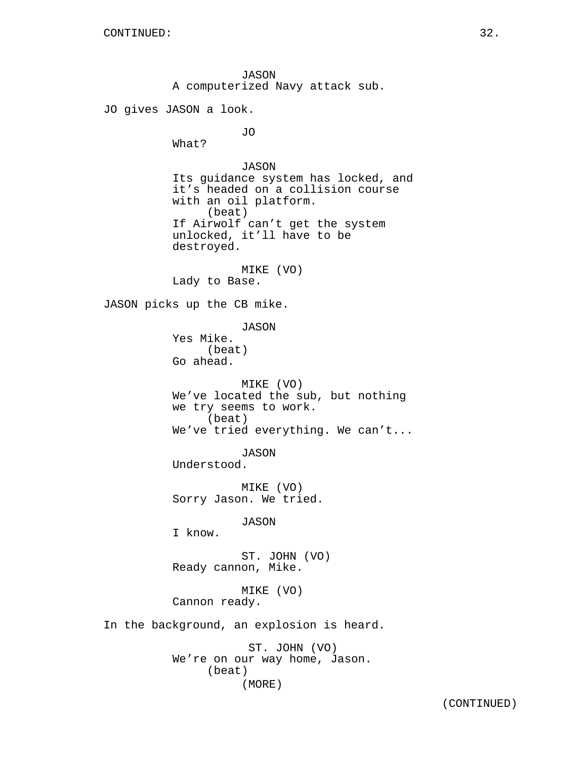JASON A computerized Navy attack sub. JO gives JASON a look. JO What? JASON Its guidance system has locked, and it's headed on a collision course with an oil platform. (beat) If Airwolf can't get the system unlocked, it'll have to be destroyed. MIKE (VO) Lady to Base. JASON picks up the CB mike. JASON Yes Mike. (beat) Go ahead. MIKE (VO) We've located the sub, but nothing we try seems to work. (beat) We've tried everything. We can't... JASON Understood. MIKE (VO) Sorry Jason. We tried. JASON I know. ST. JOHN (VO) Ready cannon, Mike. MIKE (VO) Cannon ready. In the background, an explosion is heard. ST. JOHN (VO) We're on our way home, Jason. (beat) (MORE)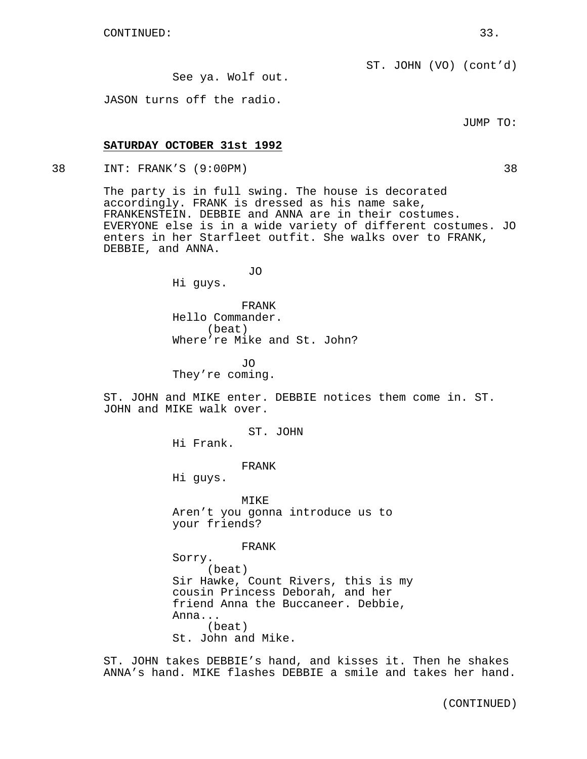See ya. Wolf out.

JASON turns off the radio.

JUMP TO:

### **SATURDAY OCTOBER 31st 1992**

38 INT: FRANK'S (9:00PM) 38

The party is in full swing. The house is decorated accordingly. FRANK is dressed as his name sake, FRANKENSTEIN. DEBBIE and ANNA are in their costumes. EVERYONE else is in a wide variety of different costumes. JO enters in her Starfleet outfit. She walks over to FRANK, DEBBIE, and ANNA.

JO

Hi guys.

FRANK Hello Commander. (beat) Where're Mike and St. John?

JO They're coming.

ST. JOHN and MIKE enter. DEBBIE notices them come in. ST. JOHN and MIKE walk over.

ST. JOHN

Hi Frank.

FRANK

Hi guys.

MIKE Aren't you gonna introduce us to your friends?

FRANK

Sorry. (beat) Sir Hawke, Count Rivers, this is my cousin Princess Deborah, and her friend Anna the Buccaneer. Debbie, Anna... (beat) St. John and Mike.

ST. JOHN takes DEBBIE's hand, and kisses it. Then he shakes ANNA's hand. MIKE flashes DEBBIE a smile and takes her hand.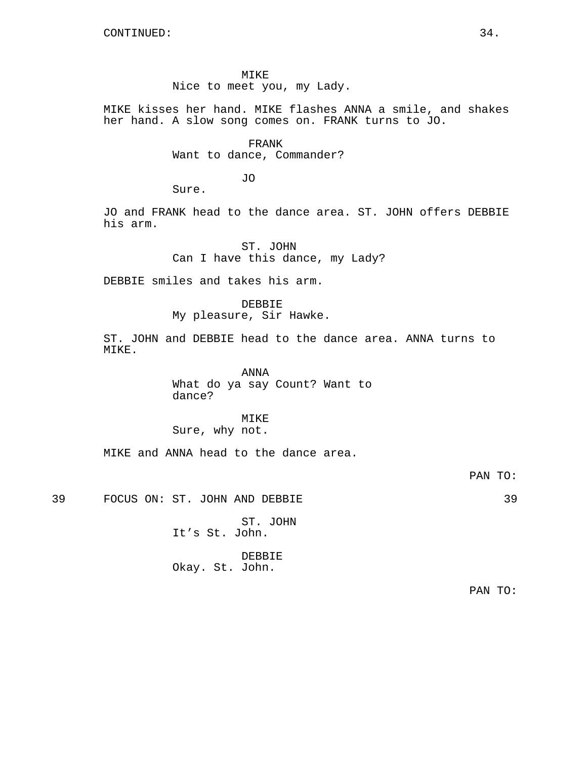#### MIKE

Nice to meet you, my Lady.

MIKE kisses her hand. MIKE flashes ANNA a smile, and shakes her hand. A slow song comes on. FRANK turns to JO.

> FRANK Want to dance, Commander?

> > JO

Sure.

JO and FRANK head to the dance area. ST. JOHN offers DEBBIE his arm.

> ST. JOHN Can I have this dance, my Lady?

DEBBIE smiles and takes his arm.

DEBBIE My pleasure, Sir Hawke.

ST. JOHN and DEBBIE head to the dance area. ANNA turns to MTKE.

> ANNA What do ya say Count? Want to dance?

MIKE Sure, why not.

MIKE and ANNA head to the dance area.

PAN TO:

39 FOCUS ON: ST. JOHN AND DEBBIE 39

ST. JOHN It's St. John.

DEBBIE Okay. St. John.

PAN TO: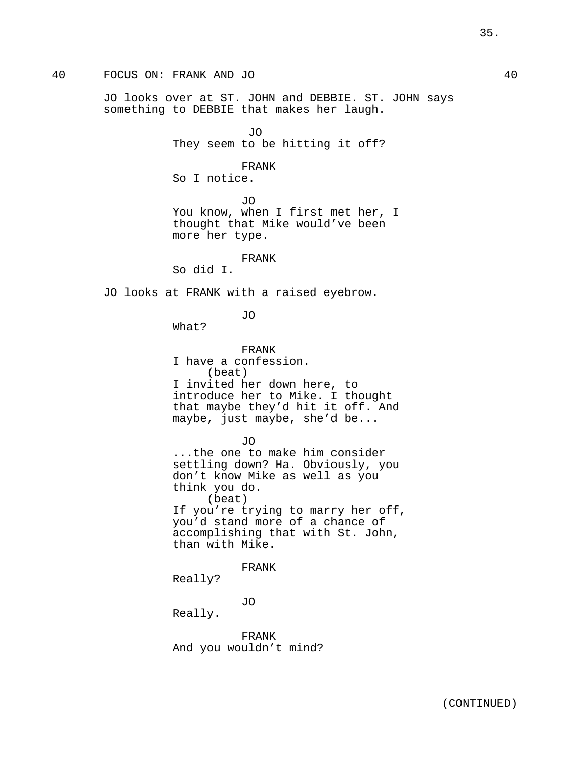# 40 FOCUS ON: FRANK AND JO 40

JO looks over at ST. JOHN and DEBBIE. ST. JOHN says something to DEBBIE that makes her laugh.

> JO They seem to be hitting it off?

FRANK So I notice.

JO

You know, when I first met her, I thought that Mike would've been more her type.

FRANK

So did I.

JO looks at FRANK with a raised eyebrow.

JO

What?

FRANK I have a confession. (beat) I invited her down here, to introduce her to Mike. I thought that maybe they'd hit it off. And maybe, just maybe, she'd be...

JO

...the one to make him consider settling down? Ha. Obviously, you don't know Mike as well as you think you do. (beat) If you're trying to marry her off, you'd stand more of a chance of accomplishing that with St. John, than with Mike.

FRANK

Really?

JO

Really.

FRANK And you wouldn't mind?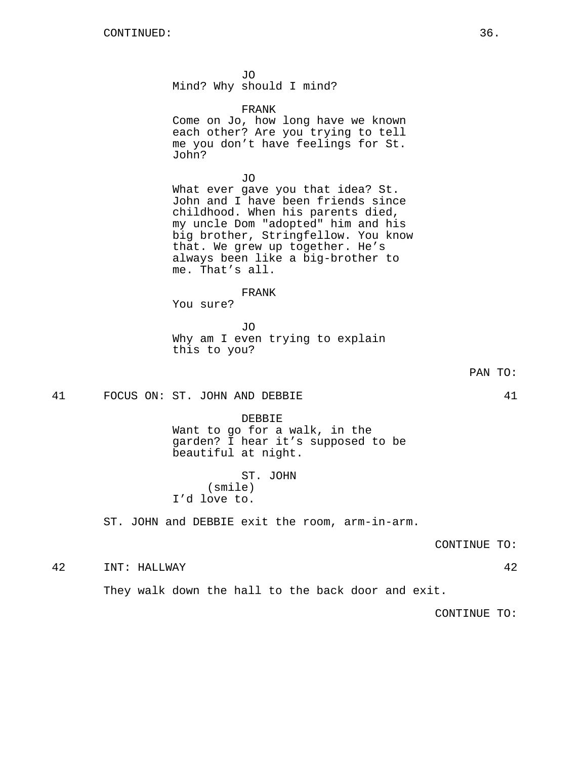JO

Mind? Why should I mind?

FRANK

Come on Jo, how long have we known each other? Are you trying to tell me you don't have feelings for St. John?

JO What ever gave you that idea? St. John and I have been friends since childhood. When his parents died, my uncle Dom "adopted" him and his big brother, Stringfellow. You know that. We grew up together. He's always been like a big-brother to me. That's all.

#### FRANK

You sure?

JO Why am I even trying to explain this to you?

41 FOCUS ON: ST. JOHN AND DEBBIE 41

#### DEBBIE

Want to go for a walk, in the garden? I hear it's supposed to be beautiful at night.

ST. JOHN (smile) I'd love to.

ST. JOHN and DEBBIE exit the room, arm-in-arm.

CONTINUE TO:

42 INT: HALLWAY 42

They walk down the hall to the back door and exit.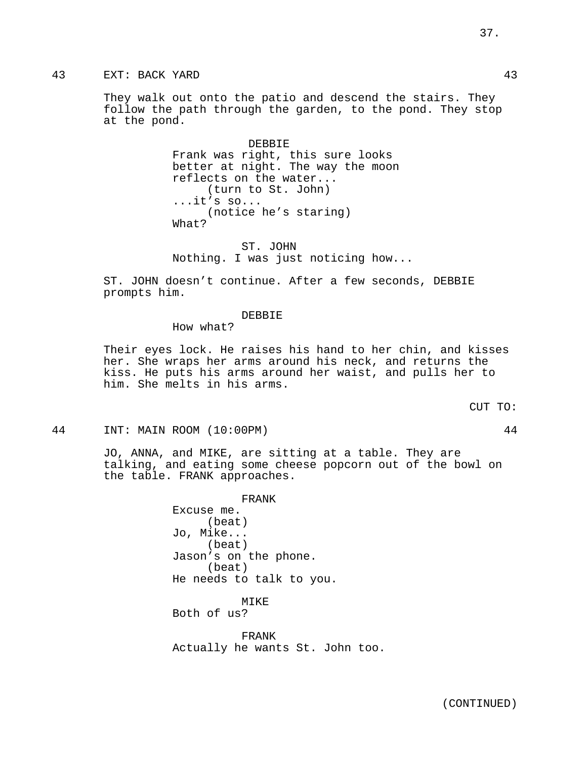37.

They walk out onto the patio and descend the stairs. They follow the path through the garden, to the pond. They stop at the pond.

> DEBBIE Frank was right, this sure looks better at night. The way the moon reflects on the water... (turn to St. John) ...it's so... (notice he's staring) What?

ST. JOHN Nothing. I was just noticing how...

ST. JOHN doesn't continue. After a few seconds, DEBBIE prompts him.

DEBBIE

How what?

Their eyes lock. He raises his hand to her chin, and kisses her. She wraps her arms around his neck, and returns the kiss. He puts his arms around her waist, and pulls her to him. She melts in his arms.

CUT TO:

44 INT: MAIN ROOM (10:00PM) 44

JO, ANNA, and MIKE, are sitting at a table. They are talking, and eating some cheese popcorn out of the bowl on the table. FRANK approaches.

> FRANK Excuse me. (beat) Jo, Mike... (beat) Jason's on the phone. (beat) He needs to talk to you.

MIKE Both of us?

FRANK Actually he wants St. John too.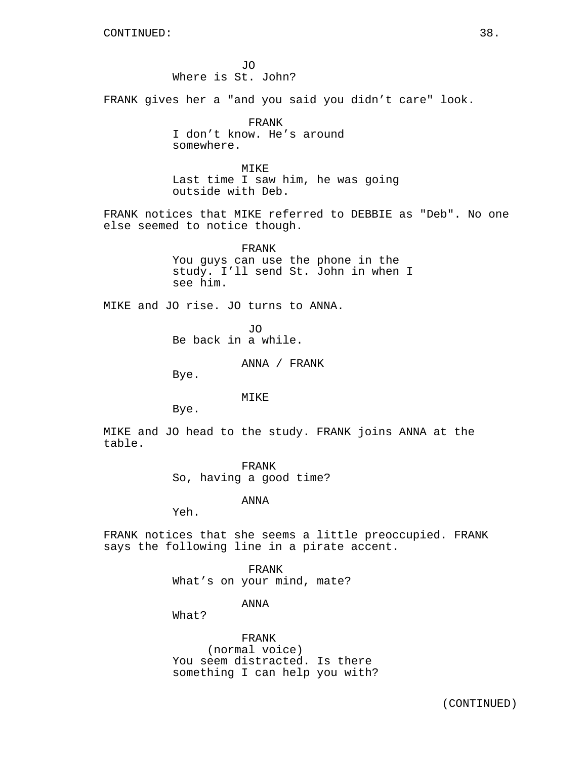JO Where is St. John?

FRANK gives her a "and you said you didn't care" look.

FRANK I don't know. He's around somewhere.

MIKE Last time I saw him, he was going outside with Deb.

FRANK notices that MIKE referred to DEBBIE as "Deb". No one else seemed to notice though.

> FRANK You guys can use the phone in the study. I'll send St. John in when I see him.

MIKE and JO rise. JO turns to ANNA.

JO Be back in a while.

ANNA / FRANK

Bye.

MTKE<sup>®</sup>

Bye.

MIKE and JO head to the study. FRANK joins ANNA at the table.

> FRANK So, having a good time?

> > ANNA

Yeh.

FRANK notices that she seems a little preoccupied. FRANK says the following line in a pirate accent.

> FRANK What's on your mind, mate?

> > ANNA

What?

FRANK (normal voice) You seem distracted. Is there something I can help you with?

(CONTINUED)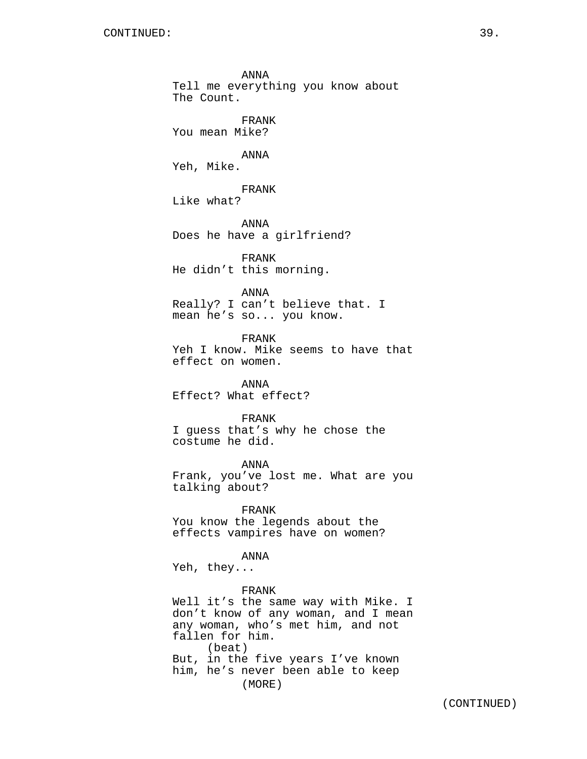Tell me everything you know about The Count. FRANK You mean Mike? ANNA Yeh, Mike. FRANK Like what? ANNA Does he have a girlfriend? FRANK He didn't this morning. ANNA Really? I can't believe that. I mean he's so... you know. FRANK Yeh I know. Mike seems to have that effect on women. ANNA Effect? What effect? FRANK I guess that's why he chose the costume he did. ANNA Frank, you've lost me. What are you talking about? FRANK You know the legends about the effects vampires have on women? ANNA Yeh, they... FRANK Well it's the same way with Mike. I don't know of any woman, and I mean any woman, who's met him, and not fallen for him. (beat) But, in the five years I've known him, he's never been able to keep (MORE)

ANNA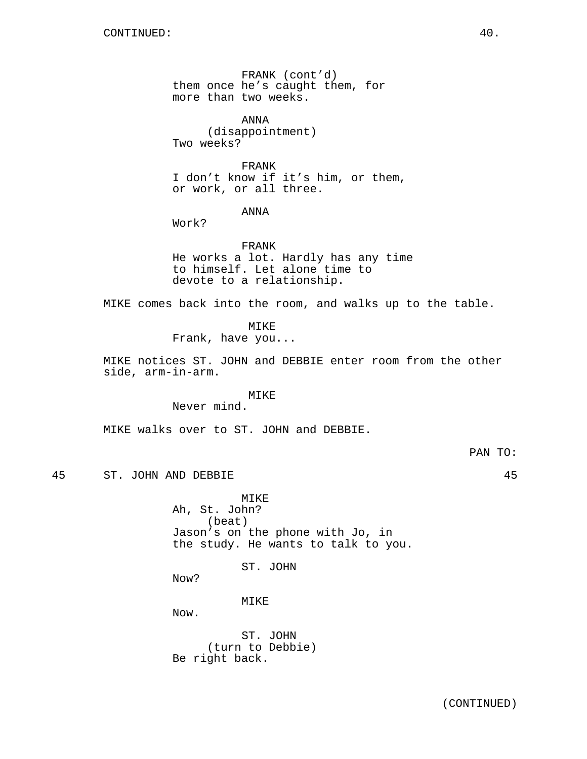FRANK (cont'd) them once he's caught them, for more than two weeks.

ANNA (disappointment) Two weeks?

FRANK I don't know if it's him, or them, or work, or all three.

# ANNA

Work?

FRANK He works a lot. Hardly has any time to himself. Let alone time to devote to a relationship.

MIKE comes back into the room, and walks up to the table.

# MIKE

Frank, have you...

MIKE notices ST. JOHN and DEBBIE enter room from the other side, arm-in-arm.

# MIKE

Never mind.

MIKE walks over to ST. JOHN and DEBBIE.

PAN TO:

45 ST. JOHN AND DEBBIE 45

MIKE Ah, St. John? (beat) Jason's on the phone with Jo, in the study. He wants to talk to you.

ST. JOHN

Now?

MIKE

Now.

ST. JOHN (turn to Debbie) Be right back.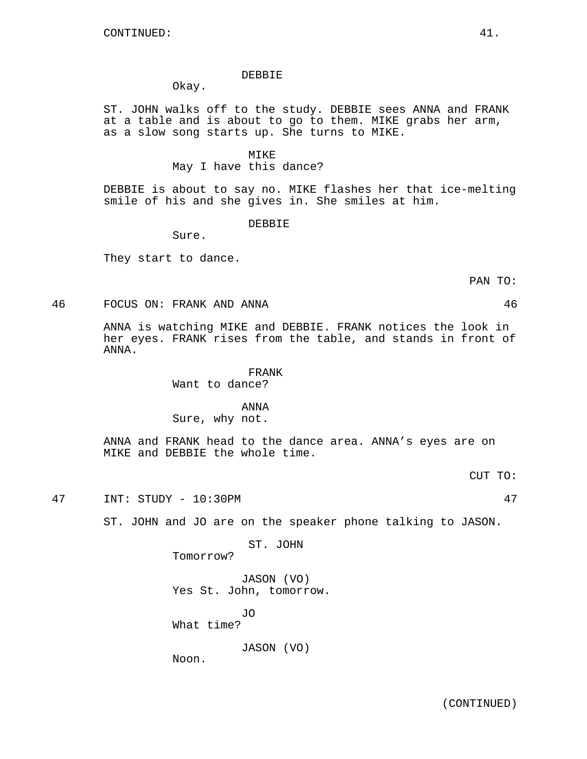#### DEBBIE

Okay.

ST. JOHN walks off to the study. DEBBIE sees ANNA and FRANK at a table and is about to go to them. MIKE grabs her arm, as a slow song starts up. She turns to MIKE.

#### MIKE

May I have this dance?

DEBBIE is about to say no. MIKE flashes her that ice-melting smile of his and she gives in. She smiles at him.

DEBBIE

Sure.

They start to dance.

46 FOCUS ON: FRANK AND ANNA 46

ANNA is watching MIKE and DEBBIE. FRANK notices the look in her eyes. FRANK rises from the table, and stands in front of ANNA.

# FRANK

Want to dance?

# ANNA

Sure, why not.

ANNA and FRANK head to the dance area. ANNA's eyes are on MIKE and DEBBIE the whole time.

CUT TO:

47 INT: STUDY - 10:30PM 47

ST. JOHN and JO are on the speaker phone talking to JASON.

ST. JOHN

Tomorrow?

JASON (VO) Yes St. John, tomorrow.

JO What time?

JASON (VO)

Noon.

PAN TO: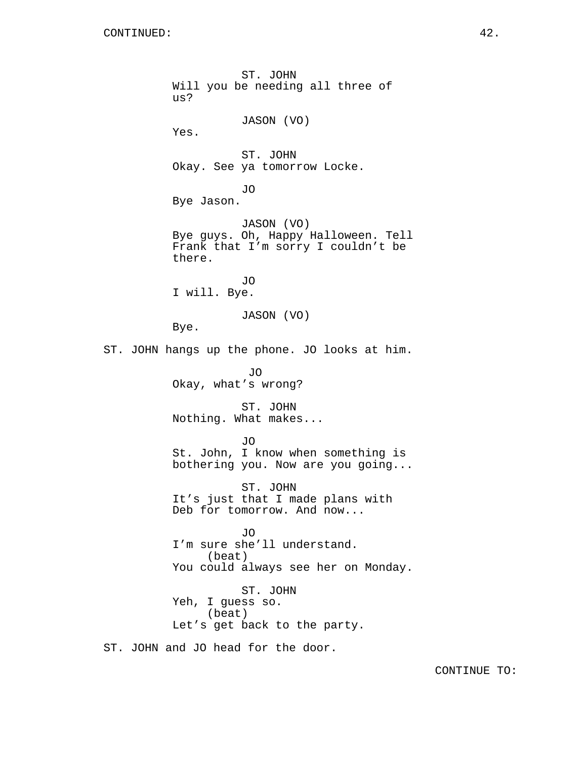ST. JOHN Will you be needing all three of us? JASON (VO) Yes. ST. JOHN Okay. See ya tomorrow Locke. JO Bye Jason. JASON (VO) Bye guys. Oh, Happy Halloween. Tell Frank that I'm sorry I couldn't be there. JO I will. Bye. JASON (VO) Bye. ST. JOHN hangs up the phone. JO looks at him. JO Okay, what's wrong? ST. JOHN Nothing. What makes... JO St. John, I know when something is bothering you. Now are you going... ST. JOHN It's just that I made plans with Deb for tomorrow. And now... JO I'm sure she'll understand. (beat) You could always see her on Monday. ST. JOHN Yeh, I guess so. (beat) Let's get back to the party. ST. JOHN and JO head for the door.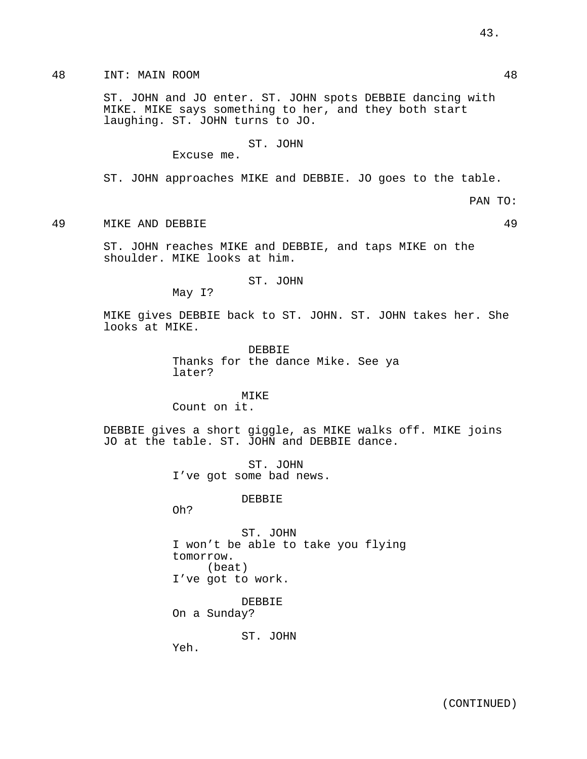ST. JOHN and JO enter. ST. JOHN spots DEBBIE dancing with MIKE. MIKE says something to her, and they both start laughing. ST. JOHN turns to JO.

# ST. JOHN

Excuse me.

ST. JOHN approaches MIKE and DEBBIE. JO goes to the table.

PAN TO:

49 MIKE AND DEBBIE 49

ST. JOHN reaches MIKE and DEBBIE, and taps MIKE on the shoulder. MIKE looks at him.

### ST. JOHN

May I?

MIKE gives DEBBIE back to ST. JOHN. ST. JOHN takes her. She looks at MIKE.

> DEBBIE Thanks for the dance Mike. See ya later?

MIKE Count on it.

DEBBIE gives a short giggle, as MIKE walks off. MIKE joins JO at the table. ST. JOHN and DEBBIE dance.

> ST. JOHN I've got some bad news.

> > DEBBIE

Oh?

ST. JOHN I won't be able to take you flying tomorrow. (beat) I've got to work.

DEBBIE On a Sunday?

ST. JOHN

Yeh.

43.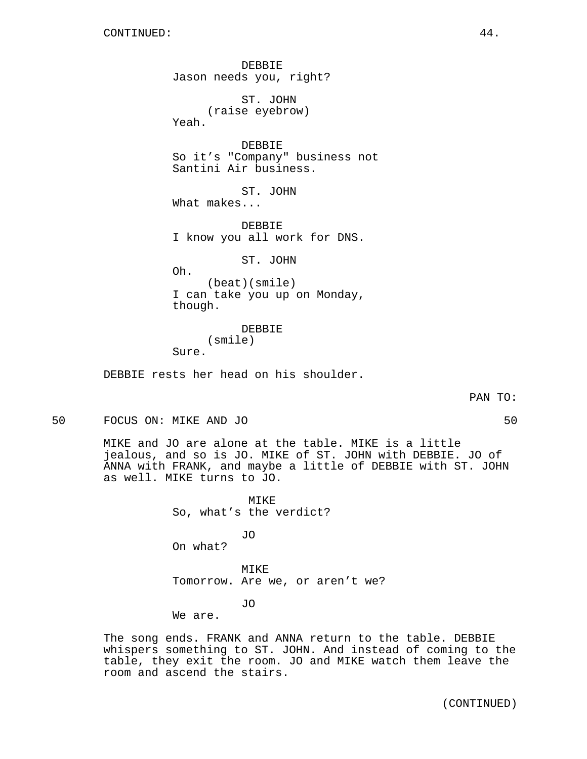DEBBIE Jason needs you, right? ST. JOHN (raise eyebrow) Yeah. DEBBIE So it's "Company" business not Santini Air business. ST. JOHN What makes... DEBBIE I know you all work for DNS. ST. JOHN

Oh.

(beat)(smile) I can take you up on Monday, though.

DEBBIE (smile) Sure.

DEBBIE rests her head on his shoulder.

PAN TO:

50 FOCUS ON: MIKE AND JO 50

MIKE and JO are alone at the table. MIKE is a little jealous, and so is JO. MIKE of ST. JOHN with DEBBIE. JO of ANNA with FRANK, and maybe a little of DEBBIE with ST. JOHN as well. MIKE turns to JO.

> MIKE So, what's the verdict?

JO On what?

MIKE Tomorrow. Are we, or aren't we?

JO

We are.

The song ends. FRANK and ANNA return to the table. DEBBIE whispers something to ST. JOHN. And instead of coming to the table, they exit the room. JO and MIKE watch them leave the room and ascend the stairs.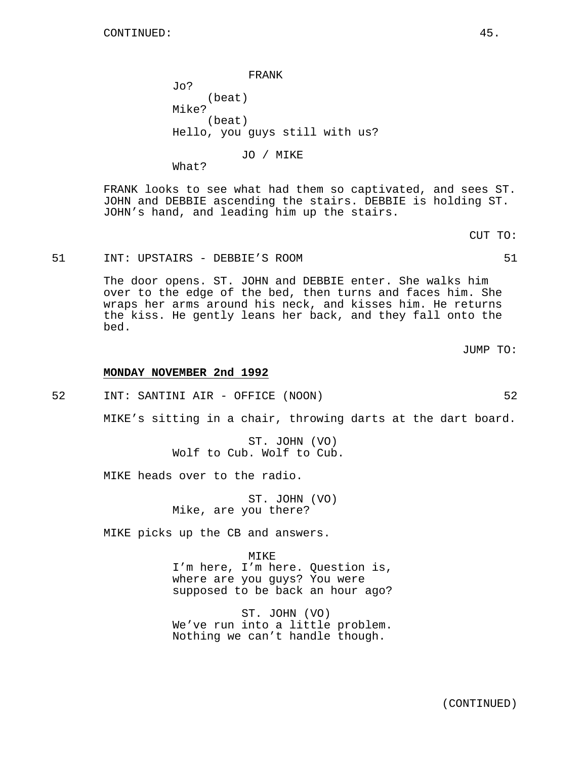FRANK Jo? (beat) Mike? (beat) Hello, you guys still with us?

JO / MIKE

FRANK looks to see what had them so captivated, and sees ST. JOHN and DEBBIE ascending the stairs. DEBBIE is holding ST. JOHN's hand, and leading him up the stairs.

51 INT: UPSTAIRS - DEBBIE'S ROOM 51

What?

The door opens. ST. JOHN and DEBBIE enter. She walks him over to the edge of the bed, then turns and faces him. She wraps her arms around his neck, and kisses him. He returns the kiss. He gently leans her back, and they fall onto the bed.

**MONDAY NOVEMBER 2nd 1992**

52 INT: SANTINI AIR - OFFICE (NOON) 52

MIKE's sitting in a chair, throwing darts at the dart board.

ST. JOHN (VO) Wolf to Cub. Wolf to Cub.

MIKE heads over to the radio.

ST. JOHN (VO) Mike, are you there?

MIKE picks up the CB and answers.

MIKE I'm here, I'm here. Question is, where are you guys? You were supposed to be back an hour ago?

ST. JOHN (VO) We've run into a little problem. Nothing we can't handle though.

CUT TO:

JUMP TO: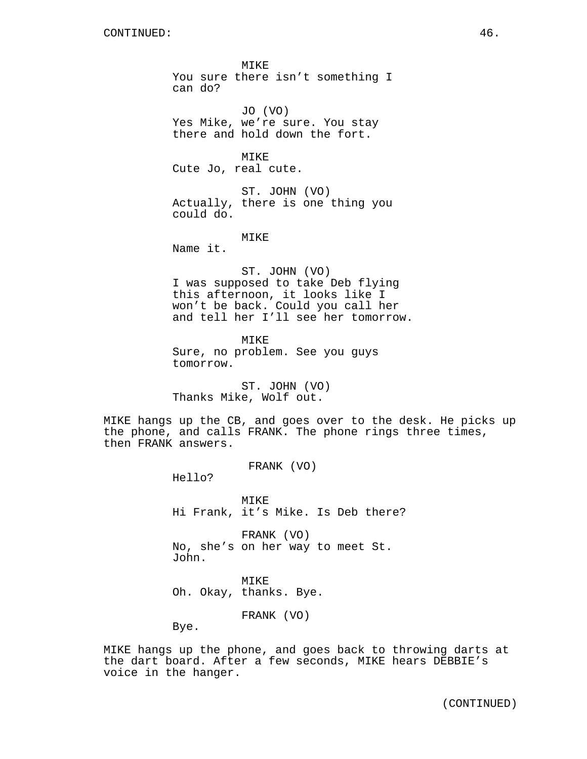MIKE You sure there isn't something I can do? JO (VO) Yes Mike, we're sure. You stay there and hold down the fort. MIKE Cute Jo, real cute. ST. JOHN (VO) Actually, there is one thing you could do. MIKE Name it. ST. JOHN (VO) I was supposed to take Deb flying this afternoon, it looks like I won't be back. Could you call her and tell her I'll see her tomorrow. MIKE

Sure, no problem. See you guys tomorrow.

ST. JOHN (VO) Thanks Mike, Wolf out.

MIKE hangs up the CB, and goes over to the desk. He picks up the phone, and calls FRANK. The phone rings three times, then FRANK answers.

FRANK (VO)

Hello?

MIKE Hi Frank, it's Mike. Is Deb there?

FRANK (VO) No, she's on her way to meet St. John.

MIKE Oh. Okay, thanks. Bye.

FRANK (VO)

Bye.

MIKE hangs up the phone, and goes back to throwing darts at the dart board. After a few seconds, MIKE hears DEBBIE's voice in the hanger.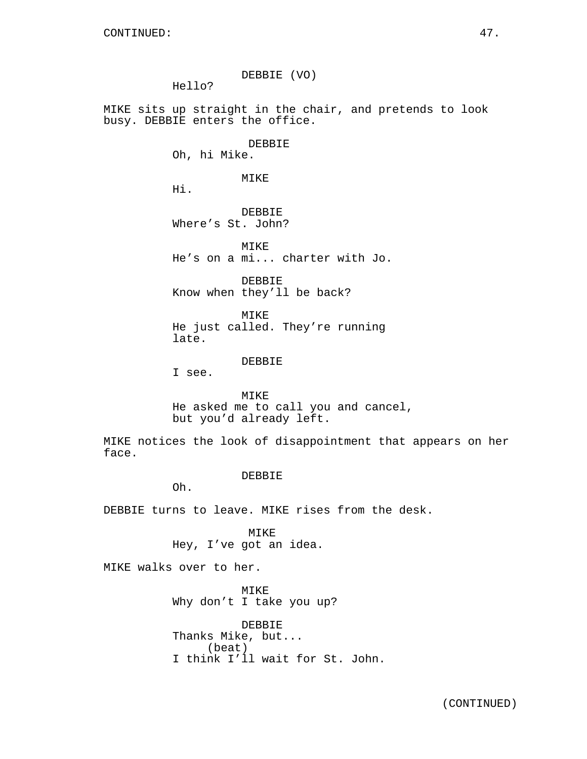DEBBIE (VO) Hello? MIKE sits up straight in the chair, and pretends to look busy. DEBBIE enters the office. DEBBIE Oh, hi Mike. MIKE Hi. DEBBIE Where's St. John? MTKE<sup>®</sup> He's on a mi... charter with Jo. DEBBIE Know when they'll be back? MIKE He just called. They're running late. DEBBIE I see. MIKE He asked me to call you and cancel, but you'd already left. MIKE notices the look of disappointment that appears on her face. DEBBIE Oh. DEBBIE turns to leave. MIKE rises from the desk. MIKE Hey, I've got an idea. MIKE walks over to her. MIKE Why don't I take you up?

> DEBBIE Thanks Mike, but... (beat) I think I'll wait for St. John.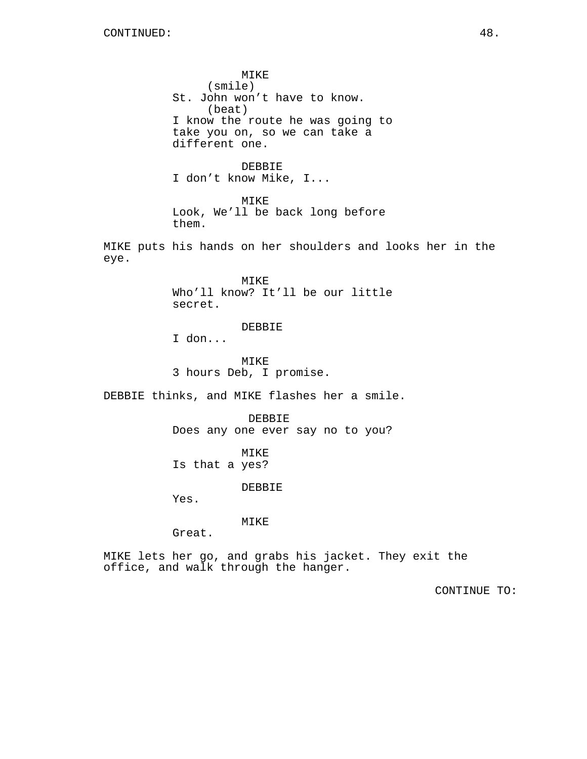MIKE (smile) St. John won't have to know. (beat) I know the route he was going to take you on, so we can take a different one.

DEBBIE I don't know Mike, I...

MIKE Look, We'll be back long before them.

MIKE puts his hands on her shoulders and looks her in the eye.

> MIKE Who'll know? It'll be our little secret.

> > DEBBIE

I don...

MIKE 3 hours Deb, I promise.

DEBBIE thinks, and MIKE flashes her a smile.

DEBBIE Does any one ever say no to you?

MIKE Is that a yes?

DEBBIE

Yes.

MIKE

Great.

MIKE lets her go, and grabs his jacket. They exit the office, and walk through the hanger.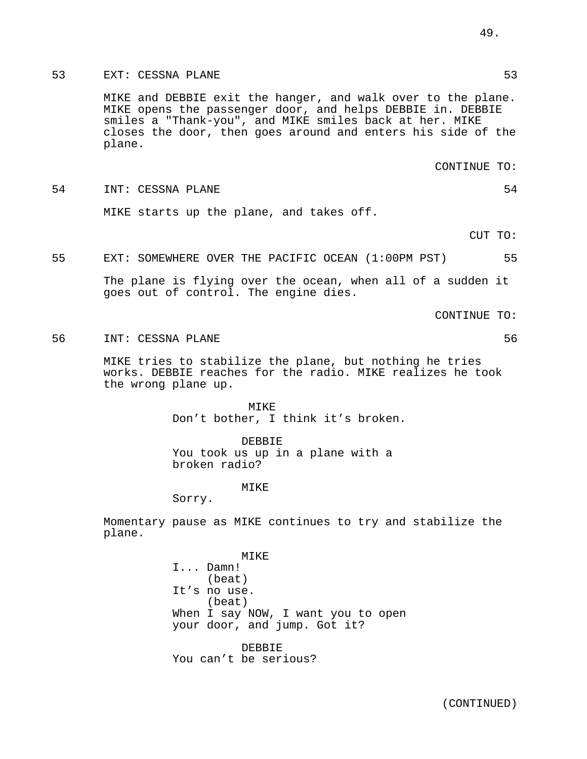# 53 EXT: CESSNA PLANE 53

MIKE and DEBBIE exit the hanger, and walk over to the plane. MIKE opens the passenger door, and helps DEBBIE in. DEBBIE smiles a "Thank-you", and MIKE smiles back at her. MIKE closes the door, then goes around and enters his side of the plane.

CONTINUE TO:

54 INT: CESSNA PLANE 54 MIKE starts up the plane, and takes off.

CUT TO:

### 55 EXT: SOMEWHERE OVER THE PACIFIC OCEAN (1:00PM PST) 55

The plane is flying over the ocean, when all of a sudden it goes out of control. The engine dies.

CONTINUE TO:

56 INT: CESSNA PLANE 56

MIKE tries to stabilize the plane, but nothing he tries works. DEBBIE reaches for the radio. MIKE realizes he took the wrong plane up.

> MIKE Don't bother, I think it's broken.

DEBBIE You took us up in a plane with a broken radio?

#### MIKE

Sorry.

Momentary pause as MIKE continues to try and stabilize the plane.

> MIKE I... Damn! (beat) It's no use. (beat) When I say NOW, I want you to open your door, and jump. Got it?

DEBBIE You can't be serious? 49.

(CONTINUED)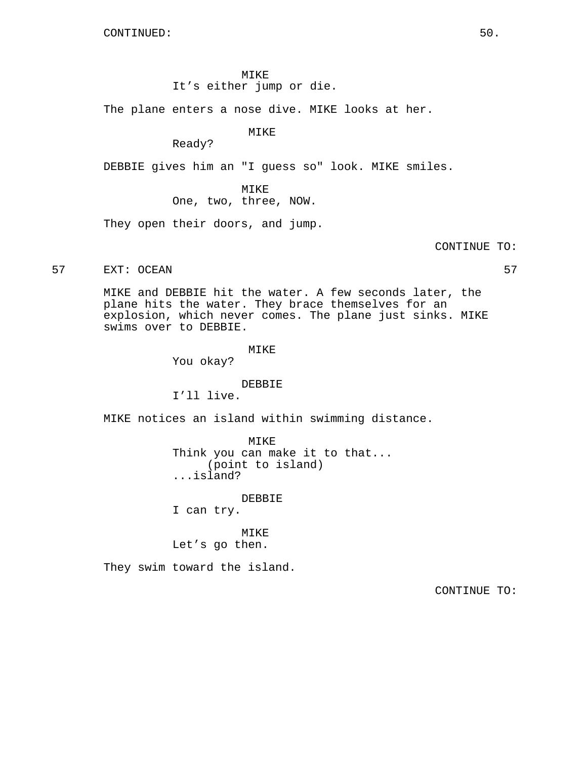MIKE It's either jump or die.

The plane enters a nose dive. MIKE looks at her.

MIKE

Ready?

DEBBIE gives him an "I guess so" look. MIKE smiles.

MIKE One, two, three, NOW.

They open their doors, and jump.

CONTINUE TO:

57 EXT: OCEAN 57

MIKE and DEBBIE hit the water. A few seconds later, the plane hits the water. They brace themselves for an explosion, which never comes. The plane just sinks. MIKE swims over to DEBBIE.

MIKE

You okay?

### DEBBIE

I'll live.

MIKE notices an island within swimming distance.

MIKE Think you can make it to that... (point to island) ...island?

DEBBIE

I can try.

MIKE Let's go then.

They swim toward the island.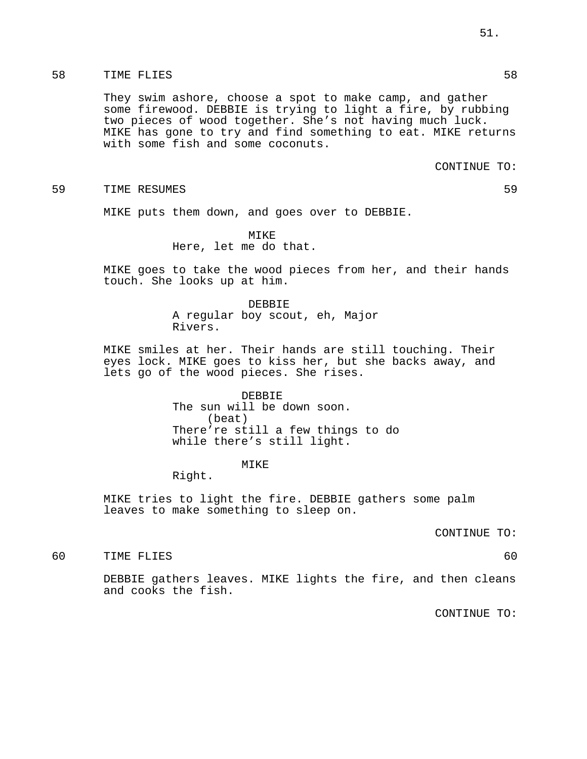# 58 TIME FLIES 58

They swim ashore, choose a spot to make camp, and gather some firewood. DEBBIE is trying to light a fire, by rubbing two pieces of wood together. She's not having much luck. MIKE has gone to try and find something to eat. MIKE returns with some fish and some coconuts.

CONTINUE TO:

#### 59 TIME RESUMES 59

MIKE puts them down, and goes over to DEBBIE.

MIKE Here, let me do that.

MIKE goes to take the wood pieces from her, and their hands touch. She looks up at him.

> DEBBIE A regular boy scout, eh, Major Rivers.

MIKE smiles at her. Their hands are still touching. Their eyes lock. MIKE goes to kiss her, but she backs away, and lets go of the wood pieces. She rises.

> DEBBIE The sun will be down soon. (beat) There're still a few things to do while there's still light.

#### MIKE

Right.

MIKE tries to light the fire. DEBBIE gathers some palm leaves to make something to sleep on.

CONTINUE TO:

60 TIME FLIES 60

DEBBIE gathers leaves. MIKE lights the fire, and then cleans and cooks the fish.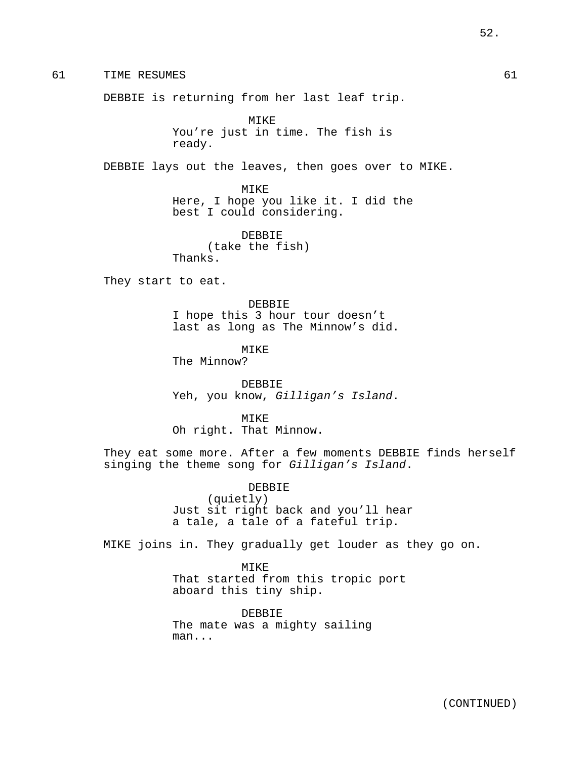61 TIME RESUMES 61

DEBBIE is returning from her last leaf trip.

MIKE You're just in time. The fish is ready.

DEBBIE lays out the leaves, then goes over to MIKE.

MIKE Here, I hope you like it. I did the best I could considering.

DEBBIE (take the fish) Thanks.

They start to eat.

DEBBIE I hope this 3 hour tour doesn't last as long as The Minnow's did.

**MTKE** The Minnow?

DEBBIE Yeh, you know, Gilligan's Island.

MIKE Oh right. That Minnow.

They eat some more. After a few moments DEBBIE finds herself singing the theme song for Gilligan's Island.

> DEBBIE (quietly) Just sit right back and you'll hear a tale, a tale of a fateful trip.

MIKE joins in. They gradually get louder as they go on.

MIKE That started from this tropic port aboard this tiny ship.

DEBBIE The mate was a mighty sailing man...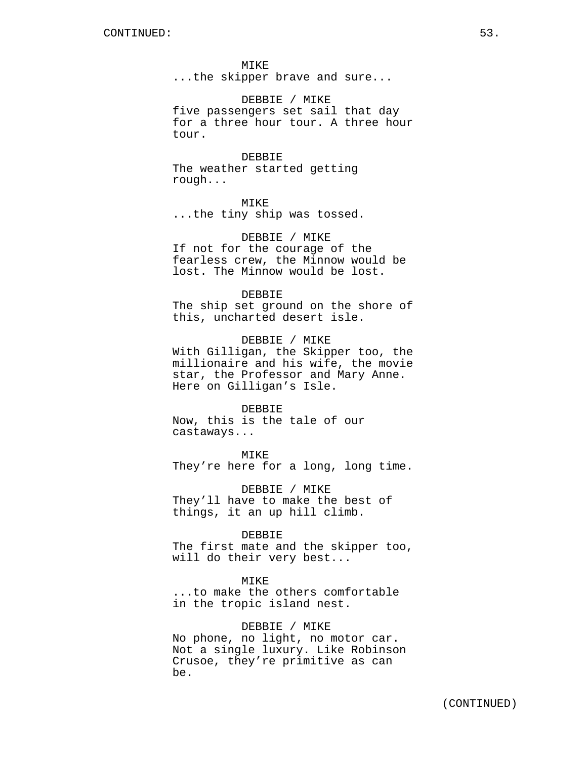MIKE ...the skipper brave and sure...

DEBBIE / MIKE five passengers set sail that day for a three hour tour. A three hour tour.

DEBBIE The weather started getting rough...

MIKE

...the tiny ship was tossed.

DEBBIE / MIKE If not for the courage of the fearless crew, the Minnow would be lost. The Minnow would be lost.

#### DEBBIE

The ship set ground on the shore of this, uncharted desert isle.

DEBBIE / MIKE With Gilligan, the Skipper too, the millionaire and his wife, the movie star, the Professor and Mary Anne. Here on Gilligan's Isle.

DEBBIE Now, this is the tale of our castaways...

MIKE They're here for a long, long time.

DEBBIE / MIKE They'll have to make the best of things, it an up hill climb.

#### DEBBIE

The first mate and the skipper too, will do their very best...

#### MIKE

...to make the others comfortable in the tropic island nest.

# DEBBIE / MIKE

No phone, no light, no motor car. Not a single luxury. Like Robinson Crusoe, they're primitive as can be.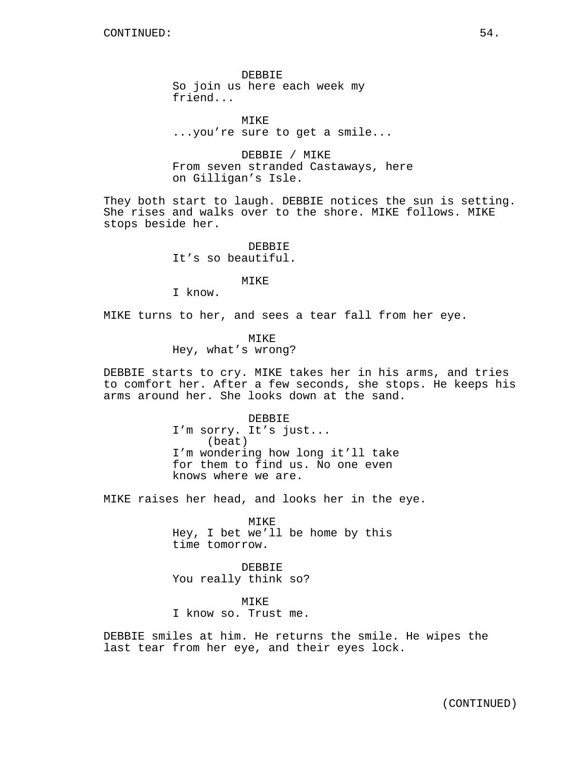DEBBIE So join us here each week my friend...

MIKE ...you're sure to get a smile...

DEBBIE / MIKE From seven stranded Castaways, here on Gilligan's Isle.

They both start to laugh. DEBBIE notices the sun is setting. She rises and walks over to the shore. MIKE follows. MIKE stops beside her.

> DEBBIE It's so beautiful.

> > MIKE

I know.

MIKE turns to her, and sees a tear fall from her eye.

MIKE Hey, what's wrong?

DEBBIE starts to cry. MIKE takes her in his arms, and tries to comfort her. After a few seconds, she stops. He keeps his arms around her. She looks down at the sand.

> DEBBIE I'm sorry. It's just... (beat) I'm wondering how long it'll take for them to find us. No one even knows where we are.

MIKE raises her head, and looks her in the eye.

MIKE Hey, I bet we'll be home by this time tomorrow.

DEBBIE You really think so?

MIKE I know so. Trust me.

DEBBIE smiles at him. He returns the smile. He wipes the last tear from her eye, and their eyes lock.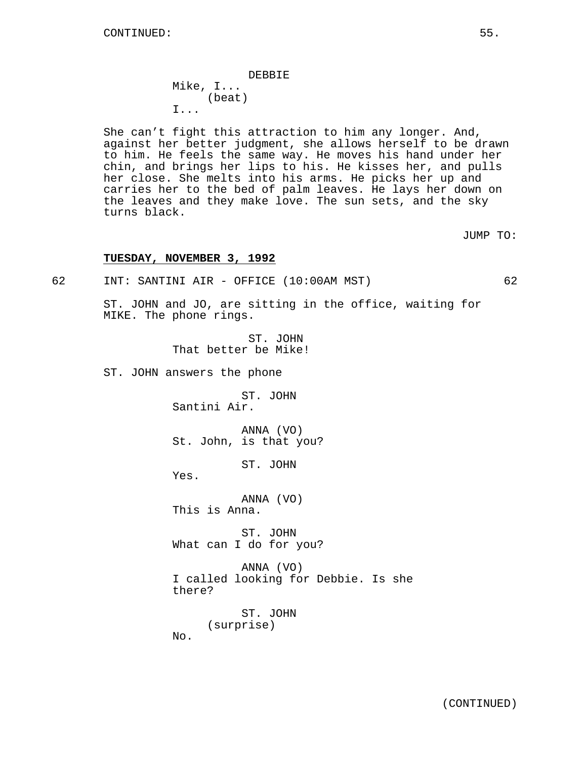DEBBIE Mike, I... (beat) I...

She can't fight this attraction to him any longer. And, against her better judgment, she allows herself to be drawn to him. He feels the same way. He moves his hand under her chin, and brings her lips to his. He kisses her, and pulls her close. She melts into his arms. He picks her up and carries her to the bed of palm leaves. He lays her down on the leaves and they make love. The sun sets, and the sky turns black.

JUMP TO:

### **TUESDAY, NOVEMBER 3, 1992**

62 INT: SANTINI AIR - OFFICE (10:00AM MST) 62

ST. JOHN and JO, are sitting in the office, waiting for MIKE. The phone rings.

> ST. JOHN That better be Mike!

ST. JOHN answers the phone

ST. JOHN Santini Air.

ANNA (VO) St. John, is that you?

ST. JOHN

Yes.

ANNA (VO)

This is Anna.

ST. JOHN What can I do for you?

ANNA (VO) I called looking for Debbie. Is she there?

> ST. JOHN (surprise)

No.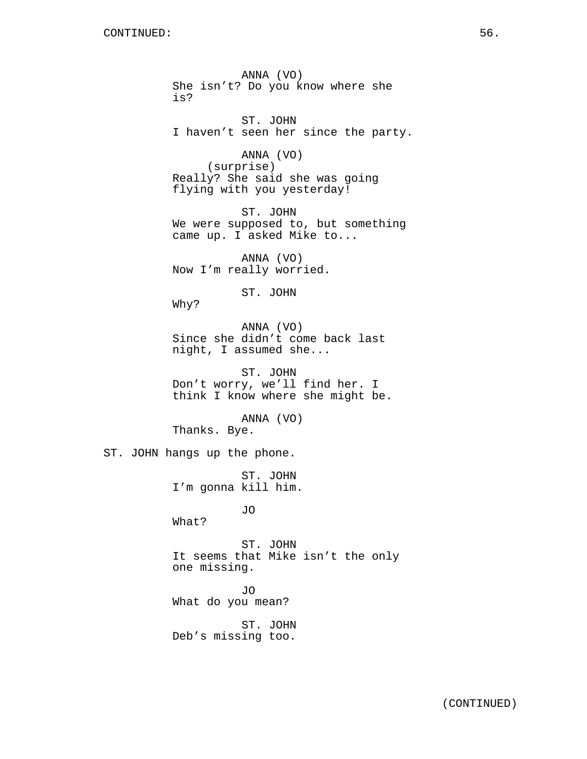ANNA (VO) She isn't? Do you know where she is? ST. JOHN I haven't seen her since the party. ANNA (VO) (surprise) Really? She said she was going flying with you yesterday! ST. JOHN We were supposed to, but something came up. I asked Mike to... ANNA (VO) Now I'm really worried. ST. JOHN Why? ANNA (VO) Since she didn't come back last night, I assumed she... ST. JOHN Don't worry, we'll find her. I think I know where she might be. ANNA (VO) Thanks. Bye. ST. JOHN hangs up the phone. ST. JOHN I'm gonna kill him. JO What? ST. JOHN It seems that Mike isn't the only one missing. JO What do you mean? ST. JOHN Deb's missing too.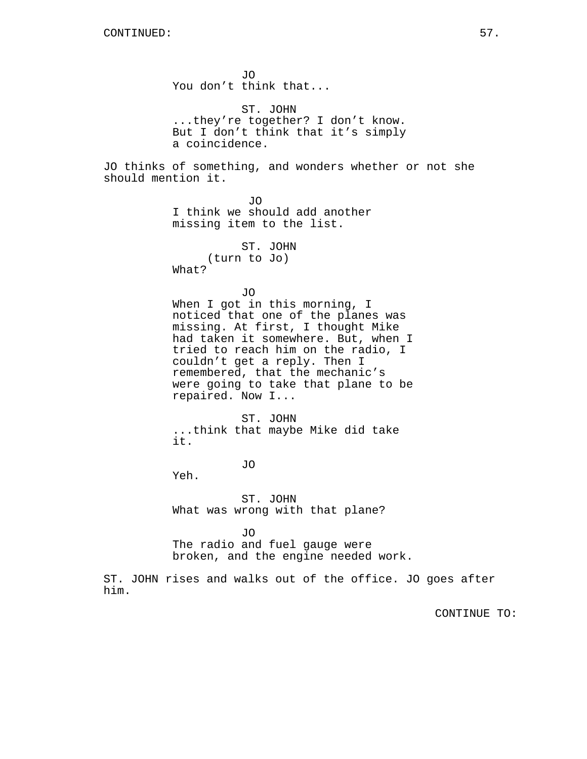him.

JO You don't think that... ST. JOHN ...they're together? I don't know. But I don't think that it's simply a coincidence. JO thinks of something, and wonders whether or not she should mention it. JO I think we should add another missing item to the list. ST. JOHN (turn to Jo) What? JO When I got in this morning, I noticed that one of the planes was missing. At first, I thought Mike had taken it somewhere. But, when I tried to reach him on the radio, I couldn't get a reply. Then I remembered, that the mechanic's were going to take that plane to be repaired. Now I... ST. JOHN ...think that maybe Mike did take it. JO Yeh. ST. JOHN What was wrong with that plane? JO The radio and fuel gauge were broken, and the engine needed work. ST. JOHN rises and walks out of the office. JO goes after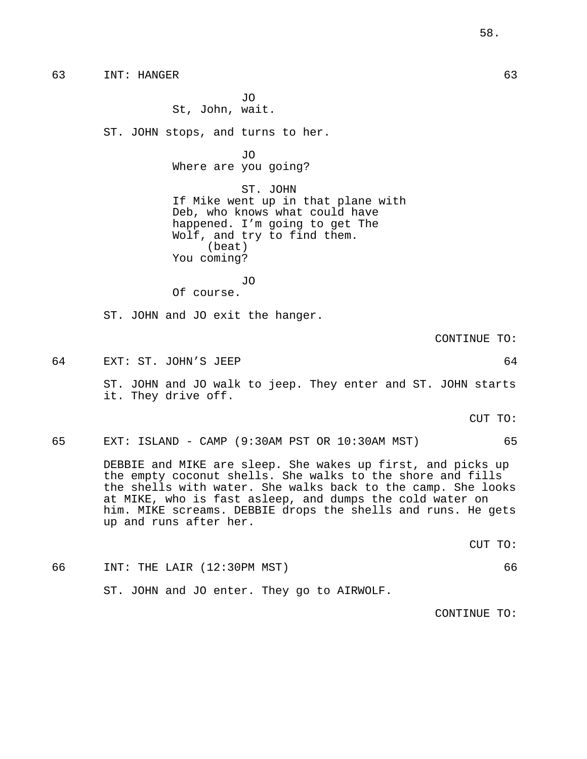63 INT: HANGER 63

JO St, John, wait.

ST. JOHN stops, and turns to her.

JO Where are you going?

ST. JOHN If Mike went up in that plane with Deb, who knows what could have happened. I'm going to get The Wolf, and try to find them. (beat) You coming?

JO Of course.

ST. JOHN and JO exit the hanger.

CONTINUE TO:

64 EXT: ST. JOHN'S JEEP 64 ST. JOHN and JO walk to jeep. They enter and ST. JOHN starts

it. They drive off.

CUT TO:

65 EXT: ISLAND - CAMP (9:30AM PST OR 10:30AM MST) 65

DEBBIE and MIKE are sleep. She wakes up first, and picks up the empty coconut shells. She walks to the shore and fills the shells with water. She walks back to the camp. She looks at MIKE, who is fast asleep, and dumps the cold water on him. MIKE screams. DEBBIE drops the shells and runs. He gets up and runs after her.

CUT TO:

66 INT: THE LAIR (12:30PM MST) 66

ST. JOHN and JO enter. They go to AIRWOLF.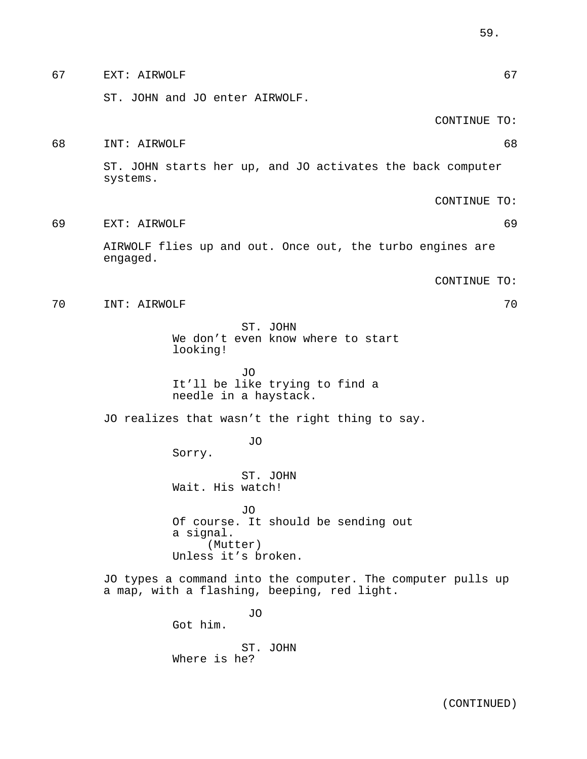| 67 | 67<br>EXT: AIRWOLF                                                                                         |
|----|------------------------------------------------------------------------------------------------------------|
|    | ST. JOHN and JO enter AIRWOLF.                                                                             |
|    | CONTINUE TO:                                                                                               |
| 68 | 68<br>INT: AIRWOLF                                                                                         |
|    | ST. JOHN starts her up, and JO activates the back computer<br>systems.                                     |
|    | CONTINUE TO:                                                                                               |
| 69 | 69<br>EXT: AIRWOLF                                                                                         |
|    | AIRWOLF flies up and out. Once out, the turbo engines are<br>engaged.                                      |
|    | CONTINUE TO:                                                                                               |
| 70 | 70<br>INT: AIRWOLF                                                                                         |
|    | ST. JOHN<br>We don't even know where to start<br>looking!                                                  |
|    | <b>JO</b><br>It'll be like trying to find a<br>needle in a haystack.                                       |
|    | JO realizes that wasn't the right thing to say.                                                            |
|    | JO<br>Sorry.                                                                                               |
|    | ST. JOHN<br>Wait. His watch!                                                                               |
|    | JO<br>Of course. It should be sending out<br>a signal.<br>(Mutter)<br>Unless it's broken.                  |
|    | JO types a command into the computer. The computer pulls up<br>a map, with a flashing, beeping, red light. |
|    | JO<br>Got him.                                                                                             |
|    | ST. JOHN<br>Where is he?                                                                                   |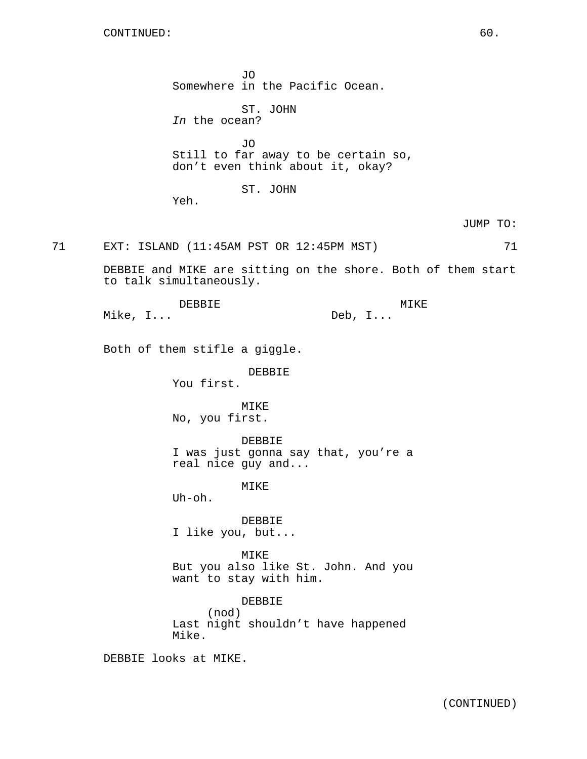JO Somewhere in the Pacific Ocean. ST. JOHN In the ocean? JO Still to far away to be certain so, don't even think about it, okay? ST. JOHN Yeh. 71 EXT: ISLAND (11:45AM PST OR 12:45PM MST) 71 DEBBIE and MIKE are sitting on the shore. Both of them start to talk simultaneously. DEBBIE Mike, I... MIKE Deb, I... Both of them stifle a giggle. DEBBIE You first. MIKE No, you first. DEBBIE I was just gonna say that, you're a real nice guy and... MTK<sub>F</sub> Uh-oh. DEBBIE I like you, but... MIKE But you also like St. John. And you want to stay with him. DEBBIE (nod) Last night shouldn't have happened Mike. DEBBIE looks at MIKE.

JUMP TO: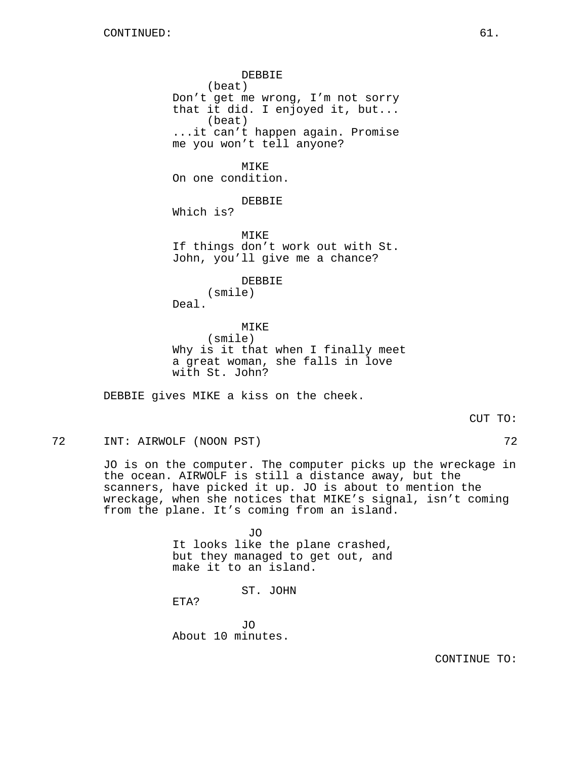DEBBIE (beat) Don't get me wrong, I'm not sorry that it did. I enjoyed it, but... (beat) ...it can't happen again. Promise me you won't tell anyone? MIKE On one condition. DEBBIE Which is? MIKE If things don't work out with St. John, you'll give me a chance? DEBBIE (smile) Deal. MIKE (smile) Why is it that when I finally meet a great woman, she falls in love with St. John?

DEBBIE gives MIKE a kiss on the cheek.

72 INT: AIRWOLF (NOON PST) 72

JO is on the computer. The computer picks up the wreckage in the ocean. AIRWOLF is still a distance away, but the scanners, have picked it up. JO is about to mention the wreckage, when she notices that MIKE's signal, isn't coming from the plane. It's coming from an island.

> JO It looks like the plane crashed, but they managed to get out, and make it to an island.

> > ST. JOHN

ETA?

JO About 10 minutes.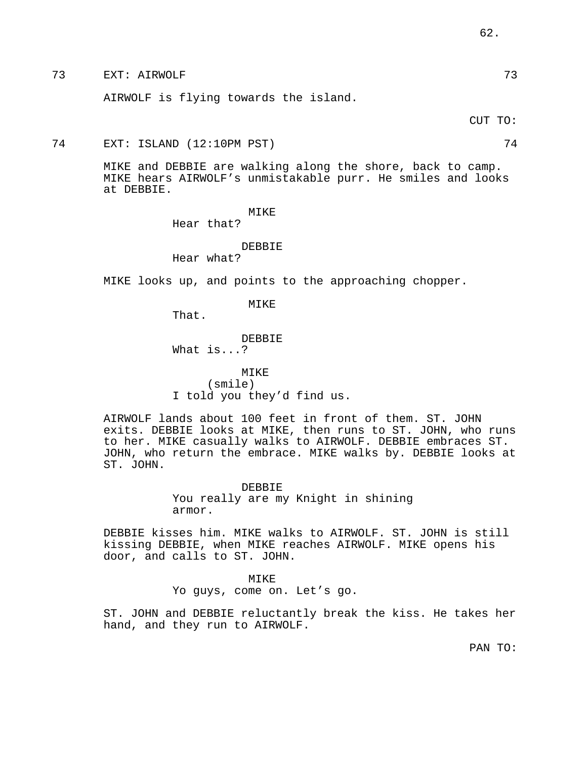73 EXT: AIRWOLF 73

AIRWOLF is flying towards the island.

CUT TO:

74 EXT: ISLAND (12:10PM PST) 74

MIKE and DEBBIE are walking along the shore, back to camp. MIKE hears AIRWOLF's unmistakable purr. He smiles and looks at DEBBIE.

### MIKE

Hear that?

# DEBBIE Hear what?

MIKE looks up, and points to the approaching chopper.

MIKE

That.

DEBBIE

What is...?

MIKE (smile) I told you they'd find us.

AIRWOLF lands about 100 feet in front of them. ST. JOHN exits. DEBBIE looks at MIKE, then runs to ST. JOHN, who runs to her. MIKE casually walks to AIRWOLF. DEBBIE embraces ST. JOHN, who return the embrace. MIKE walks by. DEBBIE looks at ST. JOHN.

> DEBBIE You really are my Knight in shining armor.

DEBBIE kisses him. MIKE walks to AIRWOLF. ST. JOHN is still kissing DEBBIE, when MIKE reaches AIRWOLF. MIKE opens his door, and calls to ST. JOHN.

MIKE

Yo guys, come on. Let's go.

ST. JOHN and DEBBIE reluctantly break the kiss. He takes her hand, and they run to AIRWOLF.

PAN TO: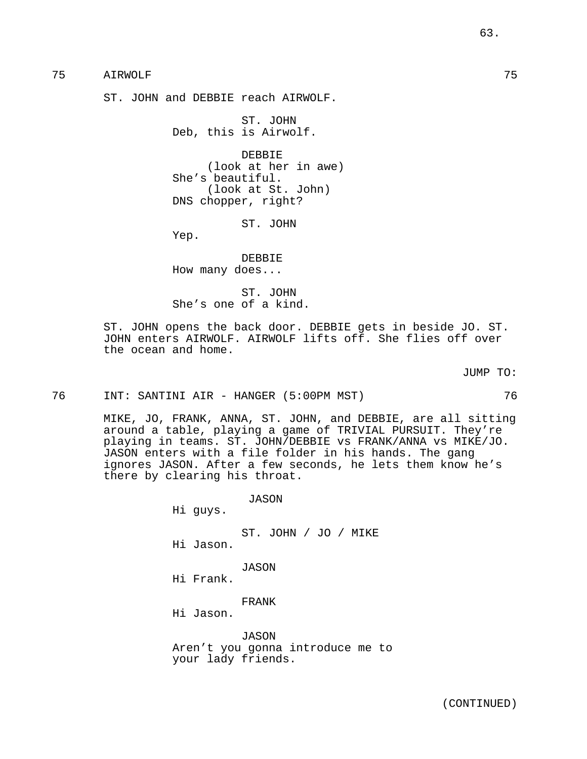# 75 AIRWOLF 75

ST. JOHN and DEBBIE reach AIRWOLF.

ST. JOHN Deb, this is Airwolf.

DEBBIE (look at her in awe) She's beautiful. (look at St. John) DNS chopper, right?

ST. JOHN

Yep.

DEBBIE How many does...

ST. JOHN She's one of a kind.

ST. JOHN opens the back door. DEBBIE gets in beside JO. ST. JOHN enters AIRWOLF. AIRWOLF lifts off. She flies off over the ocean and home.

JUMP TO:

76 INT: SANTINI AIR - HANGER (5:00PM MST) 76

MIKE, JO, FRANK, ANNA, ST. JOHN, and DEBBIE, are all sitting around a table, playing a game of TRIVIAL PURSUIT. They're playing in teams. ST. JOHN/DEBBIE vs FRANK/ANNA vs MIKE/JO. JASON enters with a file folder in his hands. The gang ignores JASON. After a few seconds, he lets them know he's there by clearing his throat.

> JASON Hi guys.

ST. JOHN / JO / MIKE Hi Jason.

JASON Hi Frank.

FRANK

Hi Jason.

JASON Aren't you gonna introduce me to your lady friends.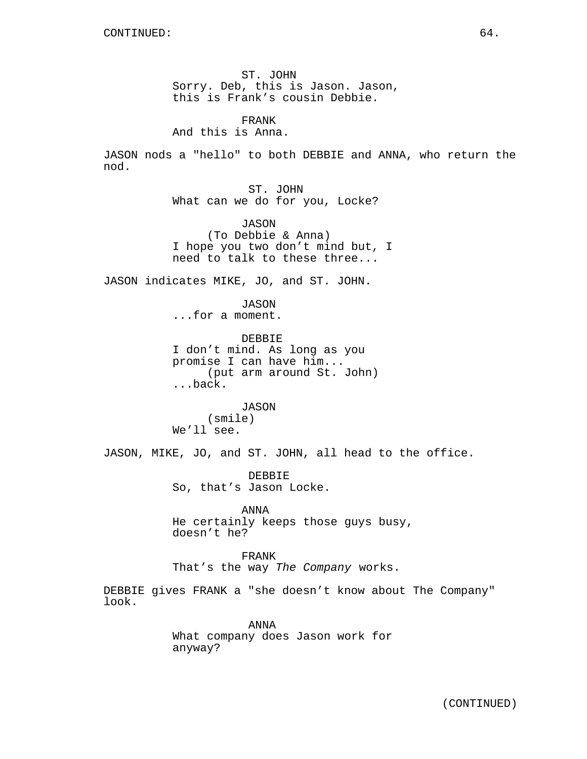ST. JOHN Sorry. Deb, this is Jason. Jason, this is Frank's cousin Debbie.

FRANK And this is Anna.

JASON nods a "hello" to both DEBBIE and ANNA, who return the nod.

> ST. JOHN What can we do for you, Locke?

JASON (To Debbie & Anna) I hope you two don't mind but, I need to talk to these three...

JASON indicates MIKE, JO, and ST. JOHN.

JASON

...for a moment.

DEBBIE I don't mind. As long as you promise I can have him... (put arm around St. John) ...back.

JASON (smile) We'll see.

JASON, MIKE, JO, and ST. JOHN, all head to the office.

DEBBIE So, that's Jason Locke.

ANNA He certainly keeps those guys busy, doesn't he?

FRANK That's the way The Company works.

DEBBIE gives FRANK a "she doesn't know about The Company" look.

> ANNA What company does Jason work for anyway?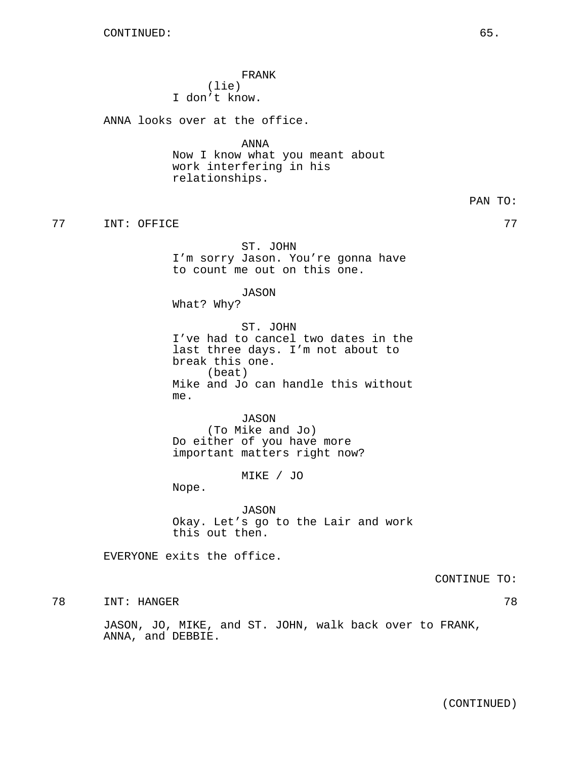FRANK (lie) I don't know.

ANNA looks over at the office.

ANNA Now I know what you meant about work interfering in his relationships.

TREE TIME: OFFICE THE SERVICE SERVICE SERVICE SERVICE SERVICE SERVICE SERVICE SERVICE SERVICE SERVICE SERVICE

ST. JOHN I'm sorry Jason. You're gonna have to count me out on this one.

JASON

What? Why?

ST. JOHN I've had to cancel two dates in the last three days. I'm not about to break this one. (beat) Mike and Jo can handle this without me.

JASON (To Mike and Jo) Do either of you have more important matters right now?

MIKE / JO

Nope.

JASON Okay. Let's go to the Lair and work this out then.

EVERYONE exits the office.

CONTINUE TO:

78 INT: HANGER 78

JASON, JO, MIKE, and ST. JOHN, walk back over to FRANK, ANNA, and DEBBIE.

PAN TO: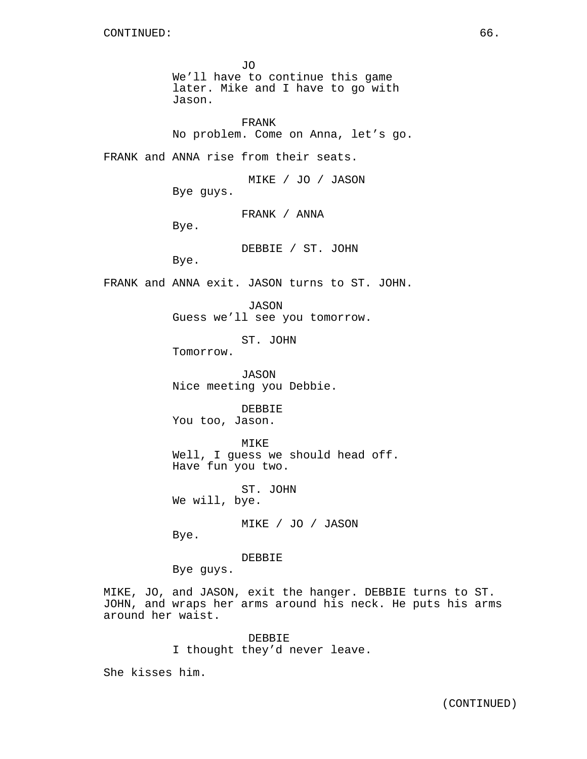JO We'll have to continue this game later. Mike and I have to go with Jason.

FRANK No problem. Come on Anna, let's go.

FRANK and ANNA rise from their seats.

MIKE / JO / JASON Bye guys.

FRANK / ANNA

Bye.

DEBBIE / ST. JOHN

Bye.

FRANK and ANNA exit. JASON turns to ST. JOHN.

JASON Guess we'll see you tomorrow.

ST. JOHN

Tomorrow.

JASON Nice meeting you Debbie.

DEBBIE You too, Jason.

MIKE Well, I guess we should head off. Have fun you two.

ST. JOHN We will, bye.

MIKE / JO / JASON

Bye.

DEBBIE

Bye guys.

MIKE, JO, and JASON, exit the hanger. DEBBIE turns to ST. JOHN, and wraps her arms around his neck. He puts his arms around her waist.

> DEBBIE I thought they'd never leave.

She kisses him.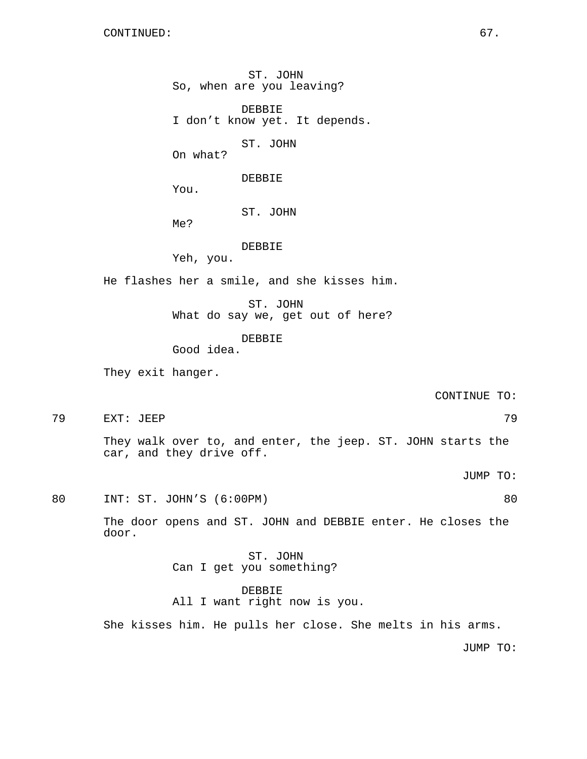door.

ST. JOHN So, when are you leaving? DEBBIE I don't know yet. It depends. ST. JOHN On what? DEBBIE You. ST. JOHN Me? DEBBIE Yeh, you. He flashes her a smile, and she kisses him. ST. JOHN What do say we, get out of here? DEBBIE Good idea. They exit hanger. CONTINUE TO: 79 EXT: JEEP 79 They walk over to, and enter, the jeep. ST. JOHN starts the car, and they drive off. JUMP TO: 80 INT: ST. JOHN'S (6:00PM) 80 The door opens and ST. JOHN and DEBBIE enter. He closes the ST. JOHN Can I get you something? DEBBIE All I want right now is you. She kisses him. He pulls her close. She melts in his arms.

JUMP TO: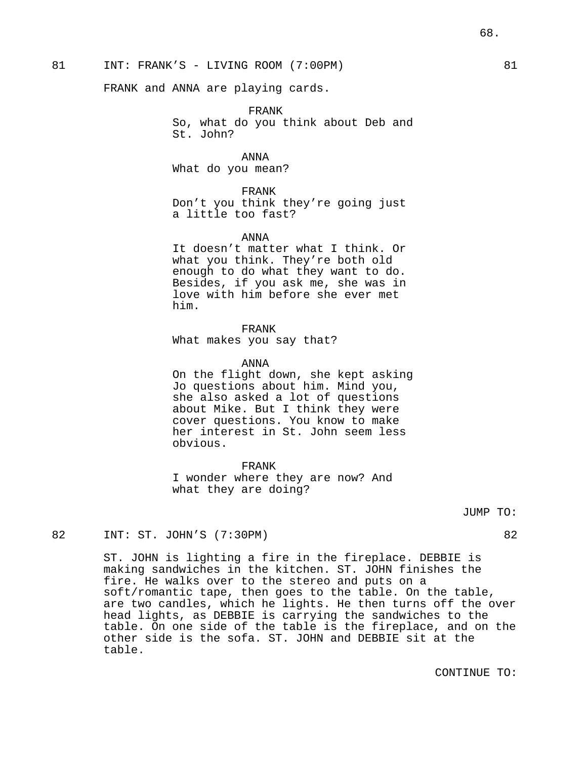FRANK and ANNA are playing cards.

FRANK

So, what do you think about Deb and St. John?

ANNA What do you mean?

FRANK Don't you think they're going just a little too fast?

### ANNA

It doesn't matter what I think. Or what you think. They're both old enough to do what they want to do. Besides, if you ask me, she was in love with him before she ever met him.

#### FRANK

What makes you say that?

#### ANNA

On the flight down, she kept asking Jo questions about him. Mind you, she also asked a lot of questions about Mike. But I think they were cover questions. You know to make her interest in St. John seem less obvious.

FRANK I wonder where they are now? And what they are doing?

#### JUMP TO:

# 82 INT: ST. JOHN'S (7:30PM) 82

ST. JOHN is lighting a fire in the fireplace. DEBBIE is making sandwiches in the kitchen. ST. JOHN finishes the fire. He walks over to the stereo and puts on a soft/romantic tape, then goes to the table. On the table, are two candles, which he lights. He then turns off the over head lights, as DEBBIE is carrying the sandwiches to the table. On one side of the table is the fireplace, and on the other side is the sofa. ST. JOHN and DEBBIE sit at the table.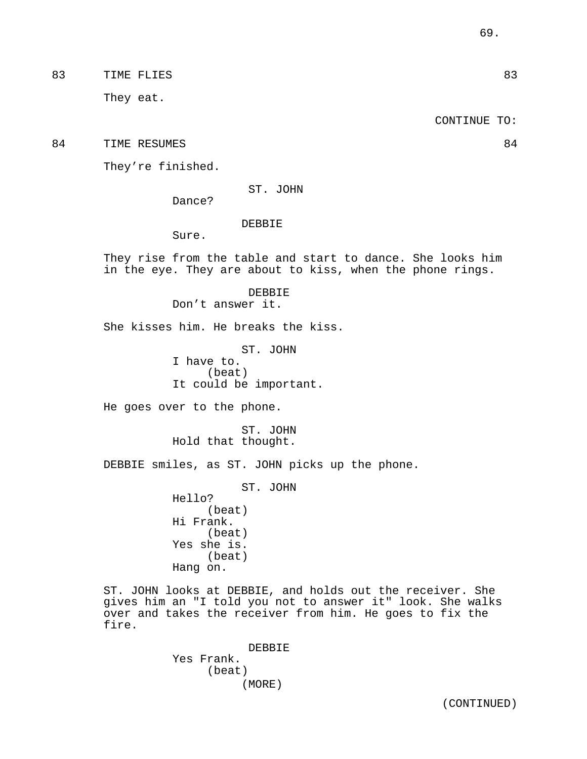83 TIME FLIES 83

They eat.

CONTINUE TO:

84 TIME RESUMES 84

They're finished.

ST. JOHN

Dance?

# DEBBIE

Sure.

They rise from the table and start to dance. She looks him in the eye. They are about to kiss, when the phone rings.

> DEBBIE Don't answer it.

She kisses him. He breaks the kiss.

ST. JOHN I have to. (beat) It could be important.

He goes over to the phone.

ST. JOHN Hold that thought.

DEBBIE smiles, as ST. JOHN picks up the phone.

ST. JOHN

Hello? (beat) Hi Frank. (beat) Yes she is. (beat) Hang on.

ST. JOHN looks at DEBBIE, and holds out the receiver. She gives him an "I told you not to answer it" look. She walks over and takes the receiver from him. He goes to fix the fire.

> DEBBIE Yes Frank. (beat) (MORE)

> > (CONTINUED)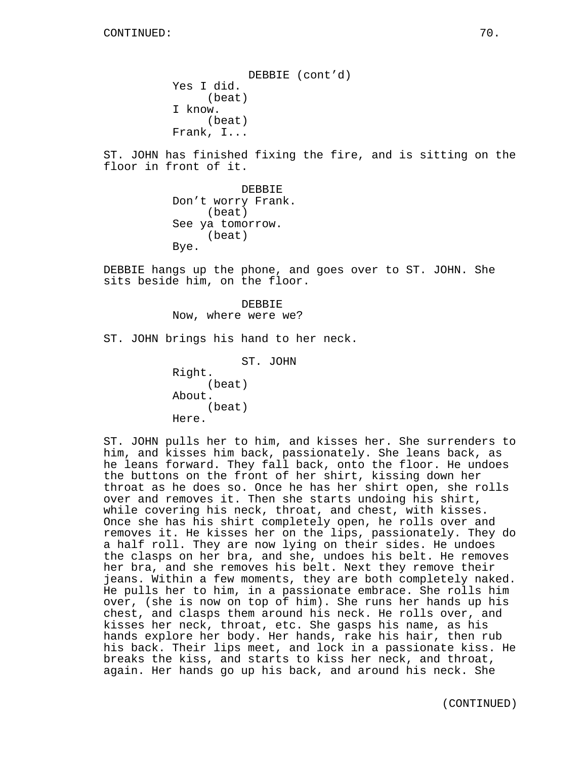DEBBIE (cont'd) Yes I did. (beat) I know. (beat) Frank, I...

ST. JOHN has finished fixing the fire, and is sitting on the floor in front of it.

> DEBBIE Don't worry Frank. (beat) See ya tomorrow. (beat) Bye.

DEBBIE hangs up the phone, and goes over to ST. JOHN. She sits beside him, on the floor.

> DEBBIE Now, where were we?

ST. JOHN brings his hand to her neck.

ST. JOHN Right. (beat) About. (beat) Here.

ST. JOHN pulls her to him, and kisses her. She surrenders to him, and kisses him back, passionately. She leans back, as he leans forward. They fall back, onto the floor. He undoes the buttons on the front of her shirt, kissing down her throat as he does so. Once he has her shirt open, she rolls over and removes it. Then she starts undoing his shirt, while covering his neck, throat, and chest, with kisses. Once she has his shirt completely open, he rolls over and removes it. He kisses her on the lips, passionately. They do a half roll. They are now lying on their sides. He undoes the clasps on her bra, and she, undoes his belt. He removes her bra, and she removes his belt. Next they remove their jeans. Within a few moments, they are both completely naked. He pulls her to him, in a passionate embrace. She rolls him over, (she is now on top of him). She runs her hands up his chest, and clasps them around his neck. He rolls over, and kisses her neck, throat, etc. She gasps his name, as his hands explore her body. Her hands, rake his hair, then rub his back. Their lips meet, and lock in a passionate kiss. He breaks the kiss, and starts to kiss her neck, and throat, again. Her hands go up his back, and around his neck. She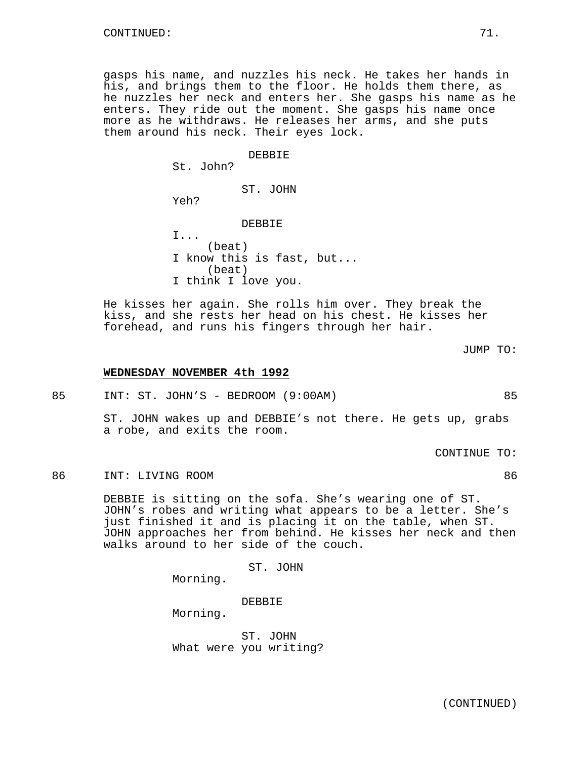gasps his name, and nuzzles his neck. He takes her hands in his, and brings them to the floor. He holds them there, as he nuzzles her neck and enters her. She gasps his name as he enters. They ride out the moment. She gasps his name once more as he withdraws. He releases her arms, and she puts them around his neck. Their eyes lock.

DEBBIE

St. John?

ST. JOHN

Yeh?

DEBBIE

I... (beat) I know this is fast, but... (beat) I think I love you.

He kisses her again. She rolls him over. They break the kiss, and she rests her head on his chest. He kisses her forehead, and runs his fingers through her hair.

**WEDNESDAY NOVEMBER 4th 1992**

85 INT: ST. JOHN'S - BEDROOM (9:00AM) 85

ST. JOHN wakes up and DEBBIE's not there. He gets up, grabs a robe, and exits the room.

CONTINUE TO:

86 INT: LIVING ROOM 86

DEBBIE is sitting on the sofa. She's wearing one of ST. JOHN's robes and writing what appears to be a letter. She's just finished it and is placing it on the table, when ST. JOHN approaches her from behind. He kisses her neck and then walks around to her side of the couch.

ST. JOHN

Morning.

DEBBIE

Morning.

ST. JOHN What were you writing?

JUMP TO: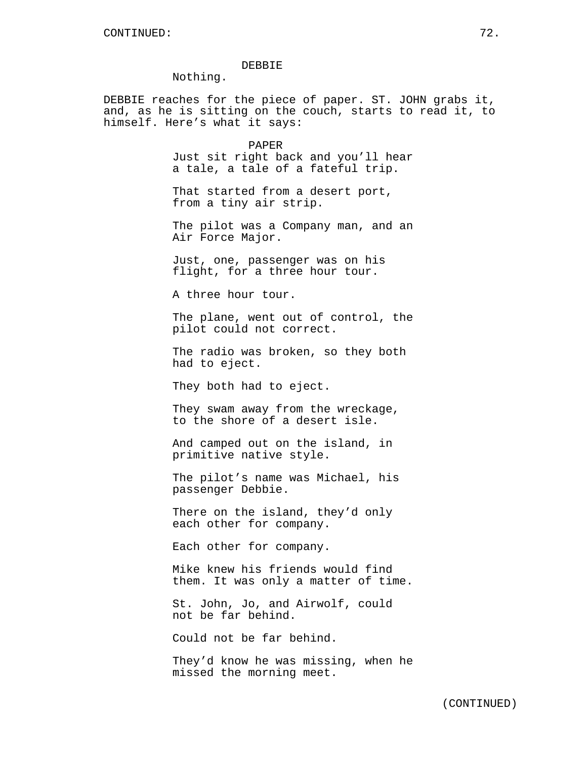### DEBBIE

Nothing.

DEBBIE reaches for the piece of paper. ST. JOHN grabs it, and, as he is sitting on the couch, starts to read it, to himself. Here's what it says:

> PAPER Just sit right back and you'll hear a tale, a tale of a fateful trip.

That started from a desert port, from a tiny air strip.

The pilot was a Company man, and an Air Force Major.

Just, one, passenger was on his flight, for a three hour tour.

A three hour tour.

The plane, went out of control, the pilot could not correct.

The radio was broken, so they both had to eject.

They both had to eject.

They swam away from the wreckage, to the shore of a desert isle.

And camped out on the island, in primitive native style.

The pilot's name was Michael, his passenger Debbie.

There on the island, they'd only each other for company.

Each other for company.

Mike knew his friends would find them. It was only a matter of time.

St. John, Jo, and Airwolf, could not be far behind.

Could not be far behind.

They'd know he was missing, when he missed the morning meet.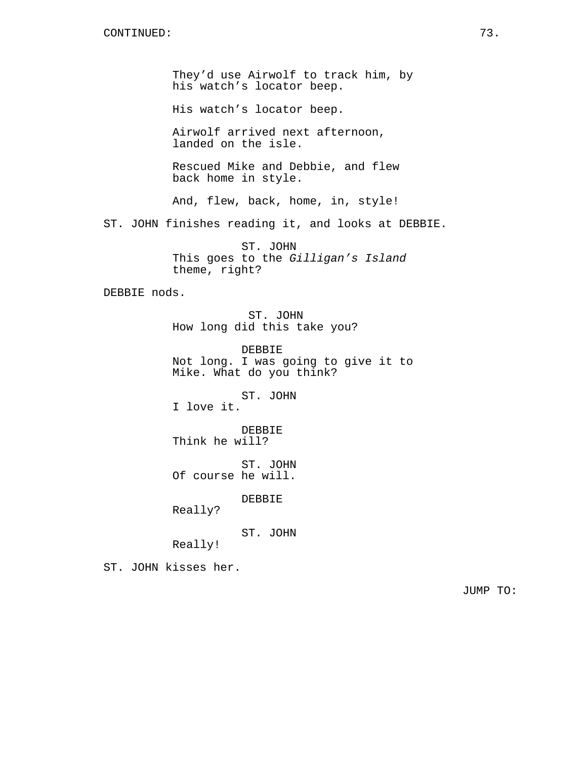They'd use Airwolf to track him, by his watch's locator beep.

His watch's locator beep.

Airwolf arrived next afternoon, landed on the isle.

Rescued Mike and Debbie, and flew back home in style.

And, flew, back, home, in, style!

ST. JOHN finishes reading it, and looks at DEBBIE.

ST. JOHN This goes to the Gilligan's Island theme, right?

DEBBIE nods.

ST. JOHN How long did this take you?

DEBBIE Not long. I was going to give it to Mike. What do you think?

ST. JOHN I love it.

DEBBIE Think he will?

ST. JOHN Of course he will.

DEBBIE

Really?

ST. JOHN

Really!

ST. JOHN kisses her.

JUMP TO: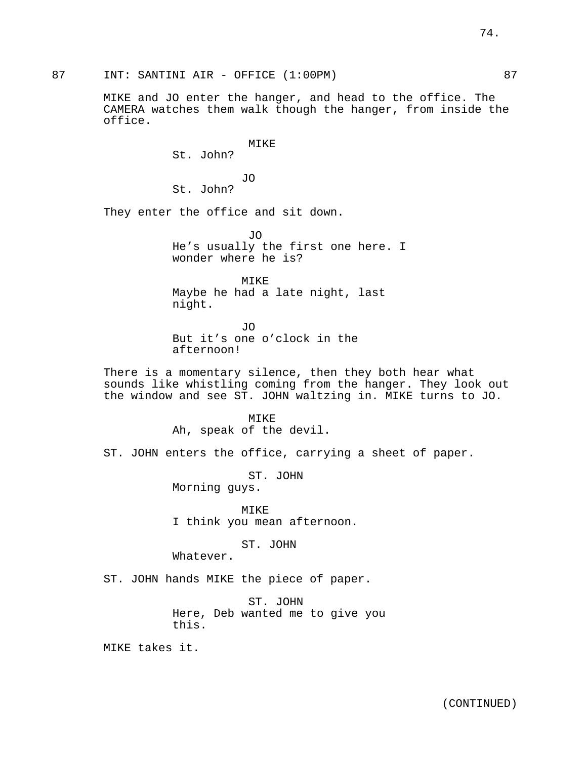87 INT: SANTINI AIR - OFFICE (1:00PM) 87

MIKE and JO enter the hanger, and head to the office. The CAMERA watches them walk though the hanger, from inside the office.

MIKE

St. John?

JO St. John?

They enter the office and sit down.

JO He's usually the first one here. I wonder where he is?

MIKE Maybe he had a late night, last night.

JO But it's one o'clock in the afternoon!

There is a momentary silence, then they both hear what sounds like whistling coming from the hanger. They look out the window and see ST. JOHN waltzing in. MIKE turns to JO.

> MTKE<sup>®</sup> Ah, speak of the devil.

ST. JOHN enters the office, carrying a sheet of paper.

ST. JOHN Morning guys.

MIKE I think you mean afternoon.

ST. JOHN

Whatever.

ST. JOHN hands MIKE the piece of paper.

ST. JOHN Here, Deb wanted me to give you this.

MIKE takes it.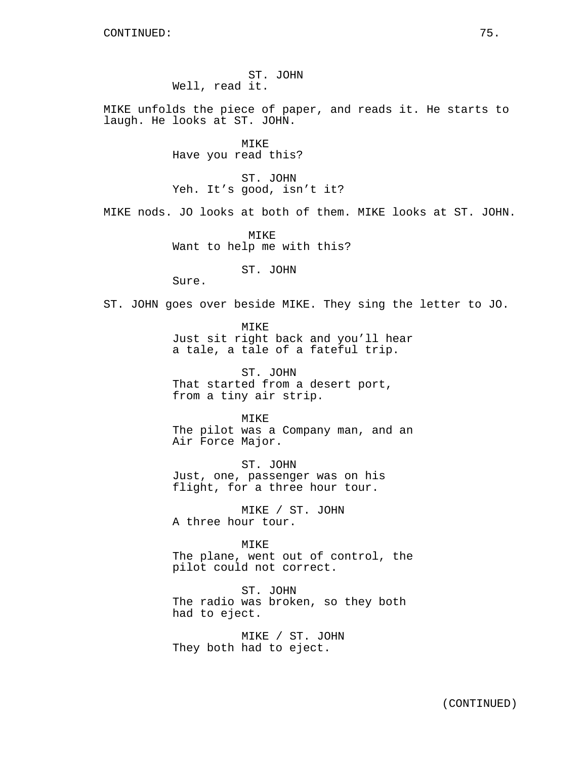ST. JOHN Well, read it.

MIKE unfolds the piece of paper, and reads it. He starts to laugh. He looks at ST. JOHN.

> MIKE Have you read this?

ST. JOHN Yeh. It's good, isn't it?

MIKE nods. JO looks at both of them. MIKE looks at ST. JOHN.

MIKE Want to help me with this?

ST. JOHN

Sure.

ST. JOHN goes over beside MIKE. They sing the letter to JO.

MIKE Just sit right back and you'll hear a tale, a tale of a fateful trip.

ST. JOHN That started from a desert port, from a tiny air strip.

MIKE The pilot was a Company man, and an Air Force Major.

ST. JOHN Just, one, passenger was on his flight, for a three hour tour.

MIKE / ST. JOHN A three hour tour.

MIKE The plane, went out of control, the pilot could not correct.

ST. JOHN The radio was broken, so they both had to eject.

MIKE / ST. JOHN They both had to eject.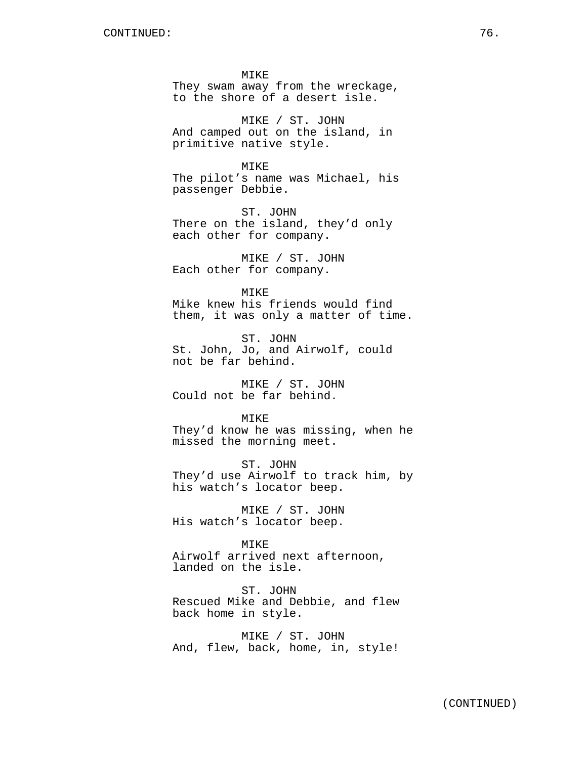MIKE They swam away from the wreckage, to the shore of a desert isle.

MIKE / ST. JOHN And camped out on the island, in primitive native style.

MIKE The pilot's name was Michael, his passenger Debbie.

ST. JOHN There on the island, they'd only each other for company.

MIKE / ST. JOHN Each other for company.

MIKE Mike knew his friends would find them, it was only a matter of time.

ST. JOHN St. John, Jo, and Airwolf, could not be far behind.

MIKE / ST. JOHN Could not be far behind.

MTK<sub>E</sub> They'd know he was missing, when he missed the morning meet.

ST. JOHN They'd use Airwolf to track him, by his watch's locator beep.

MIKE / ST. JOHN His watch's locator beep.

MIKE Airwolf arrived next afternoon, landed on the isle.

ST. JOHN Rescued Mike and Debbie, and flew back home in style.

MIKE / ST. JOHN And, flew, back, home, in, style!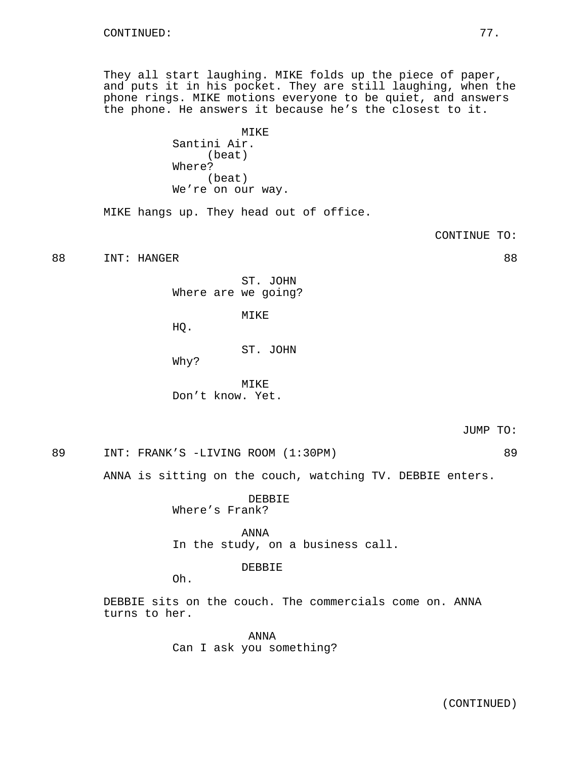They all start laughing. MIKE folds up the piece of paper, and puts it in his pocket. They are still laughing, when the phone rings. MIKE motions everyone to be quiet, and answers the phone. He answers it because he's the closest to it.

> MIKE Santini Air. (beat) Where? (beat) We're on our way.

MIKE hangs up. They head out of office.

CONTINUE TO:

88 INT: HANGER 88

ST. JOHN Where are we going?

MIKE

HQ.

ST. JOHN

Why?

MIKE Don't know. Yet.

89 INT: FRANK'S -LIVING ROOM (1:30PM) 89

ANNA is sitting on the couch, watching TV. DEBBIE enters.

DEBBIE Where's Frank?

ANNA In the study, on a business call.

# DEBBIE

Oh.

DEBBIE sits on the couch. The commercials come on. ANNA turns to her.

> ANNA Can I ask you something?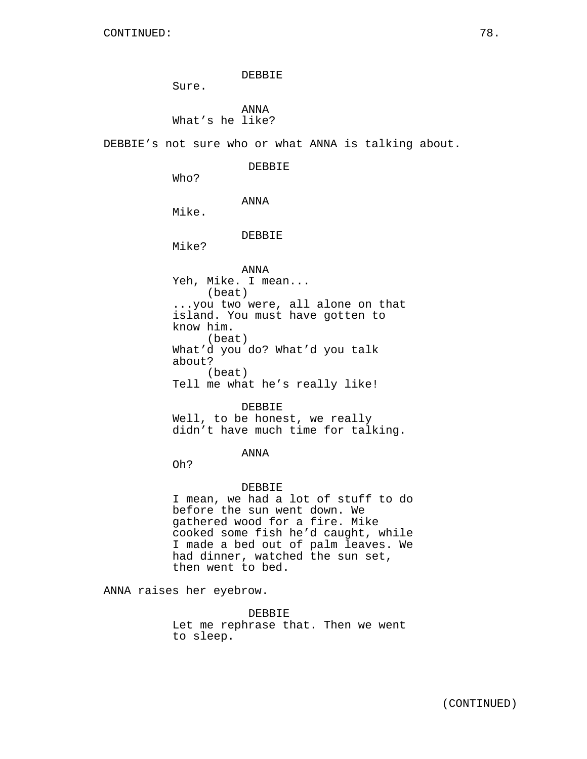DEBBIE

Sure.

ANNA What's he like?

DEBBIE's not sure who or what ANNA is talking about.

DEBBIE

Who?

ANNA

Mike.

DEBBIE

Mike?

ANNA Yeh, Mike. I mean... (beat) ...you two were, all alone on that island. You must have gotten to know him. (beat) What'd you do? What'd you talk about? (beat) Tell me what he's really like!

DEBBIE Well, to be honest, we really didn't have much time for talking.

# ANNA

Oh?

### DEBBIE

I mean, we had a lot of stuff to do before the sun went down. We gathered wood for a fire. Mike cooked some fish he'd caught, while I made a bed out of palm leaves. We had dinner, watched the sun set, then went to bed.

ANNA raises her eyebrow.

DEBBIE Let me rephrase that. Then we went to sleep.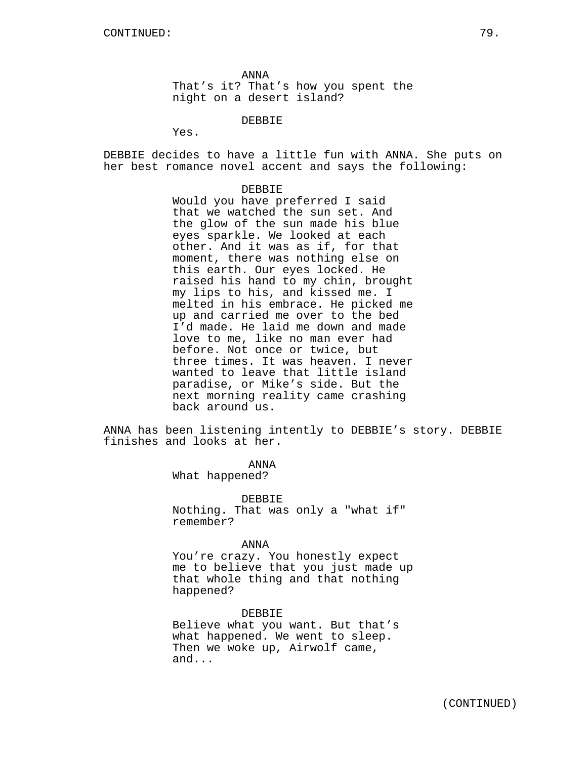ANNA That's it? That's how you spent the night on a desert island?

DEBBIE

Yes.

DEBBIE decides to have a little fun with ANNA. She puts on her best romance novel accent and says the following:

#### DEBBIE

Would you have preferred I said that we watched the sun set. And the glow of the sun made his blue eyes sparkle. We looked at each other. And it was as if, for that moment, there was nothing else on this earth. Our eyes locked. He raised his hand to my chin, brought my lips to his, and kissed me. I melted in his embrace. He picked me up and carried me over to the bed I'd made. He laid me down and made love to me, like no man ever had before. Not once or twice, but three times. It was heaven. I never wanted to leave that little island paradise, or Mike's side. But the next morning reality came crashing back around us.

ANNA has been listening intently to DEBBIE's story. DEBBIE finishes and looks at her.

> ANNA What happened?

DEBBIE Nothing. That was only a "what if" remember?

### ANNA

You're crazy. You honestly expect me to believe that you just made up that whole thing and that nothing happened?

DEBBIE

Believe what you want. But that's what happened. We went to sleep. Then we woke up, Airwolf came, and...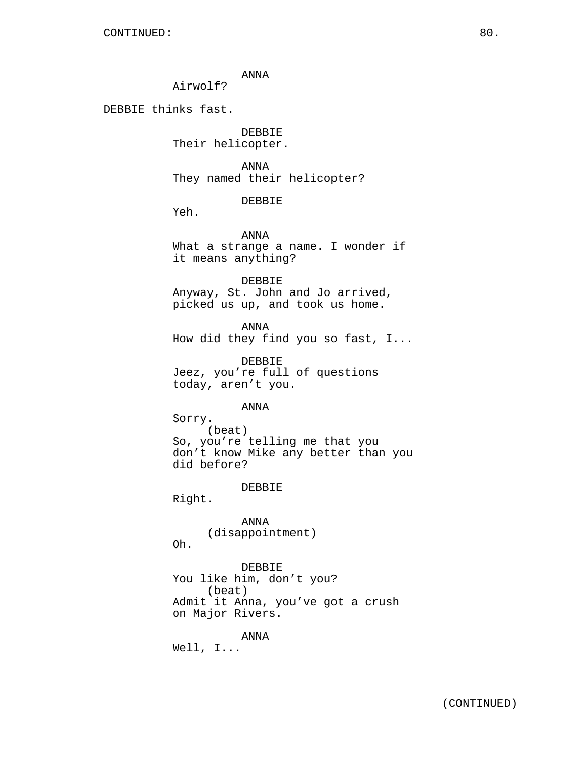ANNA

Airwolf?

DEBBIE thinks fast.

DEBBIE Their helicopter.

ANNA They named their helicopter?

DEBBIE

Yeh.

ANNA What a strange a name. I wonder if it means anything?

DEBBIE

Anyway, St. John and Jo arrived, picked us up, and took us home.

ANNA How did they find you so fast, I...

DEBBIE Jeez, you're full of questions today, aren't you.

ANNA

Sorry. (beat) So, you're telling me that you don't know Mike any better than you did before?

DEBBIE

Right.

ANNA (disappointment)

Oh.

DEBBIE You like him, don't you? (beat) Admit it Anna, you've got a crush on Major Rivers.

ANNA

Well, I...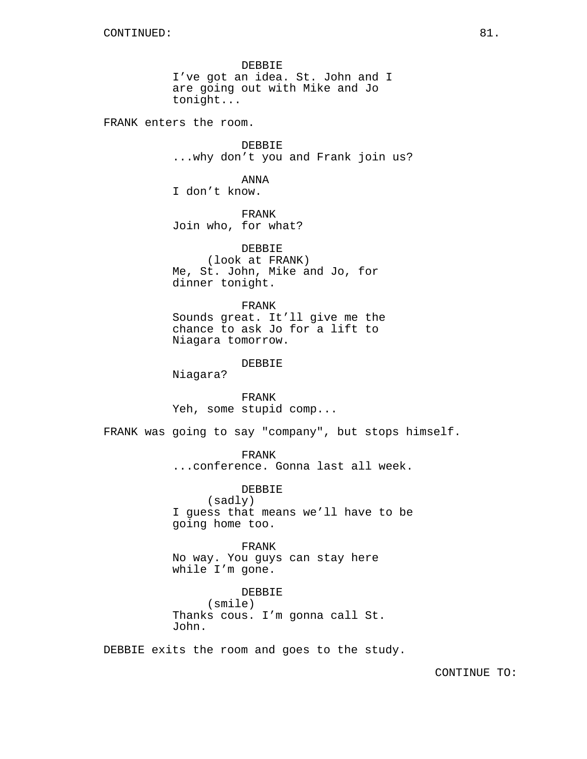DEBBIE I've got an idea. St. John and I are going out with Mike and Jo tonight...

FRANK enters the room.

DEBBIE ...why don't you and Frank join us?

ANNA I don't know.

FRANK Join who, for what?

DEBBIE (look at FRANK) Me, St. John, Mike and Jo, for dinner tonight.

FRANK Sounds great. It'll give me the chance to ask Jo for a lift to Niagara tomorrow.

DEBBIE

Niagara?

FRANK Yeh, some stupid comp...

FRANK was going to say "company", but stops himself.

FRANK

...conference. Gonna last all week.

DEBBIE (sadly) I guess that means we'll have to be going home too.

FRANK No way. You guys can stay here while I'm gone.

DEBBIE (smile) Thanks cous. I'm gonna call St. John.

DEBBIE exits the room and goes to the study.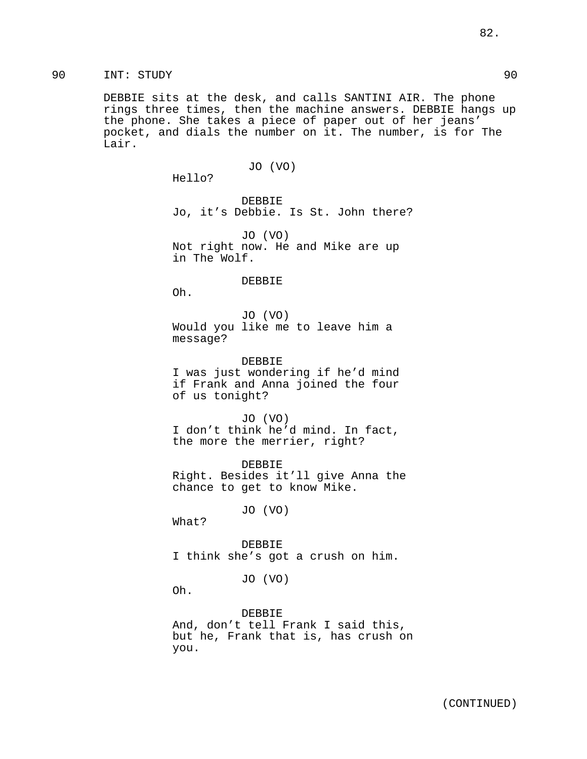# 90 INT: STUDY 90

DEBBIE sits at the desk, and calls SANTINI AIR. The phone rings three times, then the machine answers. DEBBIE hangs up the phone. She takes a piece of paper out of her jeans' pocket, and dials the number on it. The number, is for The Lair.

## JO (VO)

Hello?

DEBBIE Jo, it's Debbie. Is St. John there?

JO (VO) Not right now. He and Mike are up in The Wolf.

#### DEBBIE

Oh.

JO (VO) Would you like me to leave him a message?

DEBBIE I was just wondering if he'd mind if Frank and Anna joined the four of us tonight?

JO (VO) I don't think he'd mind. In fact, the more the merrier, right?

DEBBIE Right. Besides it'll give Anna the chance to get to know Mike.

JO (VO)

What?

DEBBIE I think she's got a crush on him.

JO (VO)

Oh.

DEBBIE And, don't tell Frank I said this, but he, Frank that is, has crush on you.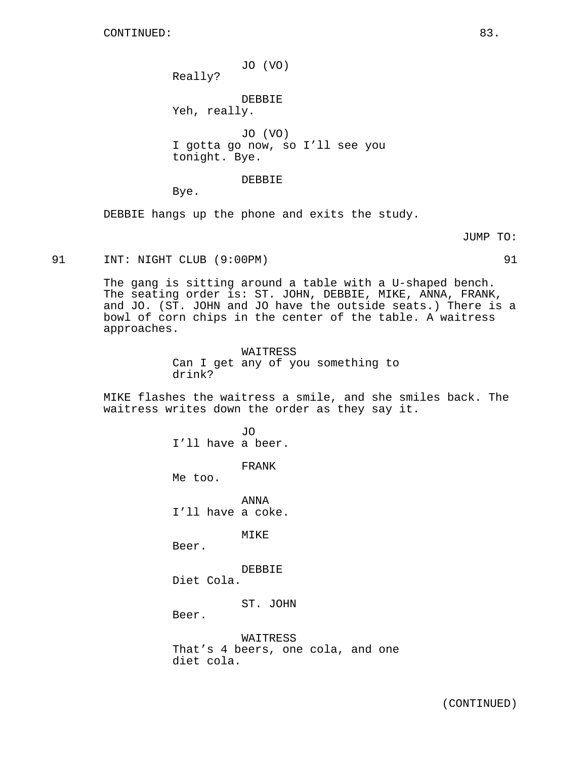Really?

DEBBIE Yeh, really.

JO (VO) I gotta go now, so I'll see you tonight. Bye.

# DEBBIE

Bye.

DEBBIE hangs up the phone and exits the study.

JUMP TO:

91 INT: NIGHT CLUB (9:00PM) 91

The gang is sitting around a table with a U-shaped bench. The seating order is: ST. JOHN, DEBBIE, MIKE, ANNA, FRANK, and JO. (ST. JOHN and JO have the outside seats.) There is a bowl of corn chips in the center of the table. A waitress approaches.

> WAITRESS Can I get any of you something to drink?

MIKE flashes the waitress a smile, and she smiles back. The waitress writes down the order as they say it.

> JO I'll have a beer.

> > FRANK

Me too.

ANNA I'll have a coke.

MIKE

Beer.

DEBBIE Diet Cola.

ST. JOHN

Beer.

WAITRESS That's 4 beers, one cola, and one diet cola.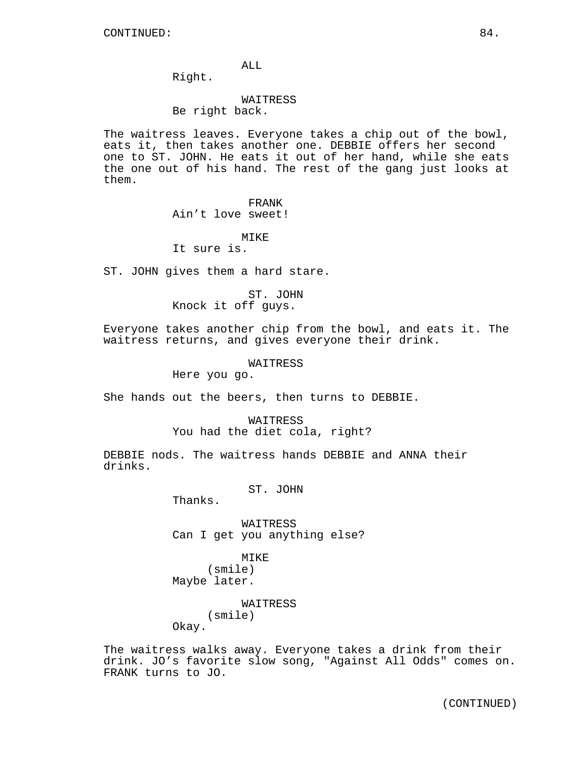ALL

Right.

# WAITRESS

Be right back.

The waitress leaves. Everyone takes a chip out of the bowl, eats it, then takes another one. DEBBIE offers her second one to ST. JOHN. He eats it out of her hand, while she eats the one out of his hand. The rest of the gang just looks at them.

#### FRANK

Ain't love sweet!

## MIKE

It sure is.

ST. JOHN gives them a hard stare.

# ST. JOHN

Knock it off guys.

Everyone takes another chip from the bowl, and eats it. The waitress returns, and gives everyone their drink.

### WAITRESS

Here you go.

She hands out the beers, then turns to DEBBIE.

#### WAITRESS

You had the diet cola, right?

DEBBIE nods. The waitress hands DEBBIE and ANNA their drinks.

# ST. JOHN

Thanks.

WAITRESS Can I get you anything else?

# MIKE (smile) Maybe later.

# WAITRESS (smile)

Okay.

The waitress walks away. Everyone takes a drink from their drink. JO's favorite slow song, "Against All Odds" comes on. FRANK turns to JO.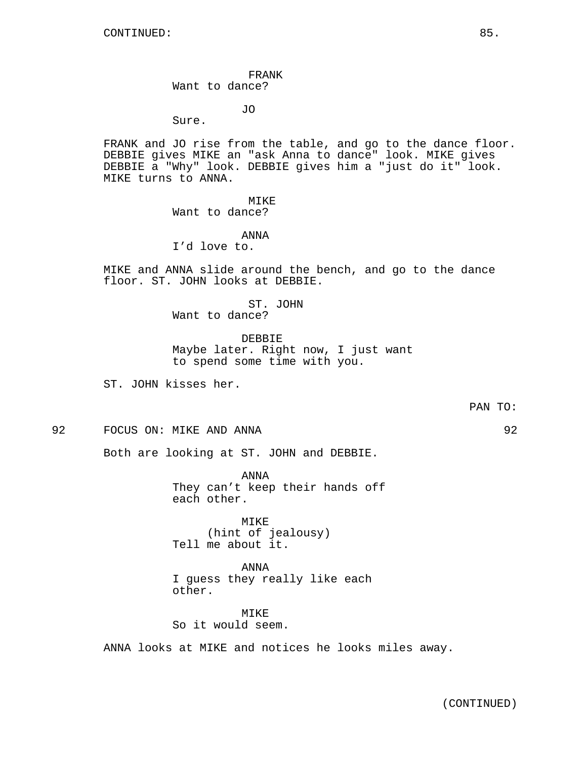FRANK Want to dance?

JO

Sure.

FRANK and JO rise from the table, and go to the dance floor. DEBBIE gives MIKE an "ask Anna to dance" look. MIKE gives DEBBIE a "Why" look. DEBBIE gives him a "just do it" look. MIKE turns to ANNA.

> MIKE Want to dance?

ANNA I'd love to.

MIKE and ANNA slide around the bench, and go to the dance floor. ST. JOHN looks at DEBBIE.

> ST. JOHN Want to dance?

DEBBIE Maybe later. Right now, I just want to spend some time with you.

ST. JOHN kisses her.

PAN TO:

92 FOCUS ON: MIKE AND ANNA 92

Both are looking at ST. JOHN and DEBBIE.

ANNA They can't keep their hands off each other.

MIKE (hint of jealousy) Tell me about it.

ANNA I guess they really like each other.

MIKE So it would seem.

ANNA looks at MIKE and notices he looks miles away.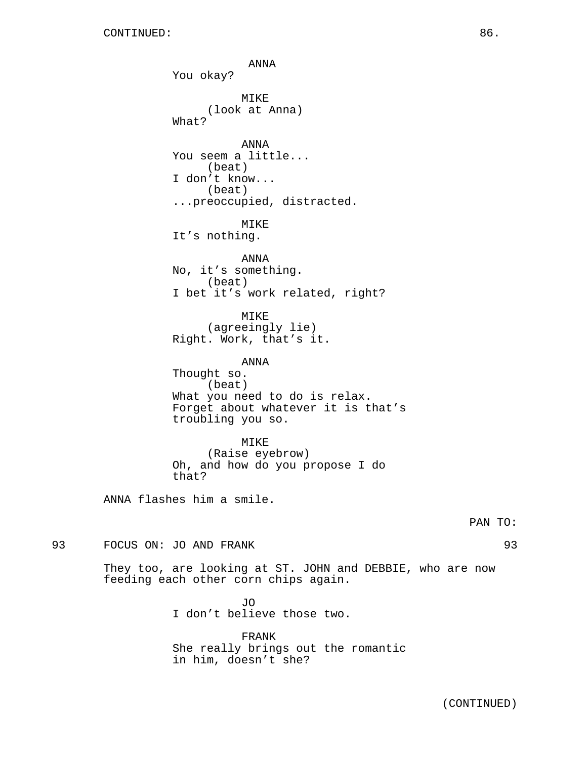ANNA You okay? MIKE (look at Anna) What? ANNA You seem a little... (beat) I don't know... (beat) ...preoccupied, distracted. MIKE It's nothing. ANNA No, it's something. (beat) I bet it's work related, right? MIKE (agreeingly lie) Right. Work, that's it. ANNA Thought so. (beat) What you need to do is relax. Forget about whatever it is that's troubling you so. MIKE (Raise eyebrow) Oh, and how do you propose I do that? ANNA flashes him a smile. PAN TO: 93 FOCUS ON: JO AND FRANK 93 They too, are looking at ST. JOHN and DEBBIE, who are now feeding each other corn chips again.

> JO I don't believe those two.

FRANK She really brings out the romantic in him, doesn't she?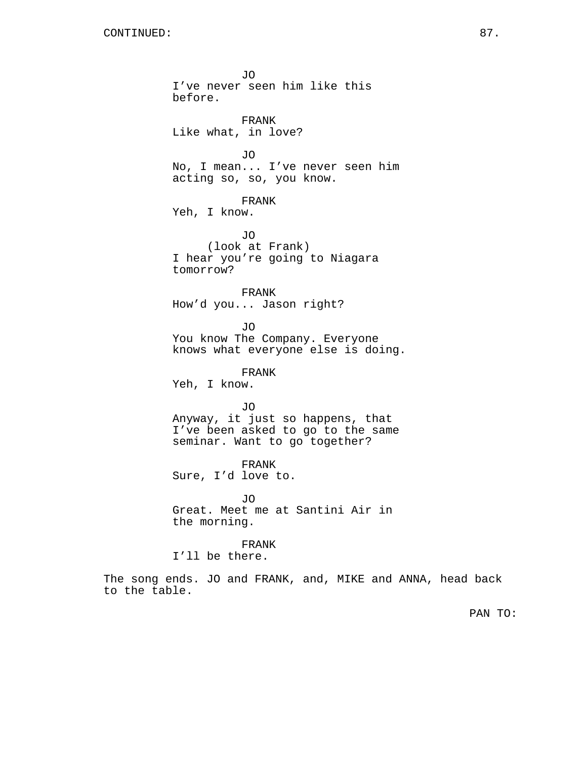JO I've never seen him like this before. FRANK Like what, in love? JO No, I mean... I've never seen him acting so, so, you know. FRANK Yeh, I know. JO (look at Frank) I hear you're going to Niagara tomorrow? FRANK How'd you... Jason right? JO You know The Company. Everyone knows what everyone else is doing. FRANK Yeh, I know. JO Anyway, it just so happens, that I've been asked to go to the same seminar. Want to go together? FRANK Sure, I'd love to. JO Great. Meet me at Santini Air in the morning. FRANK I'll be there.

The song ends. JO and FRANK, and, MIKE and ANNA, head back to the table.

PAN TO: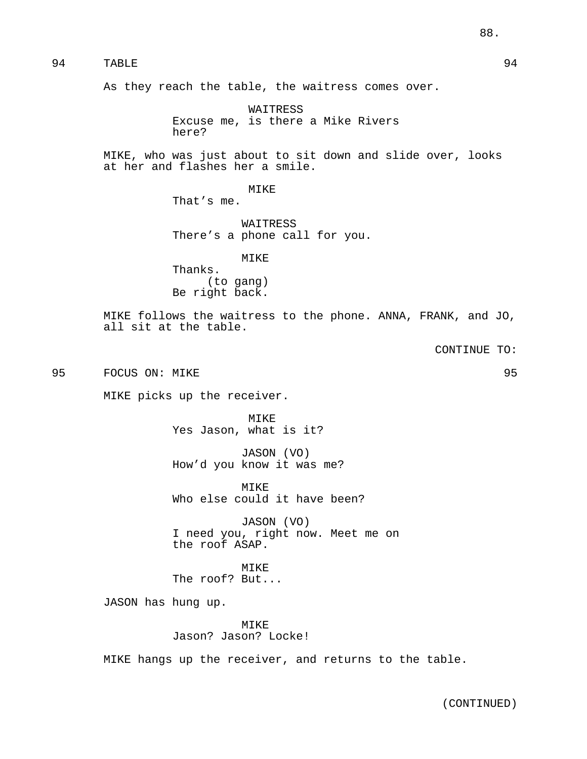94 TABLE 94

As they reach the table, the waitress comes over.

WAITRESS Excuse me, is there a Mike Rivers here?

MIKE, who was just about to sit down and slide over, looks at her and flashes her a smile.

> MIKE That's me.

WAITRESS

There's a phone call for you.

MIKE

Thanks. (to gang) Be right back.

MIKE follows the waitress to the phone. ANNA, FRANK, and JO, all sit at the table.

CONTINUE TO:

95 FOCUS ON: MIKE 95

MIKE picks up the receiver.

MIKE Yes Jason, what is it?

JASON (VO) How'd you know it was me?

MIKE Who else could it have been?

JASON (VO) I need you, right now. Meet me on the roof ASAP.

MIKE The roof? But...

JASON has hung up.

MIKE Jason? Jason? Locke!

MIKE hangs up the receiver, and returns to the table.

(CONTINUED)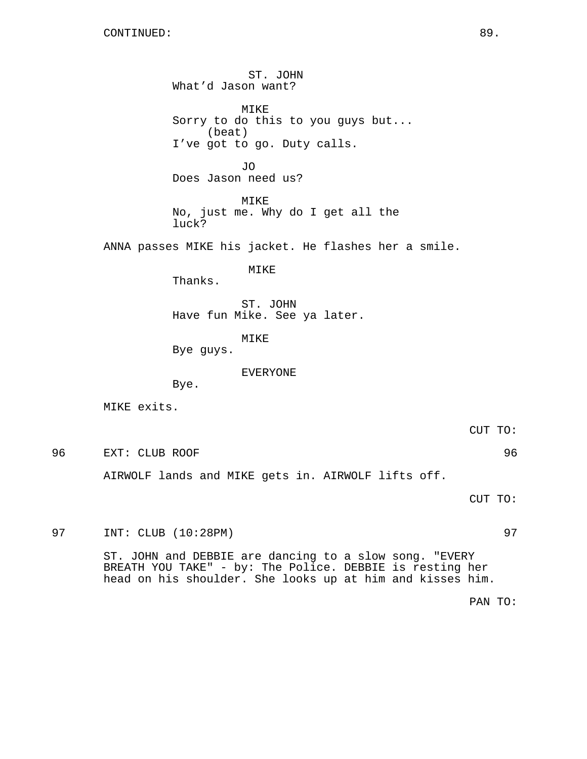ST. JOHN What'd Jason want? MIKE Sorry to do this to you guys but... (beat) I've got to go. Duty calls. JO Does Jason need us? MIKE No, just me. Why do I get all the luck? ANNA passes MIKE his jacket. He flashes her a smile. MIKE Thanks. ST. JOHN Have fun Mike. See ya later. MIKE Bye guys. EVERYONE Bye. MIKE exits. CUT TO: 96 EXT: CLUB ROOF 96 AIRWOLF lands and MIKE gets in. AIRWOLF lifts off. CUT TO:

97 INT: CLUB (10:28PM) 97

ST. JOHN and DEBBIE are dancing to a slow song. "EVERY BREATH YOU TAKE" - by: The Police. DEBBIE is resting her head on his shoulder. She looks up at him and kisses him.

PAN TO: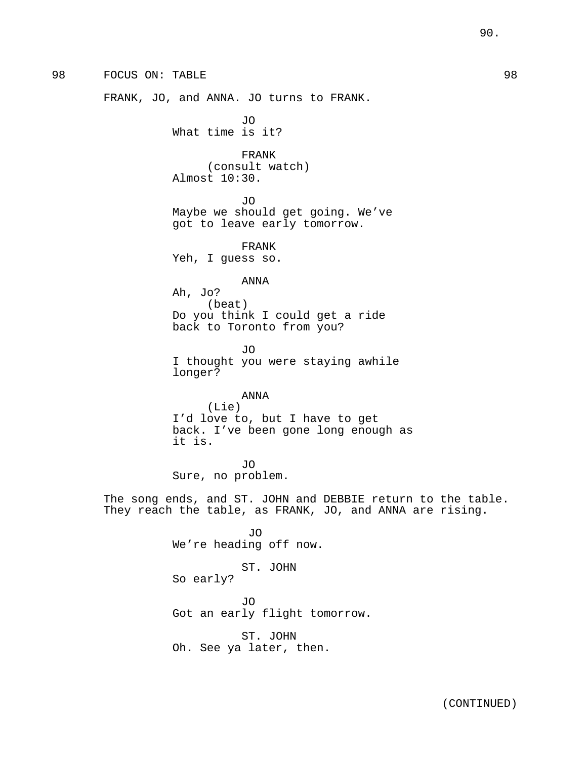# 98 FOCUS ON: TABLE 98

FRANK, JO, and ANNA. JO turns to FRANK.

JO What time is it?

FRANK (consult watch) Almost 10:30.

JO

Maybe we should get going. We've got to leave early tomorrow.

FRANK Yeh, I guess so.

# ANNA

Ah, Jo? (beat) Do you think I could get a ride back to Toronto from you?

JO I thought you were staying awhile longer?

# ANNA

(Lie) I'd love to, but I have to get back. I've been gone long enough as it is.

JO Sure, no problem.

The song ends, and ST. JOHN and DEBBIE return to the table. They reach the table, as FRANK, JO, and ANNA are rising.

> JO We're heading off now.

> > ST. JOHN

So early?

JO Got an early flight tomorrow.

ST. JOHN Oh. See ya later, then.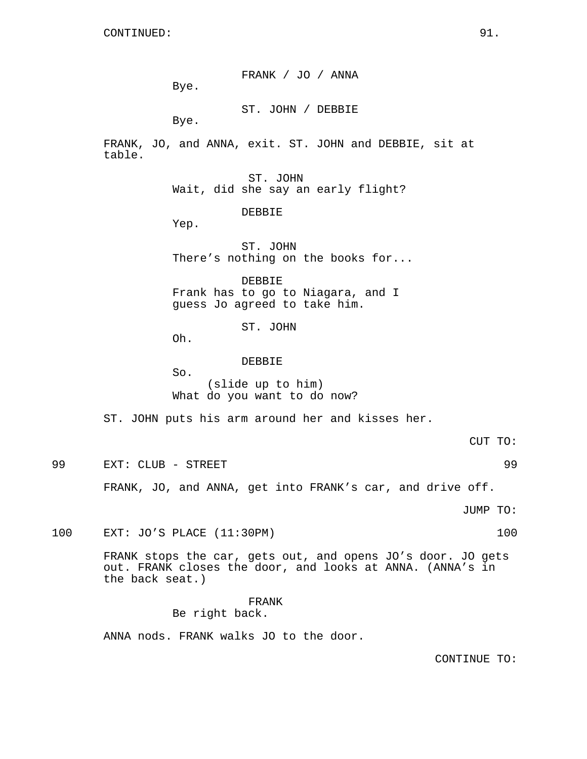FRANK / JO / ANNA Bye. ST. JOHN / DEBBIE Bye. FRANK, JO, and ANNA, exit. ST. JOHN and DEBBIE, sit at table. ST. JOHN Wait, did she say an early flight? DEBBIE Yep. ST. JOHN There's nothing on the books for... DEBBIE Frank has to go to Niagara, and I guess Jo agreed to take him. ST. JOHN Oh. DEBBIE So. (slide up to him) What do you want to do now? ST. JOHN puts his arm around her and kisses her. CUT TO: 99 EXT: CLUB - STREET 99 FRANK, JO, and ANNA, get into FRANK's car, and drive off. JUMP TO: 100 EXT: JO'S PLACE (11:30PM) 100

> FRANK stops the car, gets out, and opens JO's door. JO gets out. FRANK closes the door, and looks at ANNA. (ANNA's in the back seat.)

> > FRANK Be right back.

ANNA nods. FRANK walks JO to the door.

CONTINUE TO: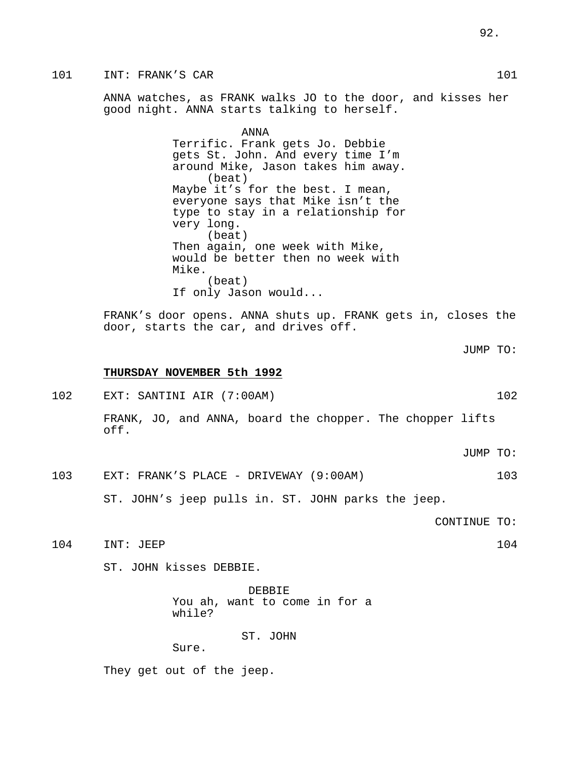ANNA watches, as FRANK walks JO to the door, and kisses her good night. ANNA starts talking to herself.

> ANNA Terrific. Frank gets Jo. Debbie gets St. John. And every time I'm around Mike, Jason takes him away. (beat) Maybe it's for the best. I mean, everyone says that Mike isn't the type to stay in a relationship for very long. (beat) Then again, one week with Mike, would be better then no week with Mike. (beat) If only Jason would...

FRANK's door opens. ANNA shuts up. FRANK gets in, closes the door, starts the car, and drives off.

**THURSDAY NOVEMBER 5th 1992**

102 EXT: SANTINI AIR (7:00AM) 102 FRANK, JO, and ANNA, board the chopper. The chopper lifts off.

JUMP TO:

103 EXT: FRANK'S PLACE - DRIVEWAY (9:00AM) 103

ST. JOHN's jeep pulls in. ST. JOHN parks the jeep.

CONTINUE TO:

JUMP TO:

104 INT: JEEP 104

ST. JOHN kisses DEBBIE.

DEBBIE You ah, want to come in for a while?

ST. JOHN

Sure.

They get out of the jeep.

92.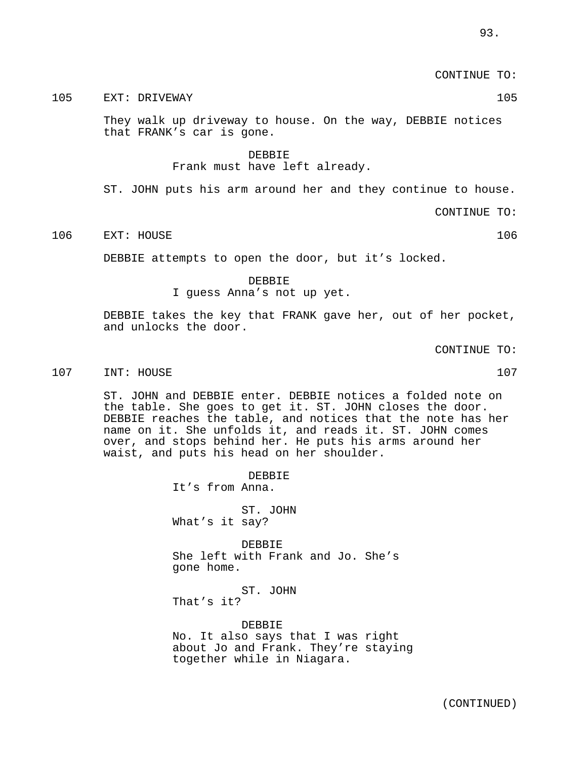CONTINUE TO:

105 EXT: DRIVEWAY 105

They walk up driveway to house. On the way, DEBBIE notices that FRANK's car is gone.

DEBBIE

Frank must have left already.

ST. JOHN puts his arm around her and they continue to house.

CONTINUE TO:

106 EXT: HOUSE 106

DEBBIE attempts to open the door, but it's locked.

DEBBIE

I guess Anna's not up yet.

DEBBIE takes the key that FRANK gave her, out of her pocket, and unlocks the door.

CONTINUE TO:

### 107 INT: HOUSE 107

ST. JOHN and DEBBIE enter. DEBBIE notices a folded note on the table. She goes to get it. ST. JOHN closes the door. DEBBIE reaches the table, and notices that the note has her name on it. She unfolds it, and reads it. ST. JOHN comes over, and stops behind her. He puts his arms around her waist, and puts his head on her shoulder.

> DEBBIE It's from Anna.

ST. JOHN What's it say?

**DEBBIE** She left with Frank and Jo. She's gone home.

ST. JOHN That's it?

DEBBIE No. It also says that I was right about Jo and Frank. They're staying together while in Niagara.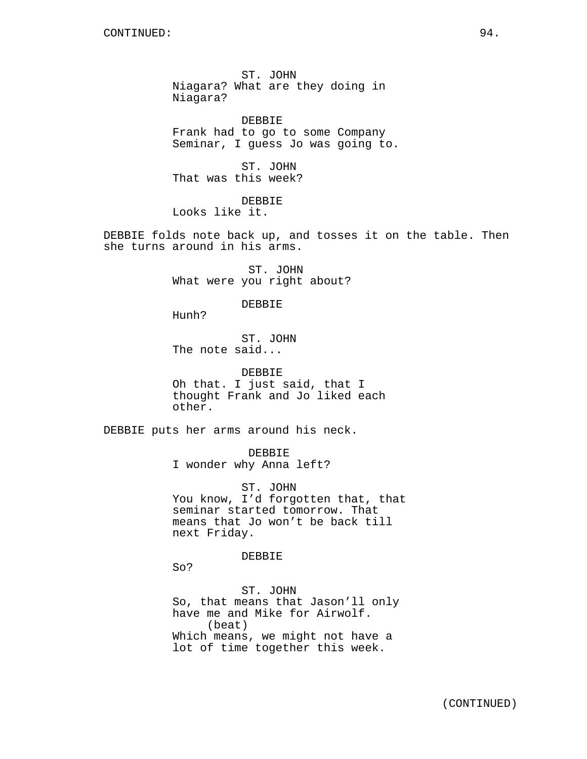ST. JOHN Niagara? What are they doing in Niagara?

DEBBIE Frank had to go to some Company Seminar, I guess Jo was going to.

ST. JOHN That was this week?

DEBBIE Looks like it.

DEBBIE folds note back up, and tosses it on the table. Then she turns around in his arms.

> ST. JOHN What were you right about?

> > DEBBIE

Hunh?

ST. JOHN The note said...

DEBBIE Oh that. I just said, that I thought Frank and Jo liked each other.

DEBBIE puts her arms around his neck.

DEBBIE I wonder why Anna left?

ST. JOHN You know, I'd forgotten that, that seminar started tomorrow. That means that Jo won't be back till next Friday.

DEBBIE

So?

ST. JOHN So, that means that Jason'll only have me and Mike for Airwolf. (beat) Which means, we might not have a lot of time together this week.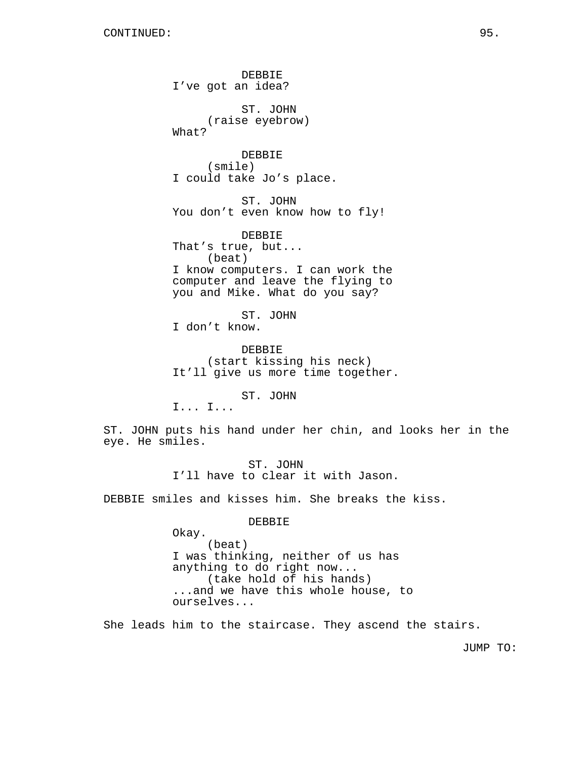DEBBIE I've got an idea? ST. JOHN (raise eyebrow) What? DEBBIE (smile) I could take Jo's place. ST. JOHN You don't even know how to fly! DEBBIE That's true, but... (beat) I know computers. I can work the computer and leave the flying to you and Mike. What do you say? ST. JOHN I don't know. DEBBIE (start kissing his neck) It'll give us more time together. ST. JOHN I... I... ST. JOHN puts his hand under her chin, and looks her in the eye. He smiles. ST. JOHN I'll have to clear it with Jason.

DEBBIE smiles and kisses him. She breaks the kiss.

DEBBIE

Okay. (beat) I was thinking, neither of us has anything to do right now... (take hold of his hands) ...and we have this whole house, to ourselves...

She leads him to the staircase. They ascend the stairs.

JUMP TO: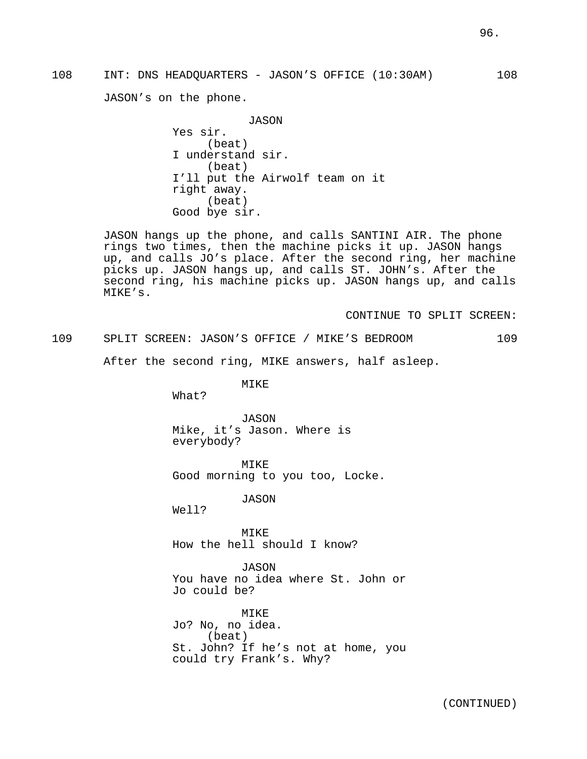108 INT: DNS HEADQUARTERS - JASON'S OFFICE (10:30AM) 108

JASON's on the phone.

JASON Yes sir. (beat) I understand sir. (beat) I'll put the Airwolf team on it right away. (beat) Good bye sir.

JASON hangs up the phone, and calls SANTINI AIR. The phone rings two times, then the machine picks it up. JASON hangs up, and calls JO's place. After the second ring, her machine picks up. JASON hangs up, and calls ST. JOHN's. After the second ring, his machine picks up. JASON hangs up, and calls MIKE's.

CONTINUE TO SPLIT SCREEN:

109 SPLIT SCREEN: JASON'S OFFICE / MIKE'S BEDROOM 109

After the second ring, MIKE answers, half asleep.

MIKE

What?

JASON Mike, it's Jason. Where is everybody?

MIKE Good morning to you too, Locke.

JASON

Well?

MIKE How the hell should I know?

JASON You have no idea where St. John or Jo could be?

MIKE Jo? No, no idea. (beat) St. John? If he's not at home, you could try Frank's. Why?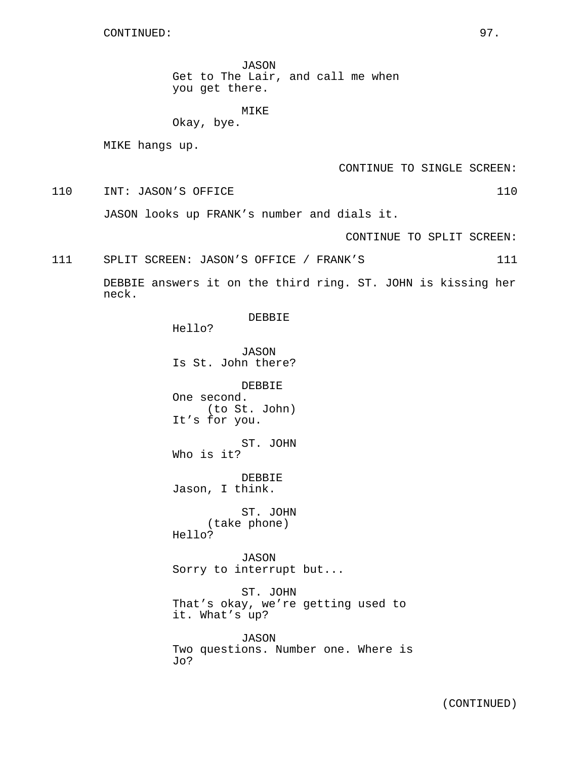JASON Get to The Lair, and call me when you get there.

MIKE Okay, bye.

MIKE hangs up.

CONTINUE TO SINGLE SCREEN:

110 INT: JASON'S OFFICE 110

JASON looks up FRANK's number and dials it.

CONTINUE TO SPLIT SCREEN:

111 SPLIT SCREEN: JASON'S OFFICE / FRANK'S 111

DEBBIE answers it on the third ring. ST. JOHN is kissing her neck.

DEBBIE

Hello?

JASON Is St. John there?

DEBBIE One second. (to St. John) It's for you.

ST. JOHN Who is it?

DEBBIE Jason, I think.

ST. JOHN (take phone) Hello?

JASON Sorry to interrupt but...

ST. JOHN That's okay, we're getting used to it. What's up?

JASON Two questions. Number one. Where is Jo?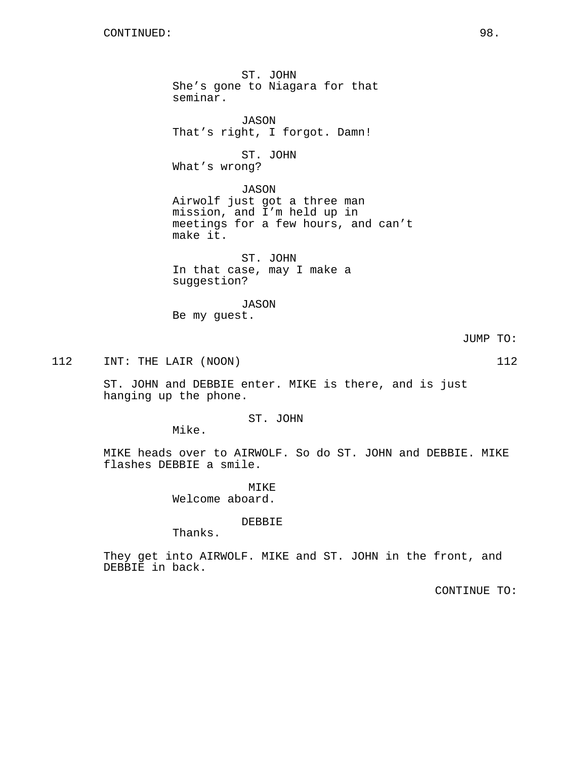ST. JOHN She's gone to Niagara for that seminar. JASON That's right, I forgot. Damn! ST. JOHN What's wrong? JASON Airwolf just got a three man mission, and I'm held up in meetings for a few hours, and can't make it. ST. JOHN In that case, may I make a suggestion? JASON

Be my guest.

JUMP TO:

112 INT: THE LAIR (NOON) 112

ST. JOHN and DEBBIE enter. MIKE is there, and is just hanging up the phone.

ST. JOHN

Mike.

MIKE heads over to AIRWOLF. So do ST. JOHN and DEBBIE. MIKE flashes DEBBIE a smile.

> MIKE Welcome aboard.

> > DEBBIE

Thanks.

They get into AIRWOLF. MIKE and ST. JOHN in the front, and DEBBIE in back.

CONTINUE TO: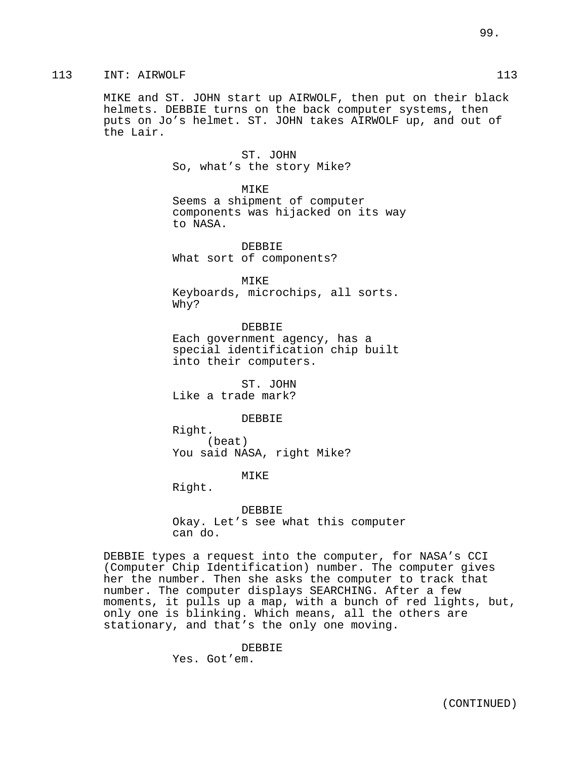MIKE and ST. JOHN start up AIRWOLF, then put on their black helmets. DEBBIE turns on the back computer systems, then puts on Jo's helmet. ST. JOHN takes AIRWOLF up, and out of the Lair.

> ST. JOHN So, what's the story Mike?

MIKE Seems a shipment of computer components was hijacked on its way to NASA.

DEBBIE What sort of components?

MIKE Keyboards, microchips, all sorts. Why?

DEBBIE Each government agency, has a special identification chip built into their computers.

ST. JOHN Like a trade mark?

DEBBIE

Right. (beat) You said NASA, right Mike?

MIKE

Right.

DEBBIE Okay. Let's see what this computer can do.

DEBBIE types a request into the computer, for NASA's CCI (Computer Chip Identification) number. The computer gives her the number. Then she asks the computer to track that number. The computer displays SEARCHING. After a few moments, it pulls up a map, with a bunch of red lights, but, only one is blinking. Which means, all the others are stationary, and that's the only one moving.

> DEBBIE Yes. Got'em.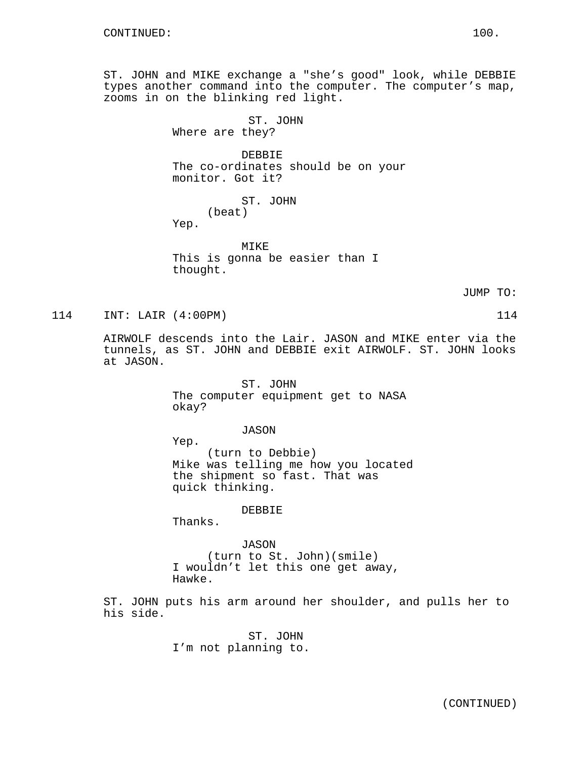ST. JOHN and MIKE exchange a "she's good" look, while DEBBIE types another command into the computer. The computer's map, zooms in on the blinking red light.

> ST. JOHN Where are they?

DEBBIE The co-ordinates should be on your monitor. Got it?

ST. JOHN

(beat)

Yep.

MTK<sub>E</sub> This is gonna be easier than I thought.

JUMP TO:

114 INT: LAIR (4:00PM) 114

AIRWOLF descends into the Lair. JASON and MIKE enter via the tunnels, as ST. JOHN and DEBBIE exit AIRWOLF. ST. JOHN looks at JASON.

> ST. JOHN The computer equipment get to NASA okay?

## JASON

Yep. (turn to Debbie) Mike was telling me how you located the shipment so fast. That was quick thinking.

DEBBIE

Thanks.

JASON (turn to St. John)(smile) I wouldn't let this one get away, Hawke.

ST. JOHN puts his arm around her shoulder, and pulls her to his side.

> ST. JOHN I'm not planning to.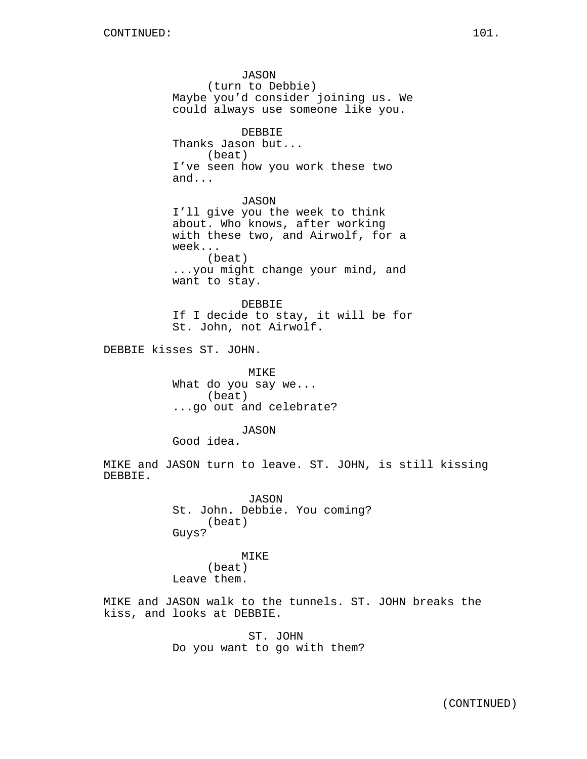JASON (turn to Debbie) Maybe you'd consider joining us. We could always use someone like you. DEBBIE Thanks Jason but... (beat) I've seen how you work these two and... JASON I'll give you the week to think about. Who knows, after working with these two, and Airwolf, for a week... (beat) ...you might change your mind, and want to stay. DEBBIE If I decide to stay, it will be for St. John, not Airwolf. DEBBIE kisses ST. JOHN. MIKE What do you say we... (beat) ...go out and celebrate? JASON Good idea. MIKE and JASON turn to leave. ST. JOHN, is still kissing DEBBIE. JASON St. John. Debbie. You coming? (beat) Guys? MIKE (beat) Leave them. MIKE and JASON walk to the tunnels. ST. JOHN breaks the kiss, and looks at DEBBIE.

> ST. JOHN Do you want to go with them?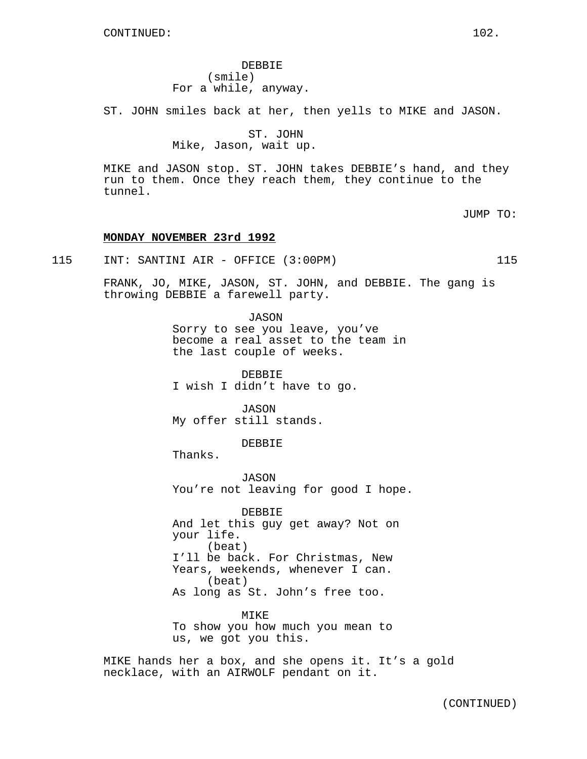DEBBIE (smile) For a while, anyway.

ST. JOHN smiles back at her, then yells to MIKE and JASON.

ST. JOHN Mike, Jason, wait up.

MIKE and JASON stop. ST. JOHN takes DEBBIE's hand, and they run to them. Once they reach them, they continue to the tunnel.

JUMP TO:

# **MONDAY NOVEMBER 23rd 1992**

115 INT: SANTINI AIR - OFFICE (3:00PM) 115

FRANK, JO, MIKE, JASON, ST. JOHN, and DEBBIE. The gang is throwing DEBBIE a farewell party.

> JASON Sorry to see you leave, you've become a real asset to the team in the last couple of weeks.

DEBBIE I wish I didn't have to go.

JASON My offer still stands.

DEBBIE

Thanks.

JASON You're not leaving for good I hope.

DEBBIE And let this guy get away? Not on your life. (beat) I'll be back. For Christmas, New Years, weekends, whenever I can. (beat) As long as St. John's free too.

MIKE To show you how much you mean to us, we got you this.

MIKE hands her a box, and she opens it. It's a gold necklace, with an AIRWOLF pendant on it.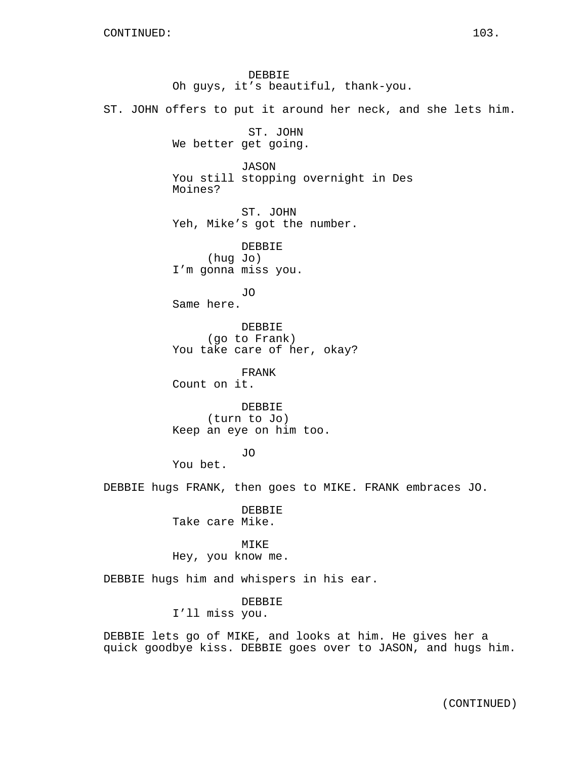DEBBIE Oh guys, it's beautiful, thank-you. ST. JOHN offers to put it around her neck, and she lets him. ST. JOHN We better get going. JASON You still stopping overnight in Des Moines? ST. JOHN Yeh, Mike's got the number. DEBBIE (hug Jo) I'm gonna miss you. JO Same here. DEBBIE (go to Frank) You take care of her, okay? FRANK Count on it. DEBBIE (turn to Jo) Keep an eye on him too. JO You bet. DEBBIE hugs FRANK, then goes to MIKE. FRANK embraces JO. DEBBIE Take care Mike. MIKE Hey, you know me. DEBBIE hugs him and whispers in his ear. DEBBIE

I'll miss you.

DEBBIE lets go of MIKE, and looks at him. He gives her a quick goodbye kiss. DEBBIE goes over to JASON, and hugs him.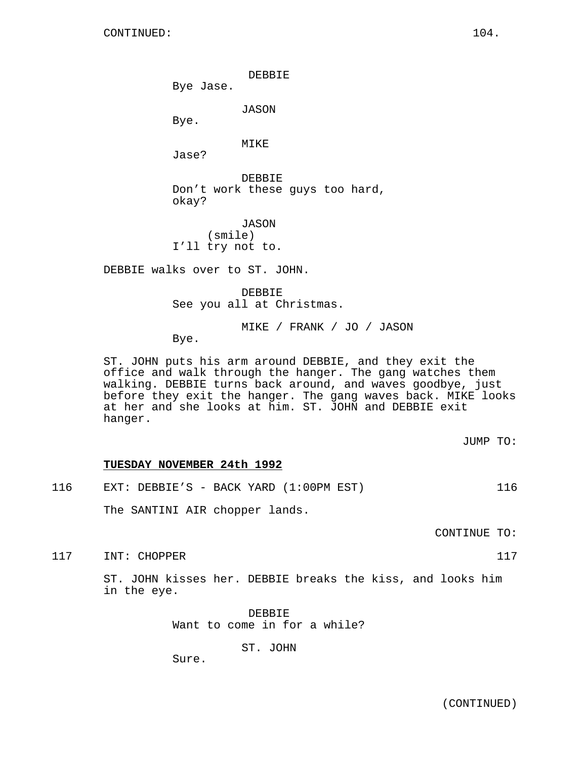DEBBIE

Bye Jase.

JASON

Bye.

MIKE

Jase?

DEBBIE Don't work these guys too hard, okay?

JASON (smile) I'll try not to.

DEBBIE walks over to ST. JOHN.

DEBBIE See you all at Christmas.

MIKE / FRANK / JO / JASON

Bye.

ST. JOHN puts his arm around DEBBIE, and they exit the office and walk through the hanger. The gang watches them walking. DEBBIE turns back around, and waves goodbye, just before they exit the hanger. The gang waves back. MIKE looks at her and she looks at him. ST. JOHN and DEBBIE exit hanger.

JUMP TO:

# **TUESDAY NOVEMBER 24th 1992**

| 116 |  |  |  |  | EXT: DEBBIE'S - BACK YARD $(1:00PM EST)$ |  |
|-----|--|--|--|--|------------------------------------------|--|
|-----|--|--|--|--|------------------------------------------|--|

The SANTINI AIR chopper lands.

CONTINUE TO:

117 INT: CHOPPER 117

ST. JOHN kisses her. DEBBIE breaks the kiss, and looks him in the eye.

> DEBBIE Want to come in for a while?

> > ST. JOHN

Sure.

(CONTINUED)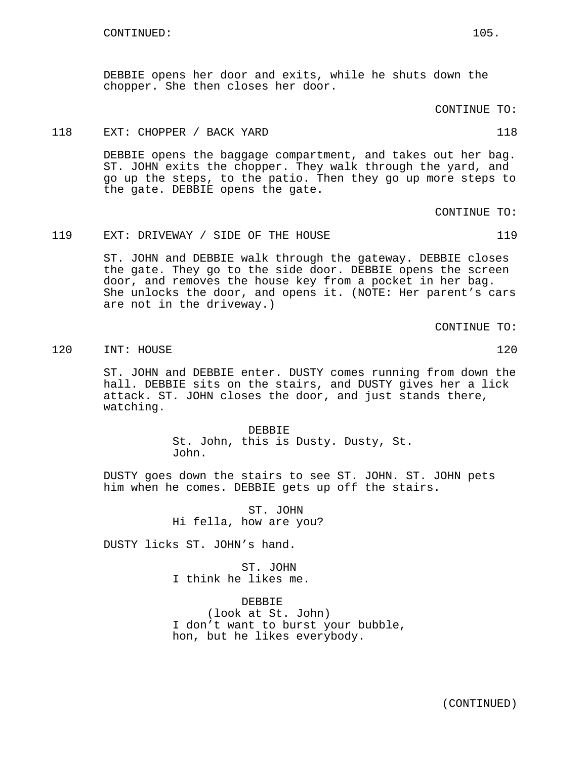DEBBIE opens her door and exits, while he shuts down the chopper. She then closes her door.

CONTINUE TO:

## 118 EXT: CHOPPER / BACK YARD 118 118

DEBBIE opens the baggage compartment, and takes out her bag. ST. JOHN exits the chopper. They walk through the yard, and go up the steps, to the patio. Then they go up more steps to the gate. DEBBIE opens the gate.

CONTINUE TO:

## 119 EXT: DRIVEWAY / SIDE OF THE HOUSE 119

ST. JOHN and DEBBIE walk through the gateway. DEBBIE closes the gate. They go to the side door. DEBBIE opens the screen door, and removes the house key from a pocket in her bag. She unlocks the door, and opens it. (NOTE: Her parent's cars are not in the driveway.)

CONTINUE TO:

120 INT: HOUSE 120

ST. JOHN and DEBBIE enter. DUSTY comes running from down the hall. DEBBIE sits on the stairs, and DUSTY gives her a lick attack. ST. JOHN closes the door, and just stands there, watching.

> DEBBIE St. John, this is Dusty. Dusty, St. John.

DUSTY goes down the stairs to see ST. JOHN. ST. JOHN pets him when he comes. DEBBIE gets up off the stairs.

> ST. JOHN Hi fella, how are you?

DUSTY licks ST. JOHN's hand.

ST. JOHN I think he likes me.

DEBBIE (look at St. John) I don't want to burst your bubble, hon, but he likes everybody.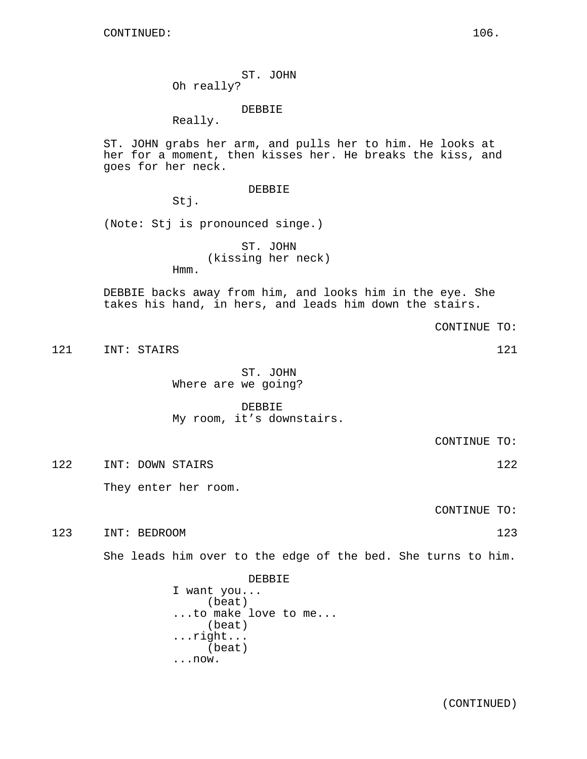ST. JOHN Oh really?

DEBBIE

Really.

ST. JOHN grabs her arm, and pulls her to him. He looks at her for a moment, then kisses her. He breaks the kiss, and goes for her neck.

# DEBBIE

Stj.

(Note: Stj is pronounced singe.)

ST. JOHN (kissing her neck) Hmm.

DEBBIE backs away from him, and looks him in the eye. She takes his hand, in hers, and leads him down the stairs.

121 INT: STAIRS 121 121

ST. JOHN Where are we going?

DEBBIE My room, it's downstairs.

CONTINUE TO:

CONTINUE TO:

122 INT: DOWN STAIRS 122

They enter her room.

CONTINUE TO:

123 INT: BEDROOM 123

She leads him over to the edge of the bed. She turns to him.

DEBBIE I want you... (beat) ...to make love to me... (beat) ...right... (beat) ...now.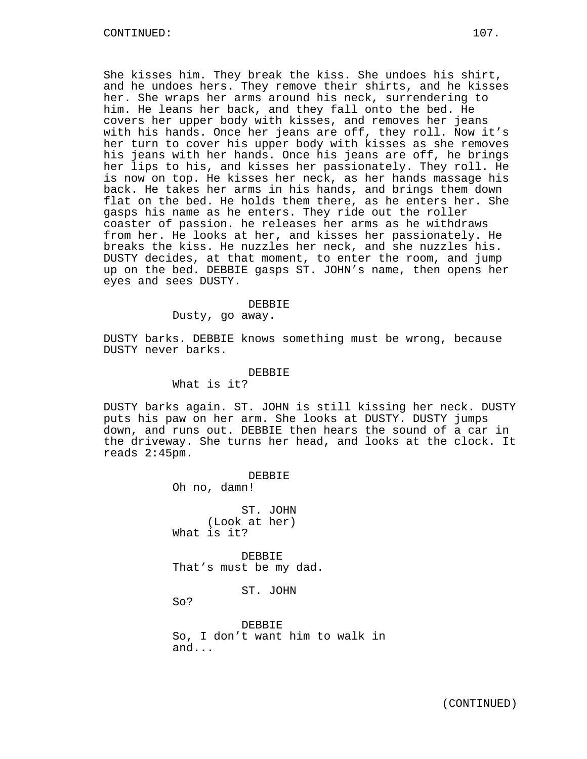She kisses him. They break the kiss. She undoes his shirt, and he undoes hers. They remove their shirts, and he kisses her. She wraps her arms around his neck, surrendering to him. He leans her back, and they fall onto the bed. He covers her upper body with kisses, and removes her jeans with his hands. Once her jeans are off, they roll. Now it's her turn to cover his upper body with kisses as she removes his jeans with her hands. Once his jeans are off, he brings her lips to his, and kisses her passionately. They roll. He is now on top. He kisses her neck, as her hands massage his back. He takes her arms in his hands, and brings them down flat on the bed. He holds them there, as he enters her. She gasps his name as he enters. They ride out the roller coaster of passion. he releases her arms as he withdraws from her. He looks at her, and kisses her passionately. He breaks the kiss. He nuzzles her neck, and she nuzzles his. DUSTY decides, at that moment, to enter the room, and jump up on the bed. DEBBIE gasps ST. JOHN's name, then opens her eyes and sees DUSTY.

#### DEBBIE

Dusty, go away.

DUSTY barks. DEBBIE knows something must be wrong, because DUSTY never barks.

#### DEBBIE

What is it?

DUSTY barks again. ST. JOHN is still kissing her neck. DUSTY puts his paw on her arm. She looks at DUSTY. DUSTY jumps down, and runs out. DEBBIE then hears the sound of a car in the driveway. She turns her head, and looks at the clock. It reads 2:45pm.

> DEBBIE Oh no, damn! ST. JOHN (Look at her) What is it? DEBBIE That's must be my dad. ST. JOHN So? DEBBIE So, I don't want him to walk in and...

> > (CONTINUED)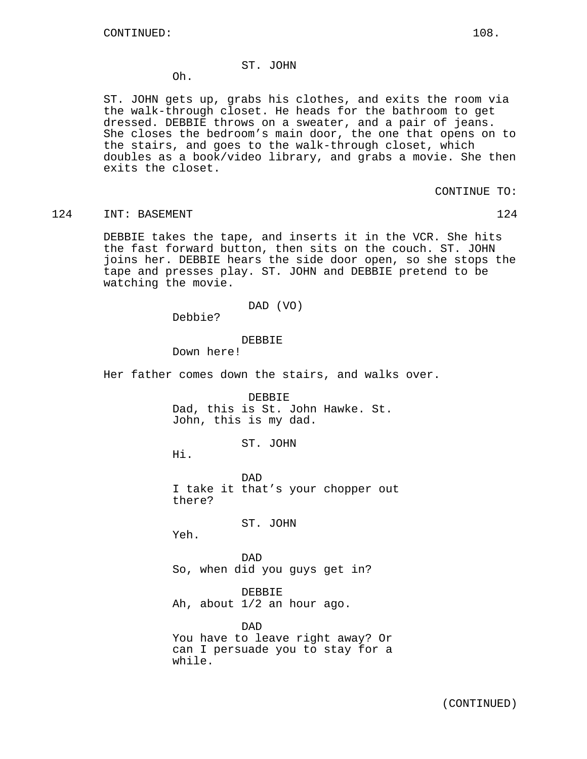# ST. JOHN

Oh.

ST. JOHN gets up, grabs his clothes, and exits the room via the walk-through closet. He heads for the bathroom to get dressed. DEBBIE throws on a sweater, and a pair of jeans. She closes the bedroom's main door, the one that opens on to the stairs, and goes to the walk-through closet, which doubles as a book/video library, and grabs a movie. She then exits the closet.

CONTINUE TO:

## 124 INT: BASEMENT 124 124

DEBBIE takes the tape, and inserts it in the VCR. She hits the fast forward button, then sits on the couch. ST. JOHN joins her. DEBBIE hears the side door open, so she stops the tape and presses play. ST. JOHN and DEBBIE pretend to be watching the movie.

## DAD (VO)

Debbie?

#### DEBBIE

Down here!

Her father comes down the stairs, and walks over.

DEBBIE Dad, this is St. John Hawke. St. John, this is my dad.

ST. JOHN

Hi.

DAD I take it that's your chopper out there?

ST. JOHN

Yeh.

DAD So, when did you guys get in?

DEBBIE Ah, about 1/2 an hour ago.

DAD You have to leave right away? Or can I persuade you to stay for a while.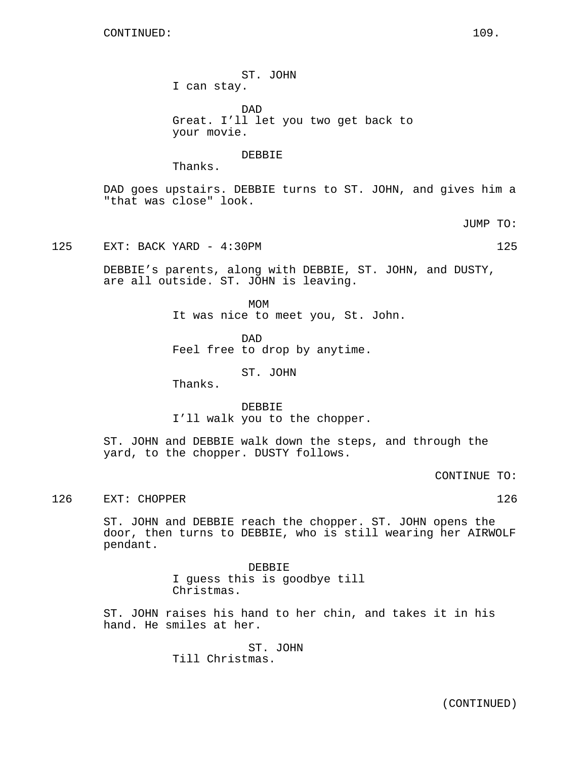ST. JOHN I can stay.

DAD Great. I'll let you two get back to your movie.

DEBBIE

Thanks.

DAD goes upstairs. DEBBIE turns to ST. JOHN, and gives him a "that was close" look.

JUMP TO:

125 EXT: BACK YARD - 4:30PM 125

DEBBIE's parents, along with DEBBIE, ST. JOHN, and DUSTY, are all outside. ST. JOHN is leaving.

> MOM It was nice to meet you, St. John.

DAD Feel free to drop by anytime.

ST. JOHN

Thanks.

DEBBIE I'll walk you to the chopper.

ST. JOHN and DEBBIE walk down the steps, and through the yard, to the chopper. DUSTY follows.

CONTINUE TO:

126 EXT: CHOPPER 126

ST. JOHN and DEBBIE reach the chopper. ST. JOHN opens the door, then turns to DEBBIE, who is still wearing her AIRWOLF pendant.

> DEBBIE I guess this is goodbye till Christmas.

ST. JOHN raises his hand to her chin, and takes it in his hand. He smiles at her.

> ST. JOHN Till Christmas.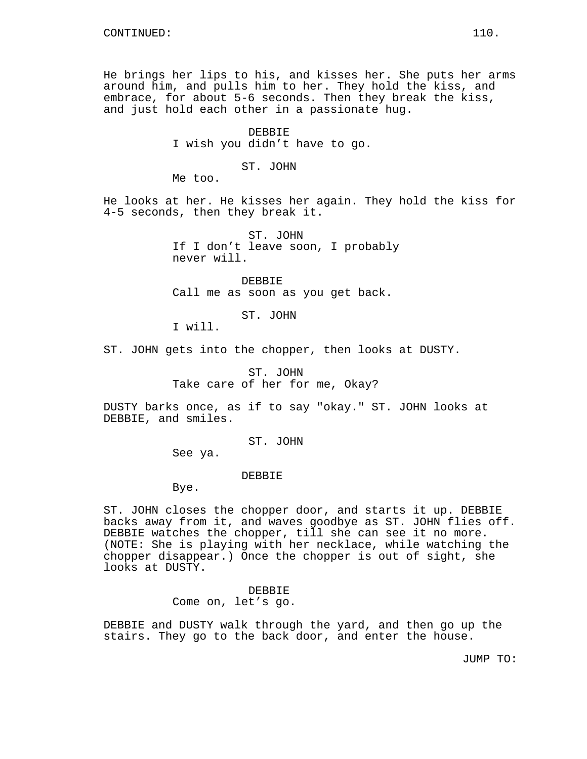He brings her lips to his, and kisses her. She puts her arms around him, and pulls him to her. They hold the kiss, and embrace, for about 5-6 seconds. Then they break the kiss, and just hold each other in a passionate hug.

> DEBBIE I wish you didn't have to go.

### ST. JOHN

Me too.

He looks at her. He kisses her again. They hold the kiss for 4-5 seconds, then they break it.

> ST. JOHN If I don't leave soon, I probably never will.

DEBBIE Call me as soon as you get back.

ST. JOHN

I will.

ST. JOHN gets into the chopper, then looks at DUSTY.

ST. JOHN Take care of her for me, Okay?

DUSTY barks once, as if to say "okay." ST. JOHN looks at DEBBIE, and smiles.

ST. JOHN

See ya.

# DEBBIE

Bye.

ST. JOHN closes the chopper door, and starts it up. DEBBIE backs away from it, and waves goodbye as ST. JOHN flies off. DEBBIE watches the chopper, till she can see it no more. (NOTE: She is playing with her necklace, while watching the chopper disappear.) Once the chopper is out of sight, she looks at DUSTY.

> DEBBIE Come on, let's go.

DEBBIE and DUSTY walk through the yard, and then go up the stairs. They go to the back door, and enter the house.

JUMP TO: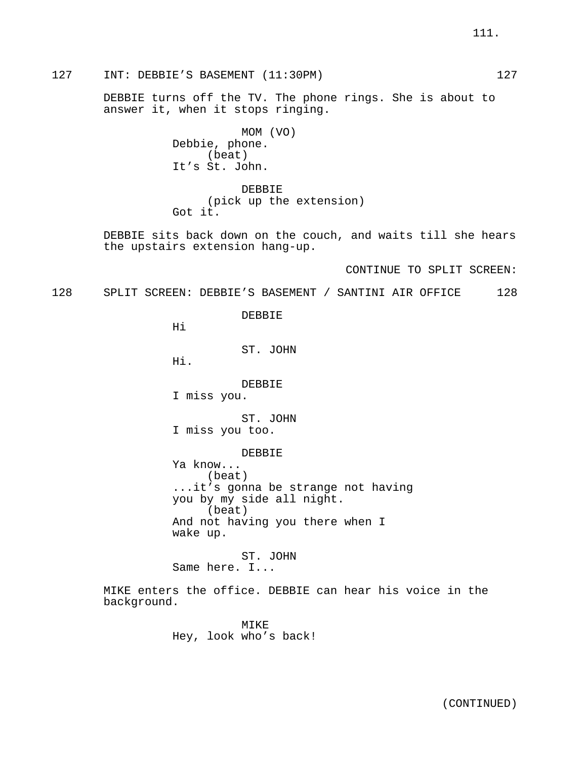127 INT: DEBBIE'S BASEMENT (11:30PM) 127

DEBBIE turns off the TV. The phone rings. She is about to answer it, when it stops ringing.

> MOM (VO) Debbie, phone. (beat) It's St. John.

DEBBIE (pick up the extension) Got it.

DEBBIE sits back down on the couch, and waits till she hears the upstairs extension hang-up.

CONTINUE TO SPLIT SCREEN:

128 SPLIT SCREEN: DEBBIE'S BASEMENT / SANTINI AIR OFFICE 128

DEBBIE

Hi

ST. JOHN

Hi.

DEBBIE

I miss you.

ST. JOHN

I miss you too.

DEBBIE

Ya know... (beat) ...it's gonna be strange not having you by my side all night. (beat) And not having you there when I wake up.

ST. JOHN Same here. I...

MIKE enters the office. DEBBIE can hear his voice in the background.

> MTK<sub>E</sub> Hey, look who's back!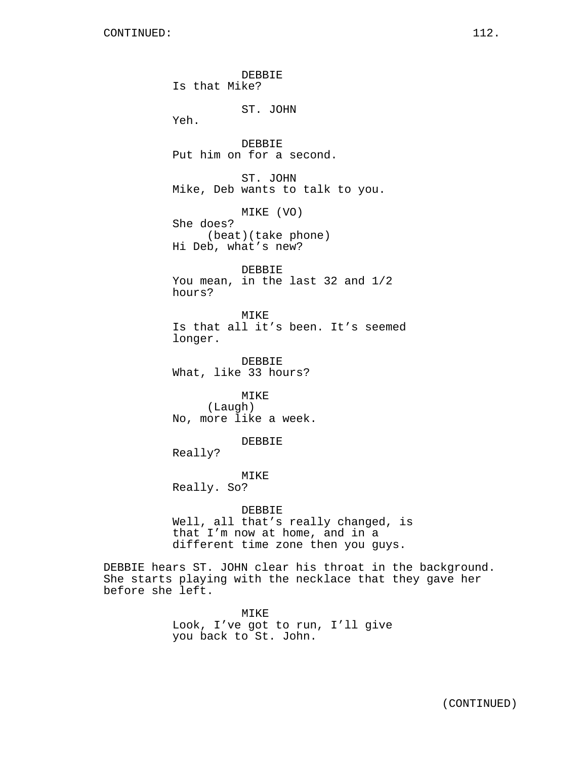DEBBIE Is that Mike? ST. JOHN Yeh. DEBBIE Put him on for a second. ST. JOHN Mike, Deb wants to talk to you. MIKE (VO) She does? (beat)(take phone) Hi Deb, what's new? DEBBIE You mean, in the last 32 and 1/2 hours? MIKE Is that all it's been. It's seemed longer. DEBBIE What, like 33 hours? MIKE (Laugh) No, more like a week. DEBBIE Really? MIKE Really. So? DEBBIE Well, all that's really changed, is that I'm now at home, and in a different time zone then you guys. DEBBIE hears ST. JOHN clear his throat in the background. She starts playing with the necklace that they gave her before she left.

> MIKE Look, I've got to run, I'll give you back to St. John.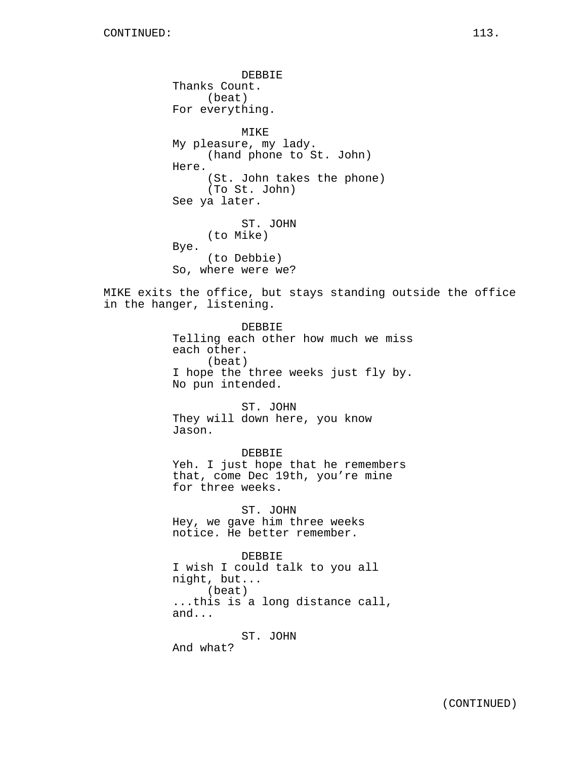DEBBIE Thanks Count. (beat) For everything. MIKE My pleasure, my lady. (hand phone to St. John) Here. (St. John takes the phone) (To St. John) See ya later. ST. JOHN (to Mike) Bye. (to Debbie) So, where were we? MIKE exits the office, but stays standing outside the office in the hanger, listening. DEBBIE Telling each other how much we miss each other. (beat) I hope the three weeks just fly by. No pun intended. ST. JOHN They will down here, you know Jason. DEBBIE Yeh. I just hope that he remembers that, come Dec 19th, you're mine for three weeks. ST. JOHN Hey, we gave him three weeks notice. He better remember. DEBBIE I wish I could talk to you all night, but... (beat) ...this is a long distance call, and... ST. JOHN And what?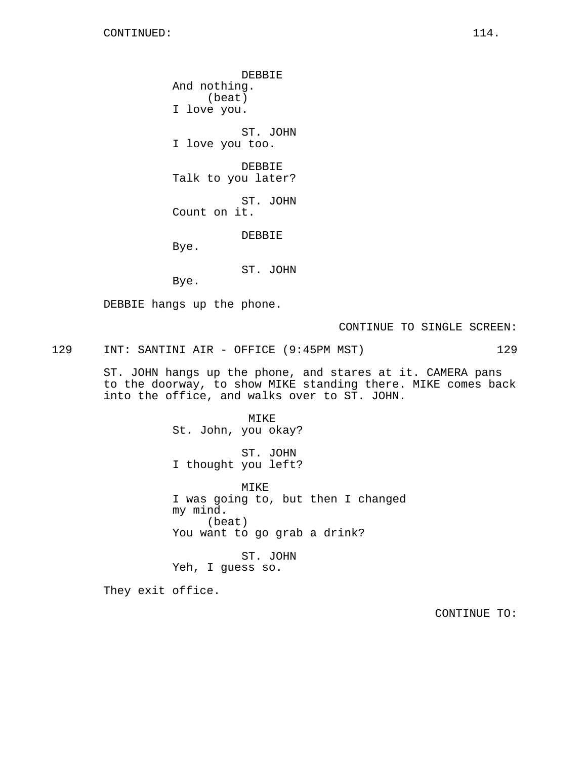DEBBIE And nothing. (beat) I love you. ST. JOHN I love you too. DEBBIE Talk to you later? ST. JOHN Count on it. DEBBIE Bye. ST. JOHN Bye.

DEBBIE hangs up the phone.

CONTINUE TO SINGLE SCREEN:

129 INT: SANTINI AIR - OFFICE (9:45PM MST) 129

ST. JOHN hangs up the phone, and stares at it. CAMERA pans to the doorway, to show MIKE standing there. MIKE comes back into the office, and walks over to ST. JOHN.

> MIKE St. John, you okay? ST. JOHN I thought you left?

MIKE I was going to, but then I changed my mind. (beat) You want to go grab a drink?

ST. JOHN Yeh, I guess so.

They exit office.

CONTINUE TO: